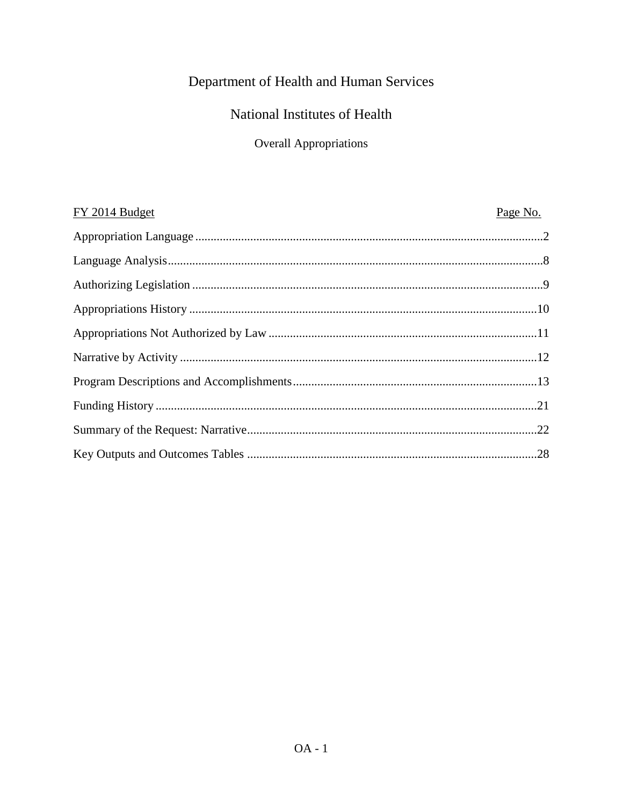# Department of Health and Human Services

## National Institutes of Health

# Overall Appropriations

| FY 2014 Budget | Page No. |
|----------------|----------|
|                |          |
|                |          |
|                |          |
|                |          |
|                |          |
|                |          |
|                |          |
|                |          |
|                |          |
|                |          |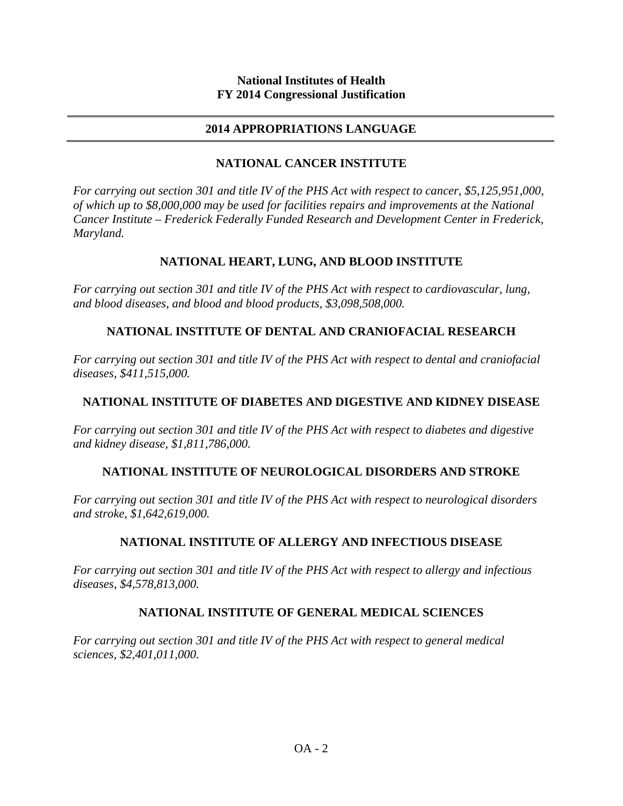## **2014 APPROPRIATIONS LANGUAGE**

## **NATIONAL CANCER INSTITUTE**

*For carrying out section 301 and title IV of the PHS Act with respect to cancer, \$5,125,951,000, of which up to \$8,000,000 may be used for facilities repairs and improvements at the National Cancer Institute – Frederick Federally Funded Research and Development Center in Frederick, Maryland.*

## **NATIONAL HEART, LUNG, AND BLOOD INSTITUTE**

*For carrying out section 301 and title IV of the PHS Act with respect to cardiovascular, lung, and blood diseases, and blood and blood products, \$3,098,508,000.*

## **NATIONAL INSTITUTE OF DENTAL AND CRANIOFACIAL RESEARCH**

*For carrying out section 301 and title IV of the PHS Act with respect to dental and craniofacial diseases, \$411,515,000.*

## **NATIONAL INSTITUTE OF DIABETES AND DIGESTIVE AND KIDNEY DISEASE**

*For carrying out section 301 and title IV of the PHS Act with respect to diabetes and digestive and kidney disease, \$1,811,786,000.*

## **NATIONAL INSTITUTE OF NEUROLOGICAL DISORDERS AND STROKE**

*For carrying out section 301 and title IV of the PHS Act with respect to neurological disorders and stroke, \$1,642,619,000.*

## **NATIONAL INSTITUTE OF ALLERGY AND INFECTIOUS DISEASE**

*For carrying out section 301 and title IV of the PHS Act with respect to allergy and infectious diseases, \$4,578,813,000.*

## **NATIONAL INSTITUTE OF GENERAL MEDICAL SCIENCES**

*For carrying out section 301 and title IV of the PHS Act with respect to general medical sciences, \$2,401,011,000.*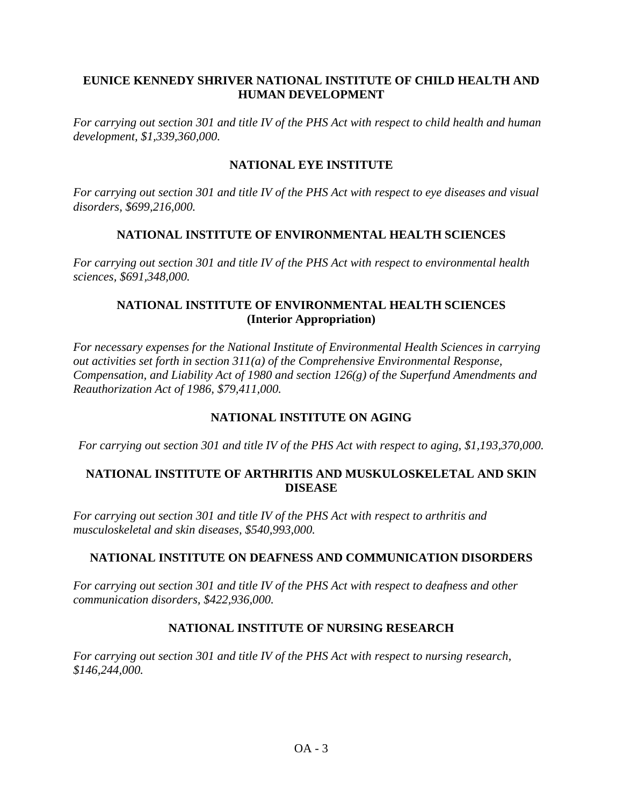## **EUNICE KENNEDY SHRIVER NATIONAL INSTITUTE OF CHILD HEALTH AND HUMAN DEVELOPMENT**

*For carrying out section 301 and title IV of the PHS Act with respect to child health and human development, \$1,339,360,000.*

## **NATIONAL EYE INSTITUTE**

*For carrying out section 301 and title IV of the PHS Act with respect to eye diseases and visual disorders, \$699,216,000.*

## **NATIONAL INSTITUTE OF ENVIRONMENTAL HEALTH SCIENCES**

*For carrying out section 301 and title IV of the PHS Act with respect to environmental health sciences, \$691,348,000.*

## **NATIONAL INSTITUTE OF ENVIRONMENTAL HEALTH SCIENCES (Interior Appropriation)**

*For necessary expenses for the National Institute of Environmental Health Sciences in carrying out activities set forth in section 311(a) of the Comprehensive Environmental Response, Compensation, and Liability Act of 1980 and section 126(g) of the Superfund Amendments and Reauthorization Act of 1986, \$79,411,000.*

## **NATIONAL INSTITUTE ON AGING**

*For carrying out section 301 and title IV of the PHS Act with respect to aging, \$1,193,370,000.*

## **NATIONAL INSTITUTE OF ARTHRITIS AND MUSKULOSKELETAL AND SKIN DISEASE**

*For carrying out section 301 and title IV of the PHS Act with respect to arthritis and musculoskeletal and skin diseases, \$540,993,000.*

## **NATIONAL INSTITUTE ON DEAFNESS AND COMMUNICATION DISORDERS**

*For carrying out section 301 and title IV of the PHS Act with respect to deafness and other communication disorders, \$422,936,000.*

## **NATIONAL INSTITUTE OF NURSING RESEARCH**

*For carrying out section 301 and title IV of the PHS Act with respect to nursing research, \$146,244,000.*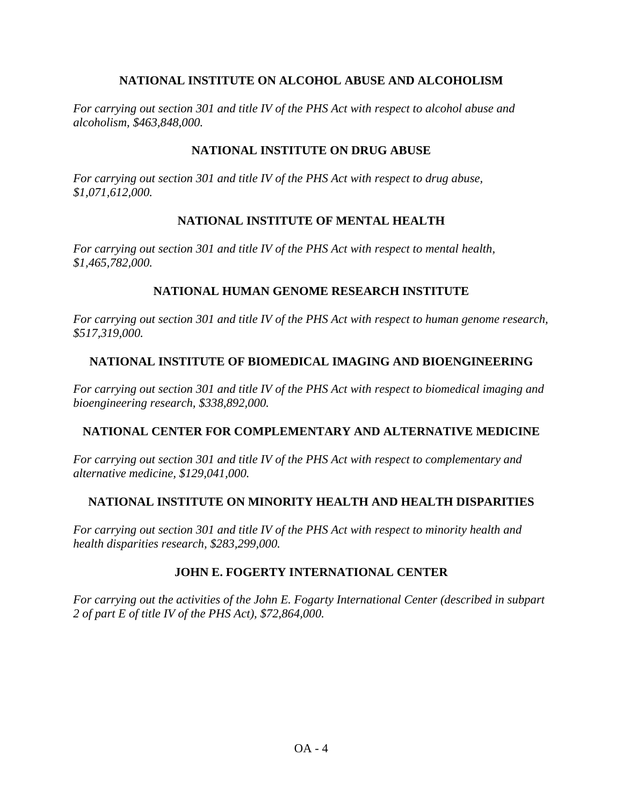## **NATIONAL INSTITUTE ON ALCOHOL ABUSE AND ALCOHOLISM**

*For carrying out section 301 and title IV of the PHS Act with respect to alcohol abuse and alcoholism, \$463,848,000.*

## **NATIONAL INSTITUTE ON DRUG ABUSE**

*For carrying out section 301 and title IV of the PHS Act with respect to drug abuse, \$1,071,612,000.*

## **NATIONAL INSTITUTE OF MENTAL HEALTH**

*For carrying out section 301 and title IV of the PHS Act with respect to mental health, \$1,465,782,000.*

## **NATIONAL HUMAN GENOME RESEARCH INSTITUTE**

*For carrying out section 301 and title IV of the PHS Act with respect to human genome research, \$517,319,000.*

## **NATIONAL INSTITUTE OF BIOMEDICAL IMAGING AND BIOENGINEERING**

*For carrying out section 301 and title IV of the PHS Act with respect to biomedical imaging and bioengineering research, \$338,892,000.*

## **NATIONAL CENTER FOR COMPLEMENTARY AND ALTERNATIVE MEDICINE**

*For carrying out section 301 and title IV of the PHS Act with respect to complementary and alternative medicine, \$129,041,000.*

## **NATIONAL INSTITUTE ON MINORITY HEALTH AND HEALTH DISPARITIES**

*For carrying out section 301 and title IV of the PHS Act with respect to minority health and health disparities research, \$283,299,000.*

#### **JOHN E. FOGERTY INTERNATIONAL CENTER**

*For carrying out the activities of the John E. Fogarty International Center (described in subpart 2 of part E of title IV of the PHS Act), \$72,864,000.*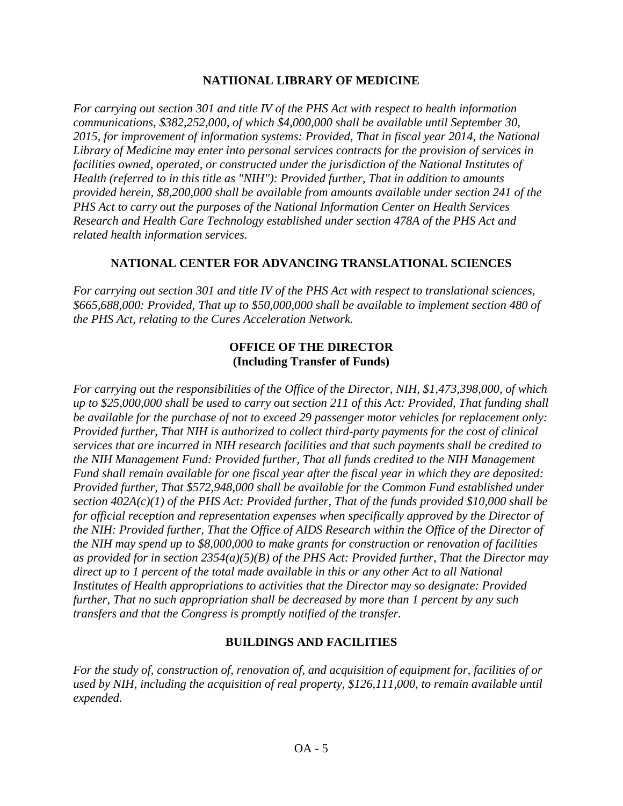## **NATIIONAL LIBRARY OF MEDICINE**

*For carrying out section 301 and title IV of the PHS Act with respect to health information communications, \$382,252,000, of which \$4,000,000 shall be available until September 30, 2015, for improvement of information systems: Provided, That in fiscal year 2014, the National Library of Medicine may enter into personal services contracts for the provision of services in facilities owned, operated, or constructed under the jurisdiction of the National Institutes of Health (referred to in this title as "NIH''): Provided further, That in addition to amounts provided herein, \$8,200,000 shall be available from amounts available under section 241 of the PHS Act to carry out the purposes of the National Information Center on Health Services Research and Health Care Technology established under section 478A of the PHS Act and related health information services.*

## **NATIONAL CENTER FOR ADVANCING TRANSLATIONAL SCIENCES**

*For carrying out section 301 and title IV of the PHS Act with respect to translational sciences, \$665,688,000: Provided, That up to \$50,000,000 shall be available to implement section 480 of the PHS Act, relating to the Cures Acceleration Network.*

## **OFFICE OF THE DIRECTOR (Including Transfer of Funds)**

*For carrying out the responsibilities of the Office of the Director, NIH, \$1,473,398,000, of which up to \$25,000,000 shall be used to carry out section 211 of this Act: Provided, That funding shall be available for the purchase of not to exceed 29 passenger motor vehicles for replacement only: Provided further, That NIH is authorized to collect third-party payments for the cost of clinical services that are incurred in NIH research facilities and that such payments shall be credited to the NIH Management Fund: Provided further, That all funds credited to the NIH Management Fund shall remain available for one fiscal year after the fiscal year in which they are deposited: Provided further, That \$572,948,000 shall be available for the Common Fund established under section 402A(c)(1) of the PHS Act: Provided further, That of the funds provided \$10,000 shall be for official reception and representation expenses when specifically approved by the Director of the NIH: Provided further, That the Office of AIDS Research within the Office of the Director of the NIH may spend up to \$8,000,000 to make grants for construction or renovation of facilities as provided for in section 2354(a)(5)(B) of the PHS Act: Provided further, That the Director may direct up to 1 percent of the total made available in this or any other Act to all National Institutes of Health appropriations to activities that the Director may so designate: Provided further, That no such appropriation shall be decreased by more than 1 percent by any such transfers and that the Congress is promptly notified of the transfer.*

## **BUILDINGS AND FACILITIES**

*For the study of, construction of, renovation of, and acquisition of equipment for, facilities of or used by NIH, including the acquisition of real property, \$126,111,000, to remain available until expended.*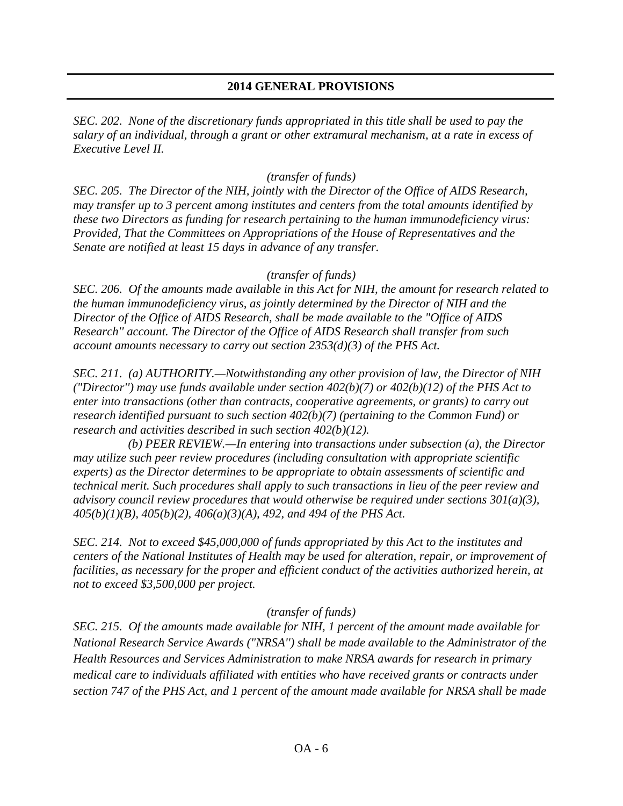## **2014 GENERAL PROVISIONS**

*SEC. 202. None of the discretionary funds appropriated in this title shall be used to pay the salary of an individual, through a grant or other extramural mechanism, at a rate in excess of Executive Level II.*

#### *(transfer of funds)*

*SEC. 205. The Director of the NIH, jointly with the Director of the Office of AIDS Research, may transfer up to 3 percent among institutes and centers from the total amounts identified by these two Directors as funding for research pertaining to the human immunodeficiency virus: Provided, That the Committees on Appropriations of the House of Representatives and the Senate are notified at least 15 days in advance of any transfer.*

#### *(transfer of funds)*

*SEC. 206. Of the amounts made available in this Act for NIH, the amount for research related to the human immunodeficiency virus, as jointly determined by the Director of NIH and the Director of the Office of AIDS Research, shall be made available to the "Office of AIDS Research'' account. The Director of the Office of AIDS Research shall transfer from such account amounts necessary to carry out section 2353(d)(3) of the PHS Act.*

*SEC. 211. (a) AUTHORITY.—Notwithstanding any other provision of law, the Director of NIH ("Director'') may use funds available under section 402(b)(7) or 402(b)(12) of the PHS Act to enter into transactions (other than contracts, cooperative agreements, or grants) to carry out research identified pursuant to such section 402(b)(7) (pertaining to the Common Fund) or research and activities described in such section 402(b)(12).*

 *(b) PEER REVIEW.—In entering into transactions under subsection (a), the Director may utilize such peer review procedures (including consultation with appropriate scientific experts) as the Director determines to be appropriate to obtain assessments of scientific and technical merit. Such procedures shall apply to such transactions in lieu of the peer review and advisory council review procedures that would otherwise be required under sections 301(a)(3), 405(b)(1)(B), 405(b)(2), 406(a)(3)(A), 492, and 494 of the PHS Act.*

*SEC. 214. Not to exceed \$45,000,000 of funds appropriated by this Act to the institutes and centers of the National Institutes of Health may be used for alteration, repair, or improvement of facilities, as necessary for the proper and efficient conduct of the activities authorized herein, at not to exceed \$3,500,000 per project.*

#### *(transfer of funds)*

*SEC. 215. Of the amounts made available for NIH, 1 percent of the amount made available for National Research Service Awards ("NRSA'') shall be made available to the Administrator of the Health Resources and Services Administration to make NRSA awards for research in primary medical care to individuals affiliated with entities who have received grants or contracts under section 747 of the PHS Act, and 1 percent of the amount made available for NRSA shall be made*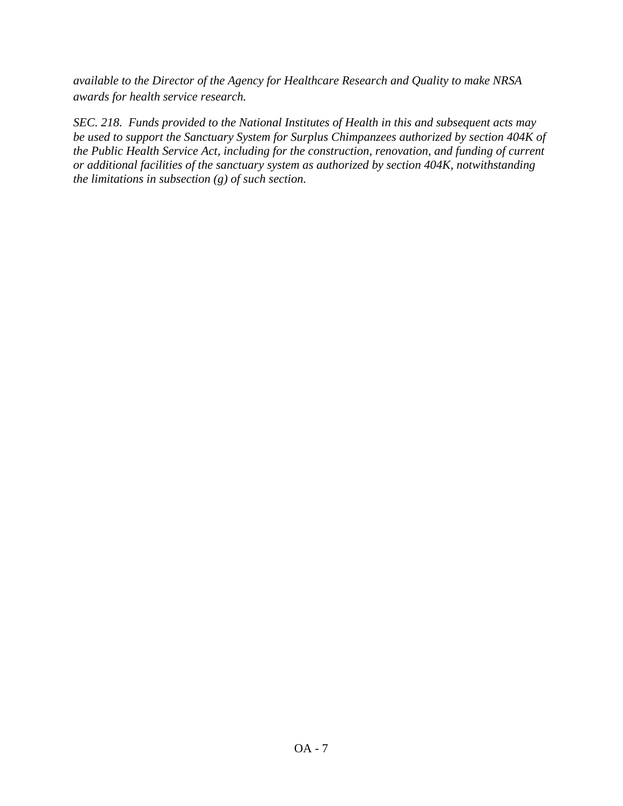*available to the Director of the Agency for Healthcare Research and Quality to make NRSA awards for health service research.*

*SEC. 218. Funds provided to the National Institutes of Health in this and subsequent acts may be used to support the Sanctuary System for Surplus Chimpanzees authorized by section 404K of the Public Health Service Act, including for the construction, renovation, and funding of current or additional facilities of the sanctuary system as authorized by section 404K, notwithstanding the limitations in subsection (g) of such section.*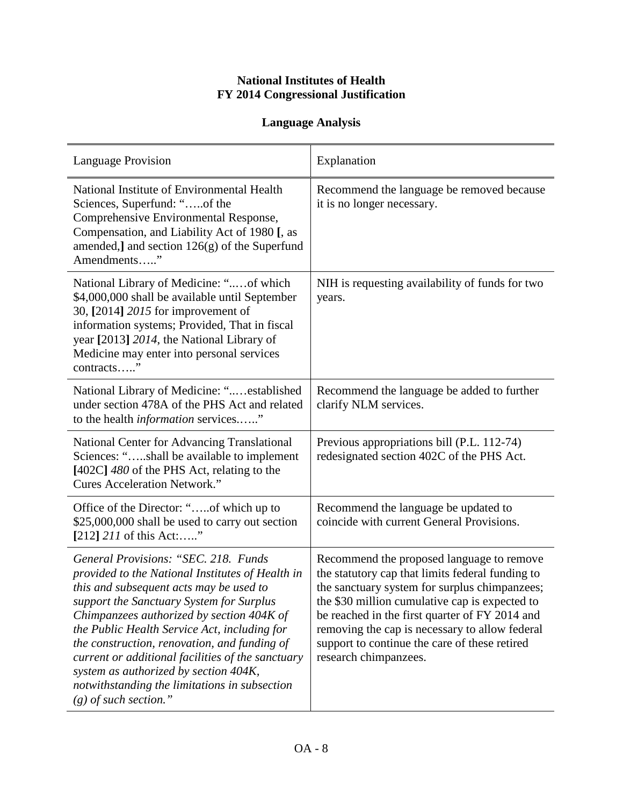## **National Institutes of Health FY 2014 Congressional Justification**

## **Language Analysis**

| <b>Language Provision</b>                                                                                                                                                                                                                                                                                                                                                                                                                                                                              | Explanation                                                                                                                                                                                                                                                                                                                                                                    |
|--------------------------------------------------------------------------------------------------------------------------------------------------------------------------------------------------------------------------------------------------------------------------------------------------------------------------------------------------------------------------------------------------------------------------------------------------------------------------------------------------------|--------------------------------------------------------------------------------------------------------------------------------------------------------------------------------------------------------------------------------------------------------------------------------------------------------------------------------------------------------------------------------|
| National Institute of Environmental Health<br>Sciences, Superfund: "of the<br>Comprehensive Environmental Response,<br>Compensation, and Liability Act of 1980 [, as<br>amended, and section $126(g)$ of the Superfund<br>Amendments"                                                                                                                                                                                                                                                                  | Recommend the language be removed because<br>it is no longer necessary.                                                                                                                                                                                                                                                                                                        |
| National Library of Medicine: "of which<br>\$4,000,000 shall be available until September<br>30, [2014] 2015 for improvement of<br>information systems; Provided, That in fiscal<br>year [2013] 2014, the National Library of<br>Medicine may enter into personal services<br>contracts"                                                                                                                                                                                                               | NIH is requesting availability of funds for two<br>years.                                                                                                                                                                                                                                                                                                                      |
| National Library of Medicine: "established<br>under section 478A of the PHS Act and related<br>to the health <i>information</i> services"                                                                                                                                                                                                                                                                                                                                                              | Recommend the language be added to further<br>clarify NLM services.                                                                                                                                                                                                                                                                                                            |
| National Center for Advancing Translational<br>Sciences: "shall be available to implement<br>$[402C]$ 480 of the PHS Act, relating to the<br><b>Cures Acceleration Network."</b>                                                                                                                                                                                                                                                                                                                       | Previous appropriations bill (P.L. 112-74)<br>redesignated section 402C of the PHS Act.                                                                                                                                                                                                                                                                                        |
| Office of the Director: "of which up to<br>\$25,000,000 shall be used to carry out section<br>[212] $211$ of this Act:"                                                                                                                                                                                                                                                                                                                                                                                | Recommend the language be updated to<br>coincide with current General Provisions.                                                                                                                                                                                                                                                                                              |
| General Provisions: "SEC. 218. Funds<br>provided to the National Institutes of Health in<br>this and subsequent acts may be used to<br>support the Sanctuary System for Surplus<br>Chimpanzees authorized by section 404K of<br>the Public Health Service Act, including for<br>the construction, renovation, and funding of<br>current or additional facilities of the sanctuary<br>system as authorized by section 404K,<br>notwithstanding the limitations in subsection<br>$(g)$ of such section." | Recommend the proposed language to remove<br>the statutory cap that limits federal funding to<br>the sanctuary system for surplus chimpanzees;<br>the \$30 million cumulative cap is expected to<br>be reached in the first quarter of FY 2014 and<br>removing the cap is necessary to allow federal<br>support to continue the care of these retired<br>research chimpanzees. |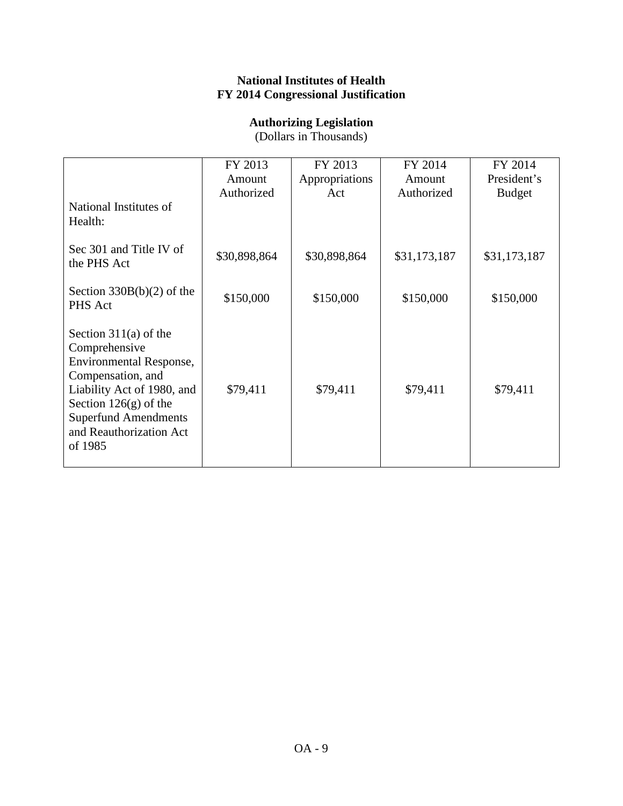## **National Institutes of Health FY 2014 Congressional Justification**

## **Authorizing Legislation**

(Dollars in Thousands)

|                                                                                                                                                                                                                               | FY 2013      | FY 2013        | FY 2014      | FY 2014       |
|-------------------------------------------------------------------------------------------------------------------------------------------------------------------------------------------------------------------------------|--------------|----------------|--------------|---------------|
|                                                                                                                                                                                                                               | Amount       | Appropriations | Amount       | President's   |
|                                                                                                                                                                                                                               | Authorized   | Act            | Authorized   | <b>Budget</b> |
| National Institutes of<br>Health:                                                                                                                                                                                             |              |                |              |               |
| Sec 301 and Title IV of<br>the PHS Act                                                                                                                                                                                        | \$30,898,864 | \$30,898,864   | \$31,173,187 | \$31,173,187  |
| Section $330B(b)(2)$ of the<br>PHS Act                                                                                                                                                                                        | \$150,000    | \$150,000      | \$150,000    | \$150,000     |
| Section $311(a)$ of the<br>Comprehensive<br><b>Environmental Response,</b><br>Compensation, and<br>Liability Act of 1980, and<br>Section $126(g)$ of the<br><b>Superfund Amendments</b><br>and Reauthorization Act<br>of 1985 | \$79,411     | \$79,411       | \$79,411     | \$79,411      |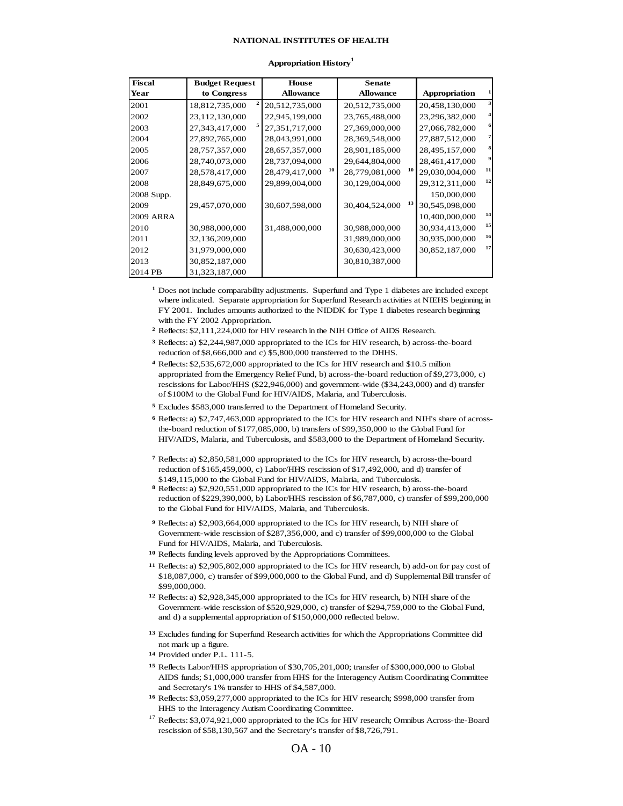#### **NATIONAL INSTITUTES OF HEALTH**

| <b>Fiscal</b>    | <b>Budget Request</b> | <b>House</b>         | <b>Senate</b>        |                |                         |
|------------------|-----------------------|----------------------|----------------------|----------------|-------------------------|
| Year             | to Congress           | <b>Allowance</b>     | <b>Allowance</b>     | Appropriation  |                         |
| 2001             | 18,812,735,000        | 20,512,735,000       | 20,512,735,000       | 20,458,130,000 | 3                       |
| 2002             | 23,112,130,000        | 22,945,199,000       | 23,765,488,000       | 23,296,382,000 | $\overline{\mathbf{r}}$ |
| 2003             | 27,343,417,000        | 27,351,717,000       | 27,369,000,000       | 27,066,782,000 | 6                       |
| 2004             | 27,892,765,000        | 28,043,991,000       | 28,369,548,000       | 27,887,512,000 | 7                       |
| 2005             | 28,757,357,000        | 28,657,357,000       | 28,901,185,000       | 28,495,157,000 | 8                       |
| 2006             | 28,740,073,000        | 28,737,094,000       | 29,644,804,000       | 28,461,417,000 | 9                       |
| 2007             | 28,578,417,000        | 10<br>28,479,417,000 | 10<br>28,779,081,000 | 29,030,004,000 | 11                      |
| 2008             | 28,849,675,000        | 29,899,004,000       | 30,129,004,000       | 29,312,311,000 | 12                      |
| 2008 Supp.       |                       |                      |                      | 150,000,000    |                         |
| 2009             | 29,457,070,000        | 30,607,598,000       | 13<br>30,404,524,000 | 30,545,098,000 |                         |
| <b>2009 ARRA</b> |                       |                      |                      | 10,400,000,000 | 14                      |
| 2010             | 30,988,000,000        | 31,488,000,000       | 30,988,000,000       | 30,934,413,000 | 15                      |
| 2011             | 32,136,209,000        |                      | 31,989,000,000       | 30,935,000,000 | 16                      |
| 2012             | 31,979,000,000        |                      | 30,630,423,000       | 30,852,187,000 | 17                      |
| 2013             | 30,852,187,000        |                      | 30,810,387,000       |                |                         |
| 2014 PB          | 31,323,187,000        |                      |                      |                |                         |

#### **Appropriation History<sup>1</sup>**

**1** Does not include comparability adjustments. Superfund and Type 1 diabetes are included except where indicated. Separate appropriation for Superfund Research activities at NIEHS beginning in FY 2001. Includes amounts authorized to the NIDDK for Type 1 diabetes research beginning with the FY 2002 Appropriation.

**2** Reflects: \$2,111,224,000 for HIV research in the NIH Office of AIDS Research.

- **3** Reflects: a) \$2,244,987,000 appropriated to the ICs for HIV research, b) across-the-board reduction of \$8,666,000 and c) \$5,800,000 transferred to the DHHS.
- **4** Reflects: \$2,535,672,000 appropriated to the ICs for HIV research and \$10.5 million appropriated from the Emergency Relief Fund, b) across-the-board reduction of \$9,273,000, c) rescissions for Labor/HHS (\$22,946,000) and government-wide (\$34,243,000) and d) transfer of \$100M to the Global Fund for HIV/AIDS, Malaria, and Tuberculosis.
- **5** Excludes \$583,000 transferred to the Department of Homeland Security.

**6** Reflects: a) \$2,747,463,000 appropriated to the ICs for HIV research and NIH's share of acrossthe-board reduction of \$177,085,000, b) transfers of \$99,350,000 to the Global Fund for HIV/AIDS, Malaria, and Tuberculosis, and \$583,000 to the Department of Homeland Security.

- **7** Reflects: a) \$2,850,581,000 appropriated to the ICs for HIV research, b) across-the-board reduction of \$165,459,000, c) Labor/HHS rescission of \$17,492,000, and d) transfer of \$149,115,000 to the Global Fund for HIV/AIDS, Malaria, and Tuberculosis.
- **8** Reflects: a) \$2,920,551,000 appropriated to the ICs for HIV research, b) aross-the-board reduction of \$229,390,000, b) Labor/HHS rescission of \$6,787,000, c) transfer of \$99,200,000 to the Global Fund for HIV/AIDS, Malaria, and Tuberculosis.

**9** Reflects: a) \$2,903,664,000 appropriated to the ICs for HIV research, b) NIH share of Government-wide rescission of \$287,356,000, and c) transfer of \$99,000,000 to the Global Fund for HIV/AIDS, Malaria, and Tuberculosis.

**10** Reflects funding levels approved by the Appropriations Committees.

- **11** Reflects: a) \$2,905,802,000 appropriated to the ICs for HIV research, b) add-on for pay cost of \$18,087,000, c) transfer of \$99,000,000 to the Global Fund, and d) Supplemental Bill transfer of \$99,000,000.
- **12** Reflects: a) \$2,928,345,000 appropriated to the ICs for HIV research, b) NIH share of the Government-wide rescission of \$520,929,000, c) transfer of \$294,759,000 to the Global Fund, and d) a supplemental appropriation of \$150,000,000 reflected below.
- **13** Excludes funding for Superfund Research activities for which the Appropriations Committee did not mark up a figure.
- **14** Provided under P.L. 111-5.
- **15** Reflects Labor/HHS appropriation of \$30,705,201,000; transfer of \$300,000,000 to Global AIDS funds; \$1,000,000 transfer from HHS for the Interagency Autism Coordinating Committee and Secretary's 1% transfer to HHS of \$4,587,000.
- **16** Reflects: \$3,059,277,000 appropriated to the ICs for HIV research; \$998,000 transfer from HHS to the Interagency Autism Coordinating Committee.
- <sup>17</sup> Reflects: \$3,074,921,000 appropriated to the ICs for HIV research; Omnibus Across-the-Board rescission of \$58,130,567 and the Secretary's transfer of \$8,726,791.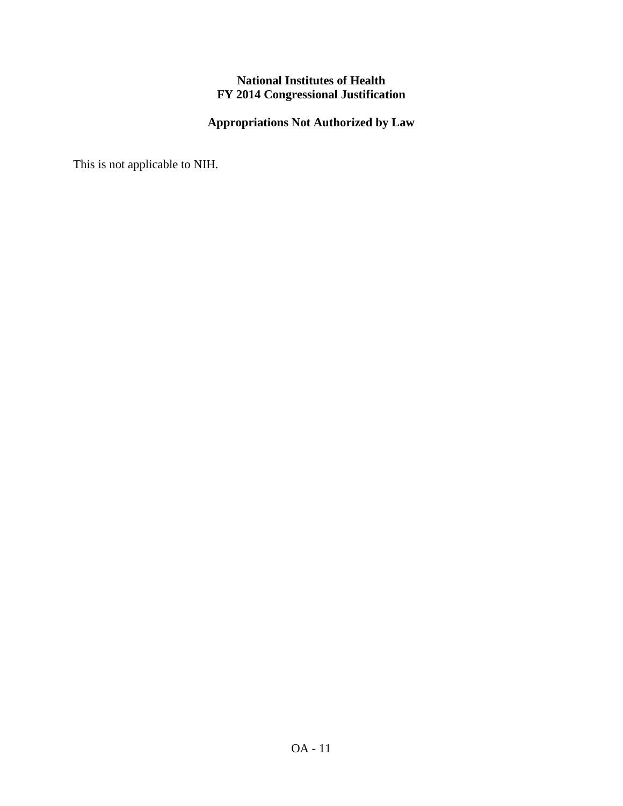## **National Institutes of Health FY 2014 Congressional Justification**

## **Appropriations Not Authorized by Law**

This is not applicable to NIH.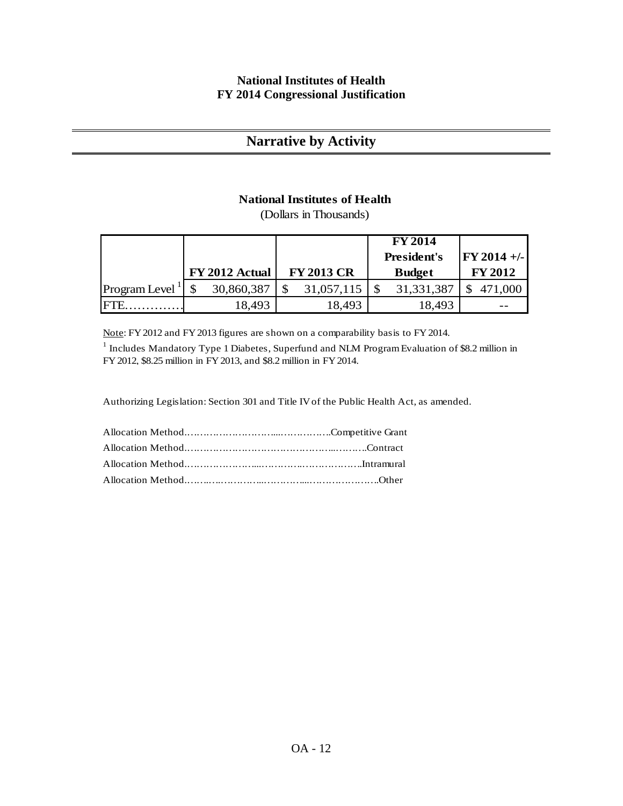## **National Institutes of Health FY 2014 Congressional Justification**

## **Narrative by Activity**

## **National Institutes of Health**

(Dollars in Thousands)

|                            |                |                   | <b>FY 2014</b>     |                |
|----------------------------|----------------|-------------------|--------------------|----------------|
|                            |                |                   | <b>President's</b> | $FY 2014 +/-$  |
|                            | FY 2012 Actual | <b>FY 2013 CR</b> | <b>Budget</b>      | <b>FY 2012</b> |
| Program Level <sup>1</sup> | 30,860,387     | 31,057,115        | 31, 331, 387       | 471,000        |
|                            | 18,493         | 18,493            | 18,493             |                |

Note: FY 2012 and FY 2013 figures are shown on a comparability basis to FY 2014.

<sup>1</sup> Includes Mandatory Type 1 Diabetes, Superfund and NLM Program Evaluation of \$8.2 million in FY 2012, \$8.25 million in FY 2013, and \$8.2 million in FY 2014.

Authorizing Legislation: Section 301 and Title IV of the Public Health Act, as amended.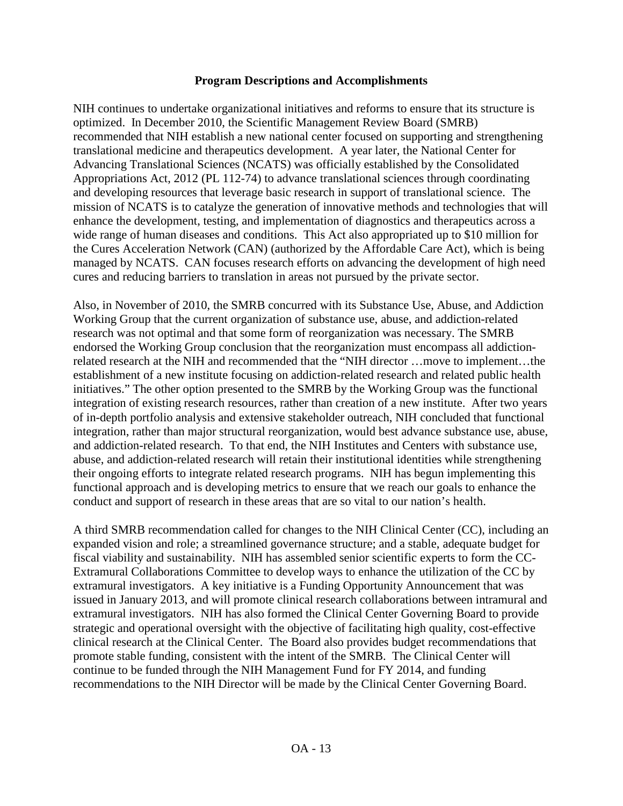#### **Program Descriptions and Accomplishments**

NIH continues to undertake organizational initiatives and reforms to ensure that its structure is optimized. In December 2010, the Scientific Management Review Board (SMRB) recommended that NIH establish a new national center focused on supporting and strengthening translational medicine and therapeutics development. A year later, the National Center for Advancing Translational Sciences (NCATS) was officially established by the Consolidated Appropriations Act, 2012 (PL 112-74) to advance translational sciences through coordinating and developing resources that leverage basic research in support of translational science. The mission of NCATS is to catalyze the generation of innovative methods and technologies that will enhance the development, testing, and implementation of diagnostics and therapeutics across a wide range of human diseases and conditions. This Act also appropriated up to \$10 million for the Cures Acceleration Network (CAN) (authorized by the Affordable Care Act), which is being managed by NCATS. CAN focuses research efforts on advancing the development of high need cures and reducing barriers to translation in areas not pursued by the private sector.

Also, in November of 2010, the SMRB concurred with its Substance Use, Abuse, and Addiction Working Group that the current organization of substance use, abuse, and addiction-related research was not optimal and that some form of reorganization was necessary. The SMRB endorsed the Working Group conclusion that the reorganization must encompass all addictionrelated research at the NIH and recommended that the "NIH director …move to implement…the establishment of a new institute focusing on addiction-related research and related public health initiatives." The other option presented to the SMRB by the Working Group was the functional integration of existing research resources, rather than creation of a new institute. After two years of in-depth portfolio analysis and extensive stakeholder outreach, NIH concluded that functional integration, rather than major structural reorganization, would best advance substance use, abuse, and addiction-related research. To that end, the NIH Institutes and Centers with substance use, abuse, and addiction-related research will retain their institutional identities while strengthening their ongoing efforts to integrate related research programs. NIH has begun implementing this functional approach and is developing metrics to ensure that we reach our goals to enhance the conduct and support of research in these areas that are so vital to our nation's health.

A third SMRB recommendation called for changes to the NIH Clinical Center (CC), including an expanded vision and role; a streamlined governance structure; and a stable, adequate budget for fiscal viability and sustainability. NIH has assembled senior scientific experts to form the CC-Extramural Collaborations Committee to develop ways to enhance the utilization of the CC by extramural investigators. A key initiative is a Funding Opportunity Announcement that was issued in January 2013, and will promote clinical research collaborations between intramural and extramural investigators. NIH has also formed the Clinical Center Governing Board to provide strategic and operational oversight with the objective of facilitating high quality, cost-effective clinical research at the Clinical Center. The Board also provides budget recommendations that promote stable funding, consistent with the intent of the SMRB. The Clinical Center will continue to be funded through the NIH Management Fund for FY 2014, and funding recommendations to the NIH Director will be made by the Clinical Center Governing Board.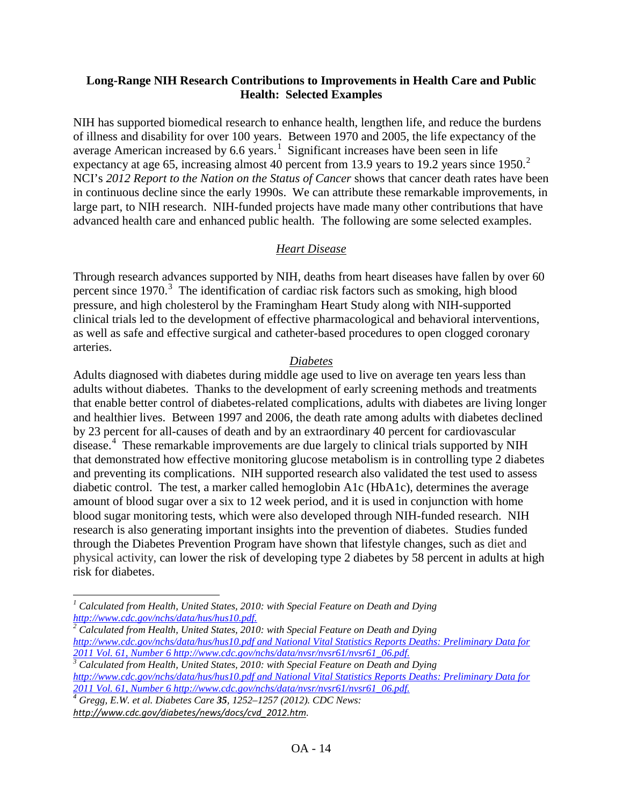## **Long-Range NIH Research Contributions to Improvements in Health Care and Public Health: Selected Examples**

NIH has supported biomedical research to enhance health, lengthen life, and reduce the burdens of illness and disability for over 100 years. Between 1970 and 2005, the life expectancy of the average American increased by 6.6 years.<sup>[1](#page-13-0)</sup> Significant increases have been seen in life expectancy at age 65, increasing almost 40 percent from 13.9 years to 19.[2](#page-13-1) years since 1950.<sup>2</sup> NCI's *2012 Report to the Nation on the Status of Cancer* shows that cancer death rates have been in continuous decline since the early 1990s. We can attribute these remarkable improvements, in large part, to NIH research. NIH-funded projects have made many other contributions that have advanced health care and enhanced public health. The following are some selected examples.

## *Heart Disease*

Through research advances supported by NIH, deaths from heart diseases have fallen by over 60 percent since 1970.<sup>[3](#page-13-2)</sup> The identification of cardiac risk factors such as smoking, high blood pressure, and high cholesterol by the Framingham Heart Study along with NIH-supported clinical trials led to the development of effective pharmacological and behavioral interventions, as well as safe and effective surgical and catheter-based procedures to open clogged coronary arteries.

## *Diabetes*

Adults diagnosed with diabetes during middle age used to live on average ten years less than adults without diabetes. Thanks to the development of early screening methods and treatments that enable better control of diabetes-related complications, adults with diabetes are living longer and healthier lives. Between 1997 and 2006, the death rate among adults with diabetes declined by 23 percent for all-causes of death and by an extraordinary 40 percent for cardiovascular disease.<sup>[4](#page-13-3)</sup> These remarkable improvements are due largely to clinical trials supported by NIH that demonstrated how effective monitoring glucose metabolism is in controlling type 2 diabetes and preventing its complications. NIH supported research also validated the test used to assess diabetic control. The test, a marker called hemoglobin A1c (HbA1c), determines the average amount of blood sugar over a six to 12 week period, and it is used in conjunction with home blood sugar monitoring tests, which were also developed through NIH-funded research. NIH research is also generating important insights into the prevention of diabetes. Studies funded through the Diabetes Prevention Program have shown that lifestyle changes, such as diet and physical activity, can lower the risk of developing type 2 diabetes by 58 percent in adults at high risk for diabetes.

<span id="page-13-2"></span>*<http://www.cdc.gov/nchs/data/hus/hus10.pdf> and National Vital Statistics Reports Deaths: Preliminary Data for* 

<span id="page-13-3"></span>*2012 Gregg, E.W. et al. Diabetes Care 35, 1252–1257 (2012). CDC News: [http://www.cdc.gov/diabetes/news/docs/cvd\\_2012.htm](http://www.cdc.gov/diabetes/news/docs/cvd_2012.htm).*

 $\overline{\phantom{a}}$ 

<span id="page-13-0"></span><sup>&</sup>lt;sup>1</sup> Calculated from Health, United States, 2010: with Special Feature on Death and Dying <br>http://www.cdc.gov/nchs/data/hus/hus10.pdf.<br><sup>2</sup> Calculated from *H*, M. With *K*.

<span id="page-13-1"></span>*[http://www.cdc.gov/nchs/data/hus/hus10.pdf.](http://www.cdc.gov/nchs/data/hus/hus10.pdf) [2](http://www.cdc.gov/nchs/data/hus/hus10.pdf) Calculated from Health, United States, 2010: with Special Feature on Death and Dying <http://www.cdc.gov/nchs/data/hus/hus10.pdf> and National Vital Statistics Reports Deaths: Preliminary Data for 2011 Vol. 61, Number [6 http://www.cdc.gov/nchs/data/nvsr/nvsr61/nvsr61\\_06.pdf.](http://www.cdc.gov/nchs/data/nvsr/nvsr61/nvsr61_06.pdf) 3 Calculated from Health, United States, 2010: with Special Feature on Death and Dying*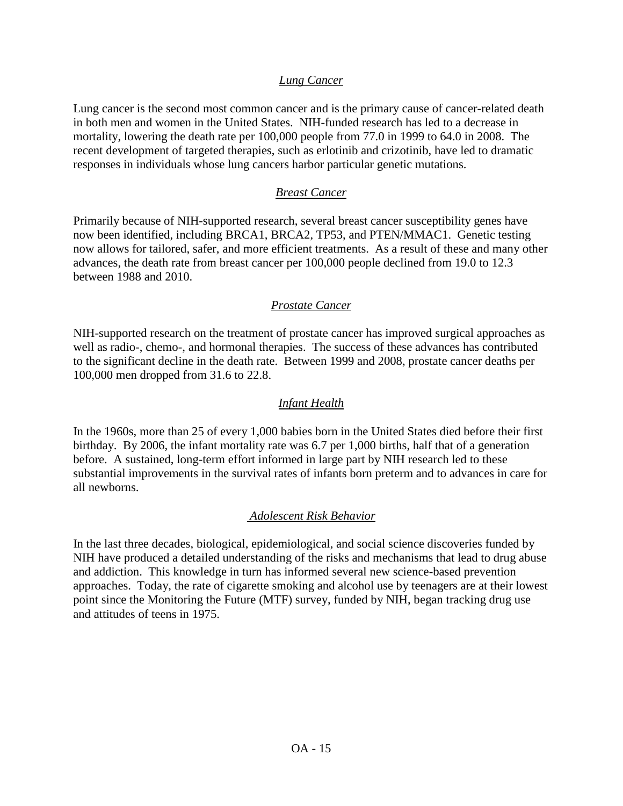## *Lung Cancer*

Lung cancer is the second most common cancer and is the primary cause of cancer-related death in both men and women in the United States. NIH-funded research has led to a decrease in mortality, lowering the death rate per 100,000 people from 77.0 in 1999 to 64.0 in 2008. The recent development of targeted therapies, such as erlotinib and crizotinib, have led to dramatic responses in individuals whose lung cancers harbor particular genetic mutations.

## *Breast Cancer*

Primarily because of NIH-supported research, several breast cancer susceptibility genes have now been identified, including BRCA1, BRCA2, TP53, and PTEN/MMAC1. Genetic testing now allows for tailored, safer, and more efficient treatments. As a result of these and many other advances, the death rate from breast cancer per 100,000 people declined from 19.0 to 12.3 between 1988 and 2010.

#### *Prostate Cancer*

NIH-supported research on the treatment of prostate cancer has improved surgical approaches as well as radio-, chemo-, and hormonal therapies. The success of these advances has contributed to the significant decline in the death rate. Between 1999 and 2008, prostate cancer deaths per 100,000 men dropped from 31.6 to 22.8.

#### *Infant Health*

In the 1960s, more than 25 of every 1,000 babies born in the United States died before their first birthday. By 2006, the infant mortality rate was 6.7 per 1,000 births, half that of a generation before. A sustained, long-term effort informed in large part by NIH research led to these substantial improvements in the survival rates of infants born preterm and to advances in care for all newborns.

## *Adolescent Risk Behavior*

In the last three decades, biological, epidemiological, and social science discoveries funded by NIH have produced a detailed understanding of the risks and mechanisms that lead to drug abuse and addiction. This knowledge in turn has informed several new science-based prevention approaches. Today, the rate of cigarette smoking and alcohol use by teenagers are at their lowest point since the Monitoring the Future (MTF) survey, funded by NIH, began tracking drug use and attitudes of teens in 1975.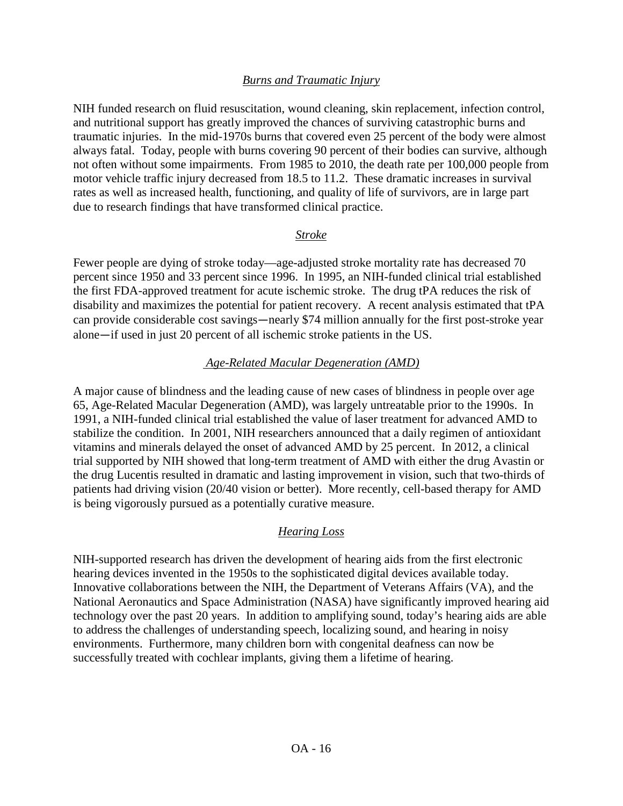## *Burns and Traumatic Injury*

NIH funded research on fluid resuscitation, wound cleaning, skin replacement, infection control, and nutritional support has greatly improved the chances of surviving catastrophic burns and traumatic injuries. In the mid-1970s burns that covered even 25 percent of the body were almost always fatal. Today, people with burns covering 90 percent of their bodies can survive, although not often without some impairments. From 1985 to 2010, the death rate per 100,000 people from motor vehicle traffic injury decreased from 18.5 to 11.2. These dramatic increases in survival rates as well as increased health, functioning, and quality of life of survivors, are in large part due to research findings that have transformed clinical practice.

#### *Stroke*

Fewer people are dying of stroke today—age-adjusted stroke mortality rate has decreased 70 percent since 1950 and 33 percent since 1996. In 1995, an NIH-funded clinical trial established the first FDA-approved treatment for acute ischemic stroke. The drug tPA reduces the risk of disability and maximizes the potential for patient recovery. A recent analysis estimated that tPA can provide considerable cost savings—nearly \$74 million annually for the first post-stroke year alone—if used in just 20 percent of all ischemic stroke patients in the US.

## *Age-Related Macular Degeneration (AMD)*

A major cause of blindness and the leading cause of new cases of blindness in people over age 65, Age-Related Macular Degeneration (AMD), was largely untreatable prior to the 1990s. In 1991, a NIH-funded clinical trial established the value of laser treatment for advanced AMD to stabilize the condition. In 2001, NIH researchers announced that a daily regimen of antioxidant vitamins and minerals delayed the onset of advanced AMD by 25 percent. In 2012, a clinical trial supported by NIH showed that long-term treatment of AMD with either the drug Avastin or the drug Lucentis resulted in dramatic and lasting improvement in vision, such that two-thirds of patients had driving vision (20/40 vision or better). More recently, cell-based therapy for AMD is being vigorously pursued as a potentially curative measure.

## *Hearing Loss*

NIH-supported research has driven the development of hearing aids from the first electronic hearing devices invented in the 1950s to the sophisticated digital devices available today. Innovative collaborations between the NIH, the Department of Veterans Affairs (VA), and the National Aeronautics and Space Administration (NASA) have significantly improved hearing aid technology over the past 20 years. In addition to amplifying sound, today's hearing aids are able to address the challenges of understanding speech, localizing sound, and hearing in noisy environments. Furthermore, many children born with congenital deafness can now be successfully treated with cochlear implants, giving them a lifetime of hearing.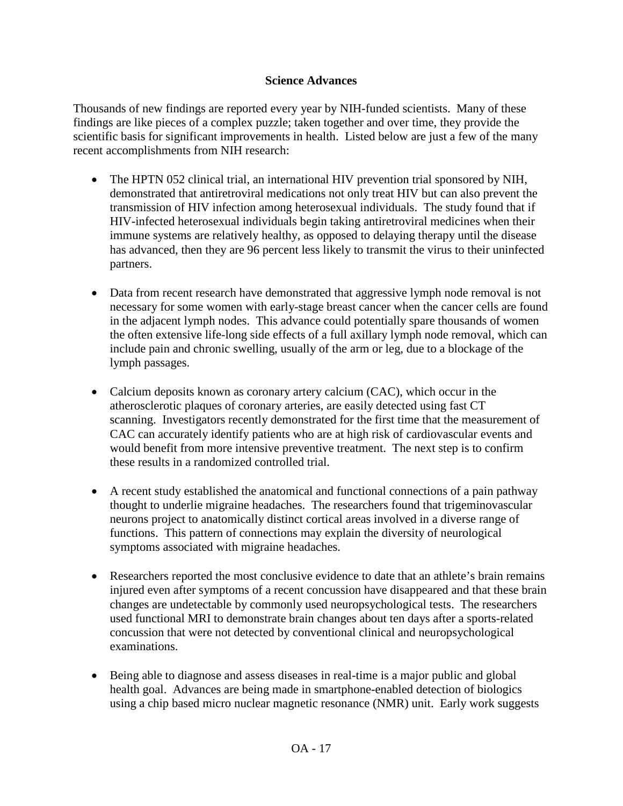## **Science Advances**

Thousands of new findings are reported every year by NIH-funded scientists. Many of these findings are like pieces of a complex puzzle; taken together and over time, they provide the scientific basis for significant improvements in health. Listed below are just a few of the many recent accomplishments from NIH research:

- The HPTN 052 clinical trial, an international HIV prevention trial sponsored by NIH, demonstrated that antiretroviral medications not only treat HIV but can also prevent the transmission of HIV infection among heterosexual individuals. The study found that if HIV-infected heterosexual individuals begin taking antiretroviral medicines when their immune systems are relatively healthy, as opposed to delaying therapy until the disease has advanced, then they are 96 percent less likely to transmit the virus to their uninfected partners.
- Data from recent research have demonstrated that aggressive lymph node removal is not necessary for some women with early-stage breast cancer when the cancer cells are found in the adjacent lymph nodes. This advance could potentially spare thousands of women the often extensive life-long side effects of a full axillary lymph node removal, which can include pain and chronic swelling, usually of the arm or leg, due to a blockage of the lymph passages.
- Calcium deposits known as coronary artery calcium (CAC), which occur in the atherosclerotic plaques of coronary arteries, are easily detected using fast CT scanning. Investigators recently demonstrated for the first time that the measurement of CAC can accurately identify patients who are at high risk of cardiovascular events and would benefit from more intensive preventive treatment. The next step is to confirm these results in a randomized controlled trial.
- A recent study established the anatomical and functional connections of a pain pathway thought to underlie migraine headaches. The researchers found that trigeminovascular neurons project to anatomically distinct cortical areas involved in a diverse range of functions. This pattern of connections may explain the diversity of neurological symptoms associated with migraine headaches.
- Researchers reported the most conclusive evidence to date that an athlete's brain remains injured even after symptoms of a recent concussion have disappeared and that these brain changes are undetectable by commonly used neuropsychological tests. The researchers used functional MRI to demonstrate brain changes about ten days after a sports-related concussion that were not detected by conventional clinical and neuropsychological examinations.
- Being able to diagnose and assess diseases in real-time is a major public and global health goal. Advances are being made in smartphone-enabled detection of biologics using a chip based micro nuclear magnetic resonance (NMR) unit. Early work suggests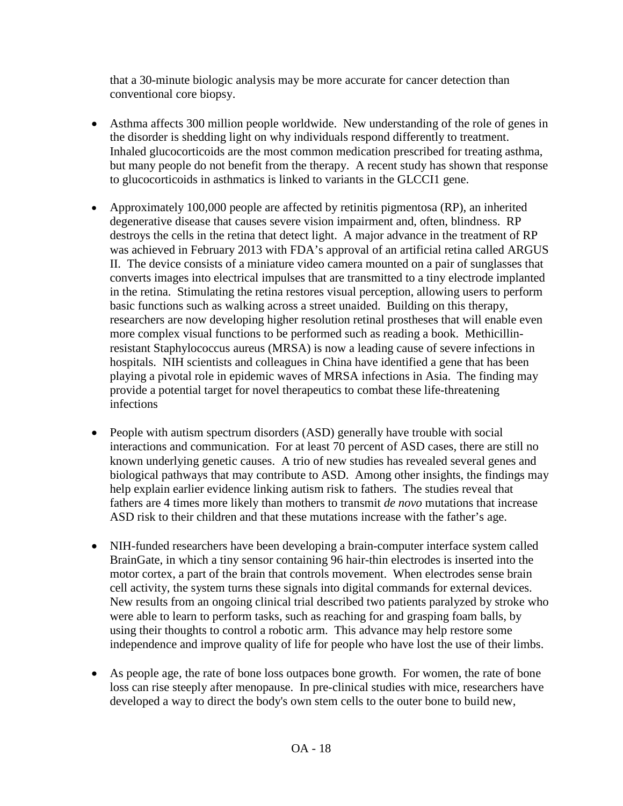that a 30-minute biologic analysis may be more accurate for cancer detection than conventional core biopsy.

- Asthma affects 300 million people worldwide. New understanding of the role of genes in the disorder is shedding light on why individuals respond differently to treatment. Inhaled glucocorticoids are the most common medication prescribed for treating asthma, but many people do not benefit from the therapy. A recent study has shown that response to glucocorticoids in asthmatics is linked to variants in the GLCCI1 gene.
- Approximately 100,000 people are affected by retinitis pigmentosa (RP), an inherited degenerative disease that causes severe vision impairment and, often, blindness. RP destroys the cells in the retina that detect light. A major advance in the treatment of RP was achieved in February 2013 with FDA's approval of an artificial retina called ARGUS II. The device consists of a miniature video camera mounted on a pair of sunglasses that converts images into electrical impulses that are transmitted to a tiny electrode implanted in the retina. Stimulating the retina restores visual perception, allowing users to perform basic functions such as walking across a street unaided. Building on this therapy, researchers are now developing higher resolution retinal prostheses that will enable even more complex visual functions to be performed such as reading a book. Methicillinresistant Staphylococcus aureus (MRSA) is now a leading cause of severe infections in hospitals. NIH scientists and colleagues in China have identified a gene that has been playing a pivotal role in epidemic waves of MRSA infections in Asia. The finding may provide a potential target for novel therapeutics to combat these life-threatening infections
- People with autism spectrum disorders (ASD) generally have trouble with social interactions and communication. For at least 70 percent of ASD cases, there are still no known underlying genetic causes. A trio of new studies has revealed several genes and biological pathways that may contribute to ASD. Among other insights, the findings may help explain earlier evidence linking autism risk to fathers. The studies reveal that fathers are 4 times more likely than mothers to transmit *de novo* mutations that increase ASD risk to their children and that these mutations increase with the father's age.
- NIH-funded researchers have been developing a brain-computer interface system called BrainGate, in which a tiny sensor containing 96 hair-thin electrodes is inserted into the motor cortex, a part of the brain that controls movement. When electrodes sense brain cell activity, the system turns these signals into digital commands for external devices. New results from an ongoing clinical trial described two patients paralyzed by stroke who were able to learn to perform tasks, such as reaching for and grasping foam balls, by using their thoughts to control a robotic arm. This advance may help restore some independence and improve quality of life for people who have lost the use of their limbs.
- As people age, the rate of bone loss outpaces bone growth. For women, the rate of bone loss can rise steeply after menopause. In pre-clinical studies with mice, researchers have developed a way to direct the body's own stem cells to the outer bone to build new,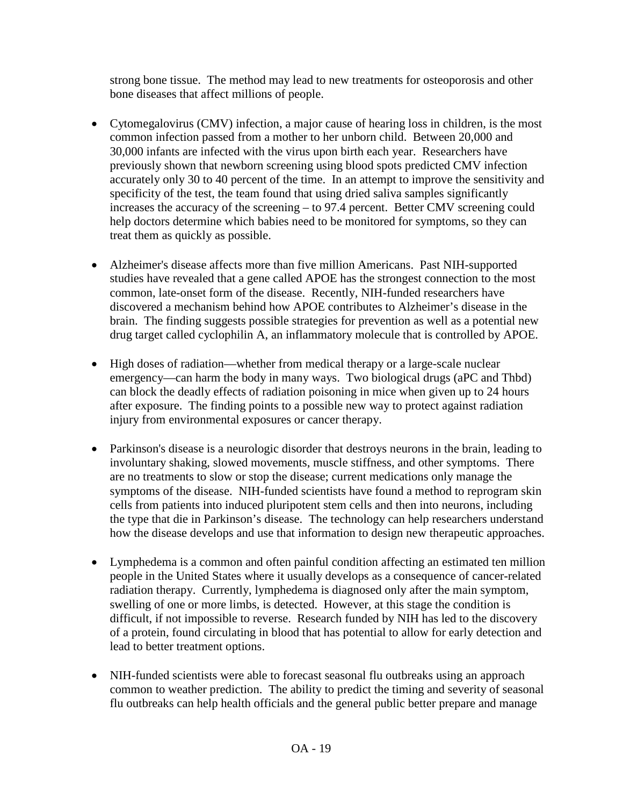strong bone tissue. The method may lead to new treatments for osteoporosis and other bone diseases that affect millions of people.

- Cytomegalovirus (CMV) infection, a major cause of hearing loss in children, is the most common infection passed from a mother to her unborn child. Between 20,000 and 30,000 infants are infected with the virus upon birth each year. Researchers have previously shown that newborn screening using blood spots predicted CMV infection accurately only 30 to 40 percent of the time. In an attempt to improve the sensitivity and specificity of the test, the team found that using dried saliva samples significantly increases the accuracy of the screening – to 97.4 percent. Better CMV screening could help doctors determine which babies need to be monitored for symptoms, so they can treat them as quickly as possible.
- Alzheimer's disease affects more than five million Americans. Past NIH-supported studies have revealed that a gene called APOE has the strongest connection to the most common, late-onset form of the disease. Recently, NIH-funded researchers have discovered a mechanism behind how APOE contributes to Alzheimer's disease in the brain. The finding suggests possible strategies for prevention as well as a potential new drug target called cyclophilin A, an inflammatory molecule that is controlled by APOE.
- High doses of radiation—whether from medical therapy or a large-scale nuclear emergency—can harm the body in many ways. Two biological drugs (aPC and Thbd) can block the deadly effects of radiation poisoning in mice when given up to 24 hours after exposure. The finding points to a possible new way to protect against radiation injury from environmental exposures or cancer therapy.
- Parkinson's disease is a neurologic disorder that destroys neurons in the brain, leading to involuntary shaking, slowed movements, muscle stiffness, and other symptoms. There are no treatments to slow or stop the disease; current medications only manage the symptoms of the disease. NIH-funded scientists have found a method to reprogram skin cells from patients into induced pluripotent stem cells and then into neurons, including the type that die in Parkinson's disease. The technology can help researchers understand how the disease develops and use that information to design new therapeutic approaches.
- Lymphedema is a common and often painful condition affecting an estimated ten million people in the United States where it usually develops as a consequence of cancer-related radiation therapy. Currently, lymphedema is diagnosed only after the main symptom, swelling of one or more limbs, is detected. However, at this stage the condition is difficult, if not impossible to reverse. Research funded by NIH has led to the discovery of a protein, found circulating in blood that has potential to allow for early detection and lead to better treatment options.
- NIH-funded scientists were able to forecast seasonal flu outbreaks using an approach common to weather prediction. The ability to predict the timing and severity of seasonal flu outbreaks can help health officials and the general public better prepare and manage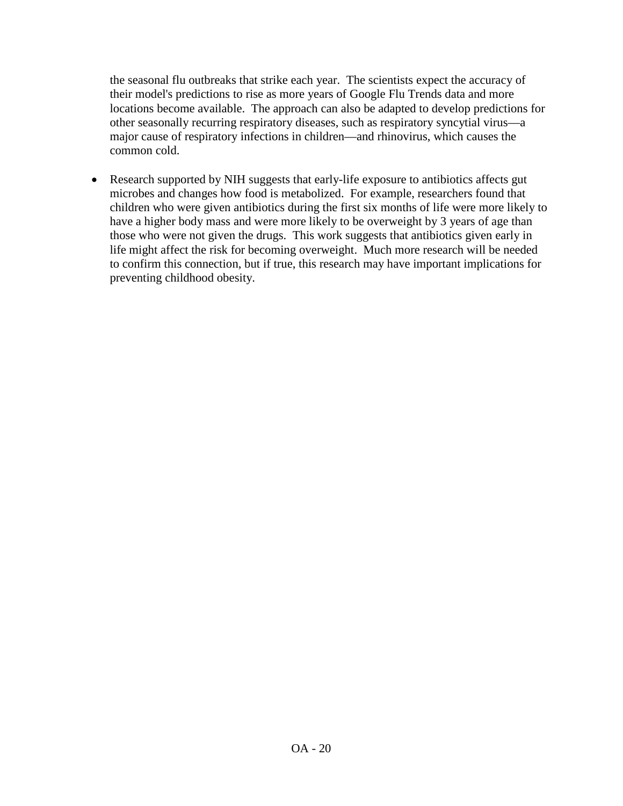the seasonal flu outbreaks that strike each year. The scientists expect the accuracy of their model's predictions to rise as more years of Google Flu Trends data and more locations become available. The approach can also be adapted to develop predictions for other seasonally recurring respiratory diseases, such as respiratory syncytial virus—a major cause of respiratory infections in children—and rhinovirus, which causes the common cold.

• Research supported by NIH suggests that early-life exposure to antibiotics affects gut microbes and changes how food is metabolized. For example, researchers found that children who were given antibiotics during the first six months of life were more likely to have a higher body mass and were more likely to be overweight by 3 years of age than those who were not given the drugs. This work suggests that antibiotics given early in life might affect the risk for becoming overweight. Much more research will be needed to confirm this connection, but if true, this research may have important implications for preventing childhood obesity.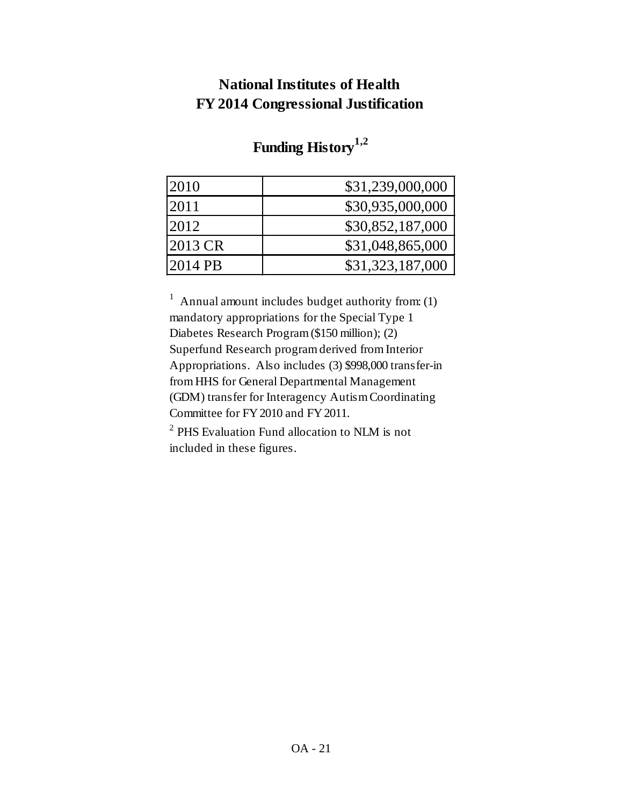# **National Institutes of Health FY 2014 Congressional Justification**

| 2010      | \$31,239,000,000 |
|-----------|------------------|
| 2011      | \$30,935,000,000 |
| 2012      | \$30,852,187,000 |
| $2013$ CR | \$31,048,865,000 |
| $2014$ PB | \$31,323,187,000 |

# **Funding History1,2**

<sup>1</sup> Annual amount includes budget authority from: (1) mandatory appropriations for the Special Type 1 Diabetes Research Program (\$150 million); (2) Superfund Research program derived from Interior Appropriations. Also includes (3) \$998,000 transfer-in from HHS for General Departmental Management (GDM) transfer for Interagency Autism Coordinating Committee for FY 2010 and FY 2011.

<sup>2</sup> PHS Evaluation Fund allocation to NLM is not included in these figures.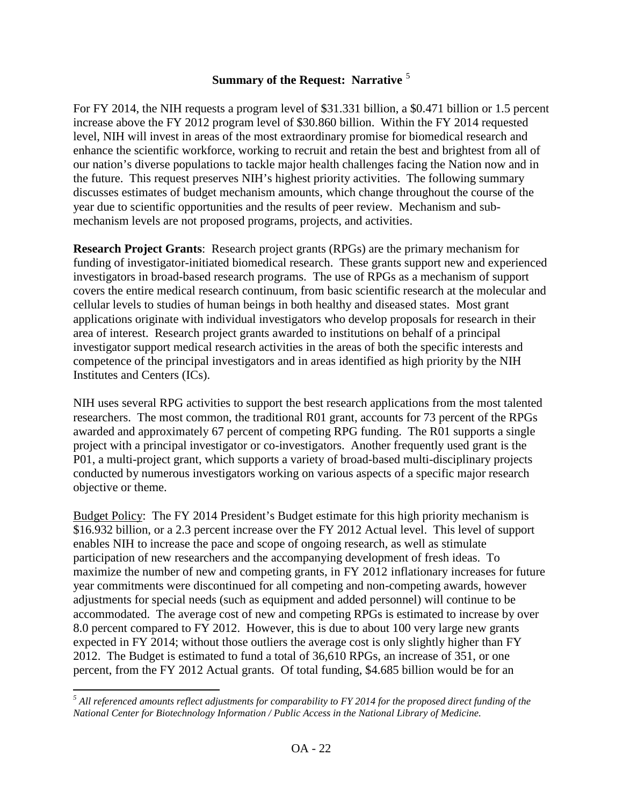## **Summary of the Request: Narrative** [5](#page-21-0)

For FY 2014, the NIH requests a program level of \$31.331 billion, a \$0.471 billion or 1.5 percent increase above the FY 2012 program level of \$30.860 billion. Within the FY 2014 requested level, NIH will invest in areas of the most extraordinary promise for biomedical research and enhance the scientific workforce, working to recruit and retain the best and brightest from all of our nation's diverse populations to tackle major health challenges facing the Nation now and in the future. This request preserves NIH's highest priority activities. The following summary discusses estimates of budget mechanism amounts, which change throughout the course of the year due to scientific opportunities and the results of peer review. Mechanism and submechanism levels are not proposed programs, projects, and activities.

**Research Project Grants**: Research project grants (RPGs) are the primary mechanism for funding of investigator-initiated biomedical research. These grants support new and experienced investigators in broad-based research programs. The use of RPGs as a mechanism of support covers the entire medical research continuum, from basic scientific research at the molecular and cellular levels to studies of human beings in both healthy and diseased states. Most grant applications originate with individual investigators who develop proposals for research in their area of interest. Research project grants awarded to institutions on behalf of a principal investigator support medical research activities in the areas of both the specific interests and competence of the principal investigators and in areas identified as high priority by the NIH Institutes and Centers (ICs).

NIH uses several RPG activities to support the best research applications from the most talented researchers. The most common, the traditional R01 grant, accounts for 73 percent of the RPGs awarded and approximately 67 percent of competing RPG funding. The R01 supports a single project with a principal investigator or co-investigators. Another frequently used grant is the P01, a multi-project grant, which supports a variety of broad-based multi-disciplinary projects conducted by numerous investigators working on various aspects of a specific major research objective or theme.

Budget Policy: The FY 2014 President's Budget estimate for this high priority mechanism is \$16.932 billion, or a 2.3 percent increase over the FY 2012 Actual level. This level of support enables NIH to increase the pace and scope of ongoing research, as well as stimulate participation of new researchers and the accompanying development of fresh ideas. To maximize the number of new and competing grants, in FY 2012 inflationary increases for future year commitments were discontinued for all competing and non-competing awards, however adjustments for special needs (such as equipment and added personnel) will continue to be accommodated. The average cost of new and competing RPGs is estimated to increase by over 8.0 percent compared to FY 2012. However, this is due to about 100 very large new grants expected in FY 2014; without those outliers the average cost is only slightly higher than FY 2012. The Budget is estimated to fund a total of 36,610 RPGs, an increase of 351, or one percent, from the FY 2012 Actual grants. Of total funding, \$4.685 billion would be for an

 $\overline{\phantom{a}}$ 

<span id="page-21-0"></span>*<sup>5</sup> All referenced amounts reflect adjustments for comparability to FY 2014 for the proposed direct funding of the National Center for Biotechnology Information / Public Access in the National Library of Medicine.*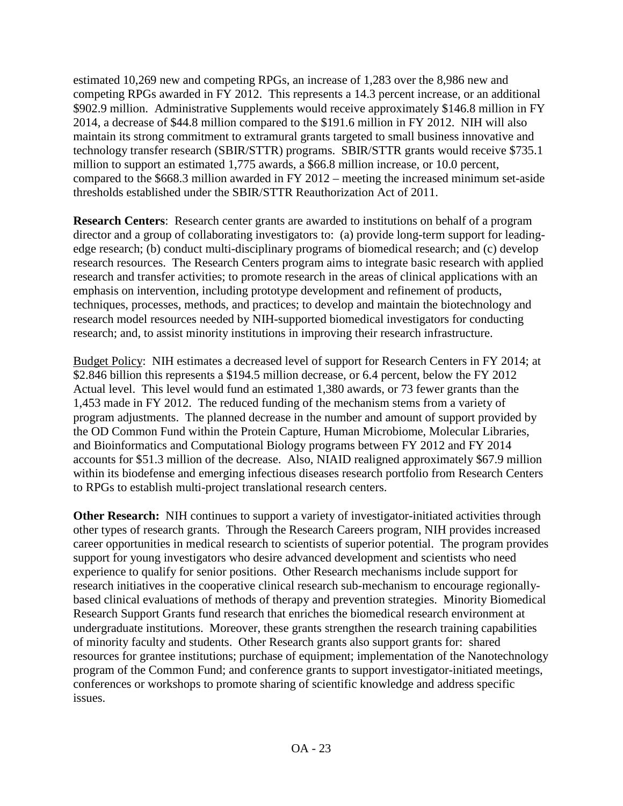estimated 10,269 new and competing RPGs, an increase of 1,283 over the 8,986 new and competing RPGs awarded in FY 2012. This represents a 14.3 percent increase, or an additional \$902.9 million. Administrative Supplements would receive approximately \$146.8 million in FY 2014, a decrease of \$44.8 million compared to the \$191.6 million in FY 2012. NIH will also maintain its strong commitment to extramural grants targeted to small business innovative and technology transfer research (SBIR/STTR) programs. SBIR/STTR grants would receive \$735.1 million to support an estimated 1,775 awards, a \$66.8 million increase, or 10.0 percent, compared to the \$668.3 million awarded in FY 2012 – meeting the increased minimum set-aside thresholds established under the SBIR/STTR Reauthorization Act of 2011.

**Research Centers**: Research center grants are awarded to institutions on behalf of a program director and a group of collaborating investigators to: (a) provide long-term support for leadingedge research; (b) conduct multi-disciplinary programs of biomedical research; and (c) develop research resources. The Research Centers program aims to integrate basic research with applied research and transfer activities; to promote research in the areas of clinical applications with an emphasis on intervention, including prototype development and refinement of products, techniques, processes, methods, and practices; to develop and maintain the biotechnology and research model resources needed by NIH-supported biomedical investigators for conducting research; and, to assist minority institutions in improving their research infrastructure.

Budget Policy: NIH estimates a decreased level of support for Research Centers in FY 2014; at \$2.846 billion this represents a \$194.5 million decrease, or 6.4 percent, below the FY 2012 Actual level. This level would fund an estimated 1,380 awards, or 73 fewer grants than the 1,453 made in FY 2012. The reduced funding of the mechanism stems from a variety of program adjustments. The planned decrease in the number and amount of support provided by the OD Common Fund within the Protein Capture, Human Microbiome, Molecular Libraries, and Bioinformatics and Computational Biology programs between FY 2012 and FY 2014 accounts for \$51.3 million of the decrease. Also, NIAID realigned approximately \$67.9 million within its biodefense and emerging infectious diseases research portfolio from Research Centers to RPGs to establish multi-project translational research centers.

**Other Research:** NIH continues to support a variety of investigator-initiated activities through other types of research grants. Through the Research Careers program, NIH provides increased career opportunities in medical research to scientists of superior potential. The program provides support for young investigators who desire advanced development and scientists who need experience to qualify for senior positions. Other Research mechanisms include support for research initiatives in the cooperative clinical research sub-mechanism to encourage regionallybased clinical evaluations of methods of therapy and prevention strategies. Minority Biomedical Research Support Grants fund research that enriches the biomedical research environment at undergraduate institutions. Moreover, these grants strengthen the research training capabilities of minority faculty and students. Other Research grants also support grants for: shared resources for grantee institutions; purchase of equipment; implementation of the Nanotechnology program of the Common Fund; and conference grants to support investigator-initiated meetings, conferences or workshops to promote sharing of scientific knowledge and address specific issues.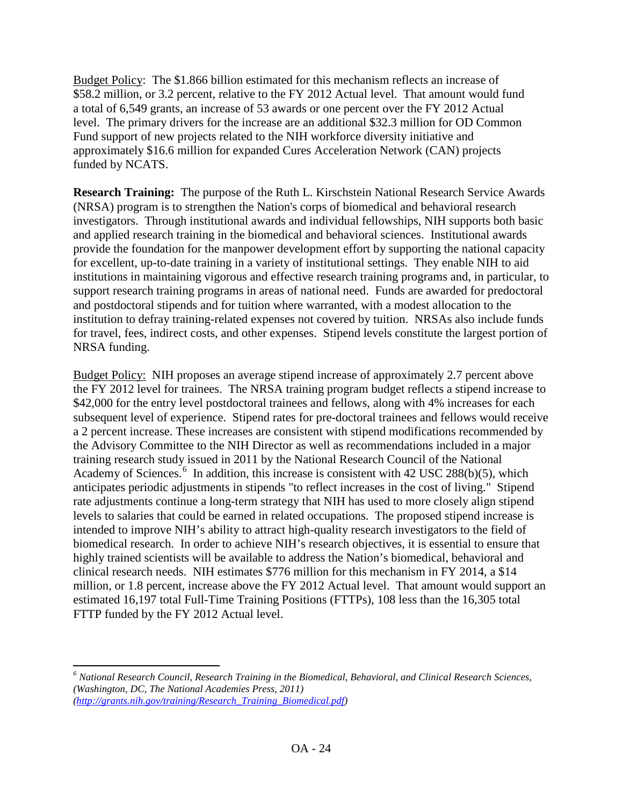Budget Policy: The \$1.866 billion estimated for this mechanism reflects an increase of \$58.2 million, or 3.2 percent, relative to the FY 2012 Actual level. That amount would fund a total of 6,549 grants, an increase of 53 awards or one percent over the FY 2012 Actual level. The primary drivers for the increase are an additional \$32.3 million for OD Common Fund support of new projects related to the NIH workforce diversity initiative and approximately \$16.6 million for expanded Cures Acceleration Network (CAN) projects funded by NCATS.

**Research Training:** The purpose of the Ruth L. Kirschstein National Research Service Awards (NRSA) program is to strengthen the Nation's corps of biomedical and behavioral research investigators. Through institutional awards and individual fellowships, NIH supports both basic and applied research training in the biomedical and behavioral sciences. Institutional awards provide the foundation for the manpower development effort by supporting the national capacity for excellent, up-to-date training in a variety of institutional settings. They enable NIH to aid institutions in maintaining vigorous and effective research training programs and, in particular, to support research training programs in areas of national need. Funds are awarded for predoctoral and postdoctoral stipends and for tuition where warranted, with a modest allocation to the institution to defray training-related expenses not covered by tuition. NRSAs also include funds for travel, fees, indirect costs, and other expenses. Stipend levels constitute the largest portion of NRSA funding.

Budget Policy: NIH proposes an average stipend increase of approximately 2.7 percent above the FY 2012 level for trainees. The NRSA training program budget reflects a stipend increase to \$42,000 for the entry level postdoctoral trainees and fellows, along with 4% increases for each subsequent level of experience. Stipend rates for pre-doctoral trainees and fellows would receive a 2 percent increase. These increases are consistent with stipend modifications recommended by the Advisory Committee to the NIH Director as well as recommendations included in a major training research study issued in 2011 by the National Research Council of the National Academy of Sciences.<sup>[6](#page-23-0)</sup> In addition, this increase is consistent with 42 USC 288(b)(5), which anticipates periodic adjustments in stipends "to reflect increases in the cost of living." Stipend rate adjustments continue a long-term strategy that NIH has used to more closely align stipend levels to salaries that could be earned in related occupations. The proposed stipend increase is intended to improve NIH's ability to attract high-quality research investigators to the field of biomedical research. In order to achieve NIH's research objectives, it is essential to ensure that highly trained scientists will be available to address the Nation's biomedical, behavioral and clinical research needs. NIH estimates \$776 million for this mechanism in FY 2014, a \$14 million, or 1.8 percent, increase above the FY 2012 Actual level. That amount would support an estimated 16,197 total Full-Time Training Positions (FTTPs), 108 less than the 16,305 total FTTP funded by the FY 2012 Actual level.

l

<span id="page-23-0"></span>*<sup>6</sup> National Research Council, Research Training in the Biomedical, Behavioral, and Clinical Research Sciences, (Washington, DC, The National Academies Press, 2011)*

*[<sup>\(</sup>http://grants.nih.gov/training/Research\\_Training\\_Biomedical.pdf\)](http://grants.nih.gov/training/Research_Training_Biomedical.pdf)*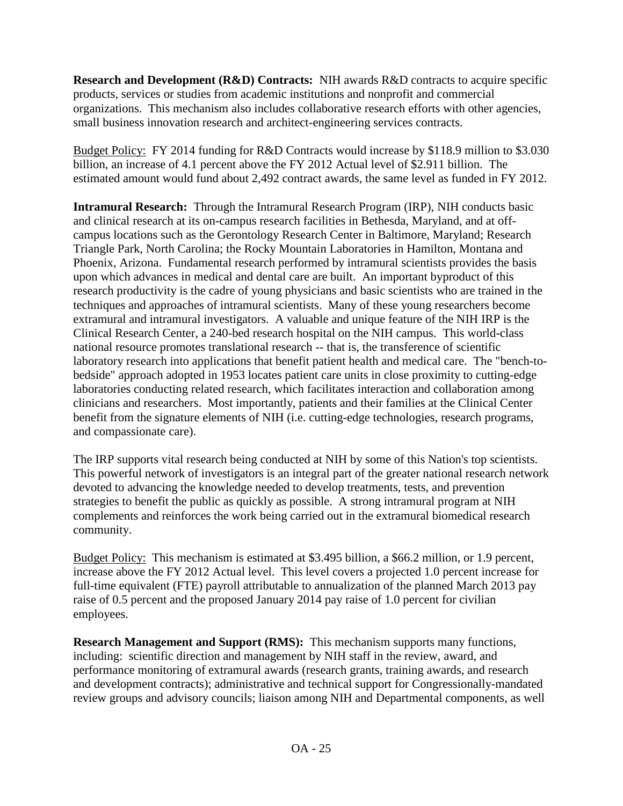**Research and Development (R&D) Contracts:** NIH awards R&D contracts to acquire specific products, services or studies from academic institutions and nonprofit and commercial organizations. This mechanism also includes collaborative research efforts with other agencies, small business innovation research and architect-engineering services contracts.

Budget Policy: FY 2014 funding for R&D Contracts would increase by \$118.9 million to \$3.030 billion, an increase of 4.1 percent above the FY 2012 Actual level of \$2.911 billion. The estimated amount would fund about 2,492 contract awards, the same level as funded in FY 2012.

**Intramural Research:** Through the Intramural Research Program (IRP), NIH conducts basic and clinical research at its on-campus research facilities in Bethesda, Maryland, and at offcampus locations such as the Gerontology Research Center in Baltimore, Maryland; Research Triangle Park, North Carolina; the Rocky Mountain Laboratories in Hamilton, Montana and Phoenix, Arizona. Fundamental research performed by intramural scientists provides the basis upon which advances in medical and dental care are built. An important byproduct of this research productivity is the cadre of young physicians and basic scientists who are trained in the techniques and approaches of intramural scientists. Many of these young researchers become extramural and intramural investigators. A valuable and unique feature of the NIH IRP is the Clinical Research Center, a 240-bed research hospital on the NIH campus. This world-class national resource promotes translational research -- that is, the transference of scientific laboratory research into applications that benefit patient health and medical care. The "bench-tobedside" approach adopted in 1953 locates patient care units in close proximity to cutting-edge laboratories conducting related research, which facilitates interaction and collaboration among clinicians and researchers. Most importantly, patients and their families at the Clinical Center benefit from the signature elements of NIH (i.e. cutting-edge technologies, research programs, and compassionate care).

The IRP supports vital research being conducted at NIH by some of this Nation's top scientists. This powerful network of investigators is an integral part of the greater national research network devoted to advancing the knowledge needed to develop treatments, tests, and prevention strategies to benefit the public as quickly as possible. A strong intramural program at NIH complements and reinforces the work being carried out in the extramural biomedical research community.

Budget Policy: This mechanism is estimated at \$3.495 billion, a \$66.2 million, or 1.9 percent, increase above the FY 2012 Actual level. This level covers a projected 1.0 percent increase for full-time equivalent (FTE) payroll attributable to annualization of the planned March 2013 pay raise of 0.5 percent and the proposed January 2014 pay raise of 1.0 percent for civilian employees.

**Research Management and Support (RMS):** This mechanism supports many functions, including: scientific direction and management by NIH staff in the review, award, and performance monitoring of extramural awards (research grants, training awards, and research and development contracts); administrative and technical support for Congressionally-mandated review groups and advisory councils; liaison among NIH and Departmental components, as well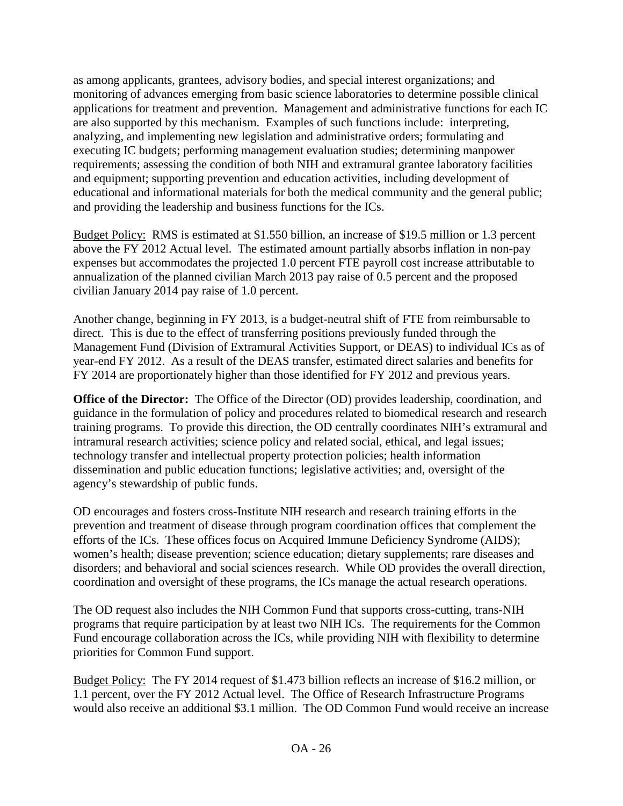as among applicants, grantees, advisory bodies, and special interest organizations; and monitoring of advances emerging from basic science laboratories to determine possible clinical applications for treatment and prevention. Management and administrative functions for each IC are also supported by this mechanism. Examples of such functions include: interpreting, analyzing, and implementing new legislation and administrative orders; formulating and executing IC budgets; performing management evaluation studies; determining manpower requirements; assessing the condition of both NIH and extramural grantee laboratory facilities and equipment; supporting prevention and education activities, including development of educational and informational materials for both the medical community and the general public; and providing the leadership and business functions for the ICs.

Budget Policy: RMS is estimated at \$1.550 billion, an increase of \$19.5 million or 1.3 percent above the FY 2012 Actual level. The estimated amount partially absorbs inflation in non-pay expenses but accommodates the projected 1.0 percent FTE payroll cost increase attributable to annualization of the planned civilian March 2013 pay raise of 0.5 percent and the proposed civilian January 2014 pay raise of 1.0 percent.

Another change, beginning in FY 2013, is a budget-neutral shift of FTE from reimbursable to direct. This is due to the effect of transferring positions previously funded through the Management Fund (Division of Extramural Activities Support, or DEAS) to individual ICs as of year-end FY 2012. As a result of the DEAS transfer, estimated direct salaries and benefits for FY 2014 are proportionately higher than those identified for FY 2012 and previous years.

**Office of the Director:** The Office of the Director (OD) provides leadership, coordination, and guidance in the formulation of policy and procedures related to biomedical research and research training programs. To provide this direction, the OD centrally coordinates NIH's extramural and intramural research activities; science policy and related social, ethical, and legal issues; technology transfer and intellectual property protection policies; health information dissemination and public education functions; legislative activities; and, oversight of the agency's stewardship of public funds.

OD encourages and fosters cross-Institute NIH research and research training efforts in the prevention and treatment of disease through program coordination offices that complement the efforts of the ICs. These offices focus on Acquired Immune Deficiency Syndrome (AIDS); women's health; disease prevention; science education; dietary supplements; rare diseases and disorders; and behavioral and social sciences research. While OD provides the overall direction, coordination and oversight of these programs, the ICs manage the actual research operations.

The OD request also includes the NIH Common Fund that supports cross-cutting, trans-NIH programs that require participation by at least two NIH ICs. The requirements for the Common Fund encourage collaboration across the ICs, while providing NIH with flexibility to determine priorities for Common Fund support.

Budget Policy: The FY 2014 request of \$1.473 billion reflects an increase of \$16.2 million, or 1.1 percent, over the FY 2012 Actual level. The Office of Research Infrastructure Programs would also receive an additional \$3.1 million. The OD Common Fund would receive an increase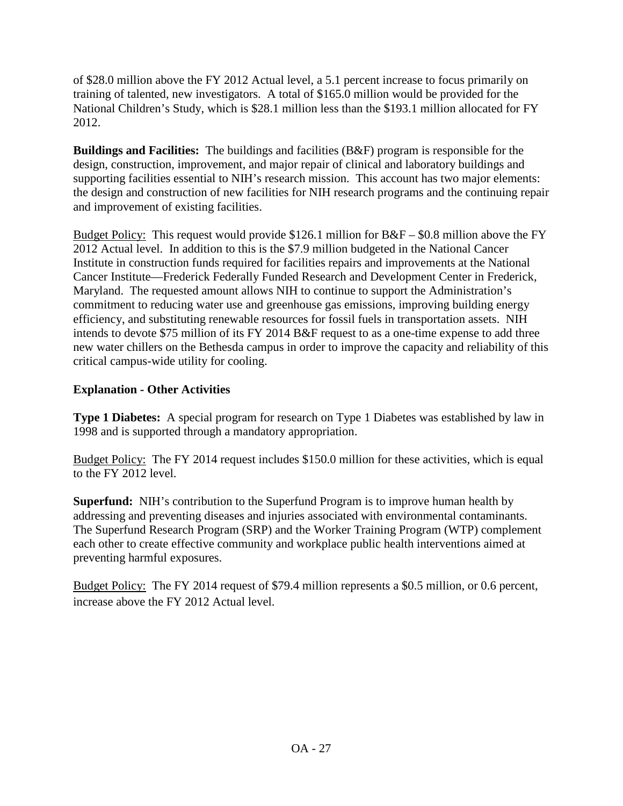of \$28.0 million above the FY 2012 Actual level, a 5.1 percent increase to focus primarily on training of talented, new investigators. A total of \$165.0 million would be provided for the National Children's Study, which is \$28.1 million less than the \$193.1 million allocated for FY 2012.

**Buildings and Facilities:** The buildings and facilities (B&F) program is responsible for the design, construction, improvement, and major repair of clinical and laboratory buildings and supporting facilities essential to NIH's research mission. This account has two major elements: the design and construction of new facilities for NIH research programs and the continuing repair and improvement of existing facilities.

Budget Policy: This request would provide \$126.1 million for B&F – \$0.8 million above the FY 2012 Actual level. In addition to this is the \$7.9 million budgeted in the National Cancer Institute in construction funds required for facilities repairs and improvements at the National Cancer Institute—Frederick Federally Funded Research and Development Center in Frederick, Maryland. The requested amount allows NIH to continue to support the Administration's commitment to reducing water use and greenhouse gas emissions, improving building energy efficiency, and substituting renewable resources for fossil fuels in transportation assets. NIH intends to devote \$75 million of its FY 2014 B&F request to as a one-time expense to add three new water chillers on the Bethesda campus in order to improve the capacity and reliability of this critical campus-wide utility for cooling.

## **Explanation - Other Activities**

**Type 1 Diabetes:** A special program for research on Type 1 Diabetes was established by law in 1998 and is supported through a mandatory appropriation.

Budget Policy: The FY 2014 request includes \$150.0 million for these activities, which is equal to the FY 2012 level.

**Superfund:** NIH's contribution to the Superfund Program is to improve human health by addressing and preventing diseases and injuries associated with environmental contaminants. The Superfund Research Program (SRP) and the Worker Training Program (WTP) complement each other to create effective community and workplace public health interventions aimed at preventing harmful exposures.

Budget Policy: The FY 2014 request of \$79.4 million represents a \$0.5 million, or 0.6 percent, increase above the FY 2012 Actual level.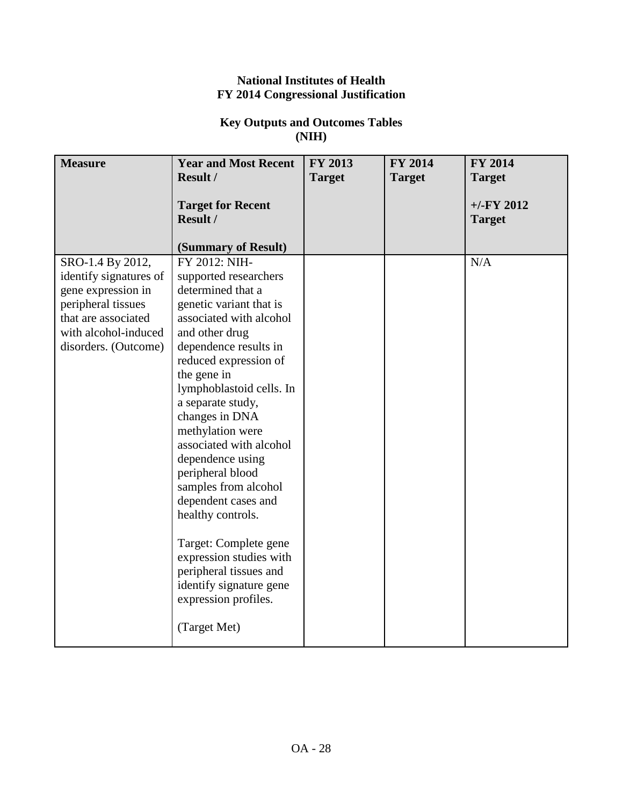## **National Institutes of Health FY 2014 Congressional Justification**

## **Key Outputs and Outcomes Tables (NIH)**

| <b>Measure</b>         | <b>Year and Most Recent</b>                                 | FY 2013       | <b>FY 2014</b> | <b>FY 2014</b>                |
|------------------------|-------------------------------------------------------------|---------------|----------------|-------------------------------|
|                        | Result /                                                    | <b>Target</b> | <b>Target</b>  | <b>Target</b>                 |
|                        | <b>Target for Recent</b><br>Result /<br>(Summary of Result) |               |                | $+/-FY$ 2012<br><b>Target</b> |
| SRO-1.4 By 2012,       | FY 2012: NIH-                                               |               |                | N/A                           |
| identify signatures of | supported researchers                                       |               |                |                               |
| gene expression in     | determined that a                                           |               |                |                               |
| peripheral tissues     | genetic variant that is                                     |               |                |                               |
| that are associated    | associated with alcohol                                     |               |                |                               |
| with alcohol-induced   | and other drug                                              |               |                |                               |
| disorders. (Outcome)   | dependence results in                                       |               |                |                               |
|                        | reduced expression of                                       |               |                |                               |
|                        | the gene in                                                 |               |                |                               |
|                        | lymphoblastoid cells. In                                    |               |                |                               |
|                        | a separate study,                                           |               |                |                               |
|                        | changes in DNA<br>methylation were                          |               |                |                               |
|                        | associated with alcohol                                     |               |                |                               |
|                        | dependence using                                            |               |                |                               |
|                        | peripheral blood                                            |               |                |                               |
|                        | samples from alcohol                                        |               |                |                               |
|                        | dependent cases and                                         |               |                |                               |
|                        | healthy controls.                                           |               |                |                               |
|                        |                                                             |               |                |                               |
|                        | Target: Complete gene                                       |               |                |                               |
|                        | expression studies with                                     |               |                |                               |
|                        | peripheral tissues and                                      |               |                |                               |
|                        | identify signature gene                                     |               |                |                               |
|                        | expression profiles.                                        |               |                |                               |
|                        | (Target Met)                                                |               |                |                               |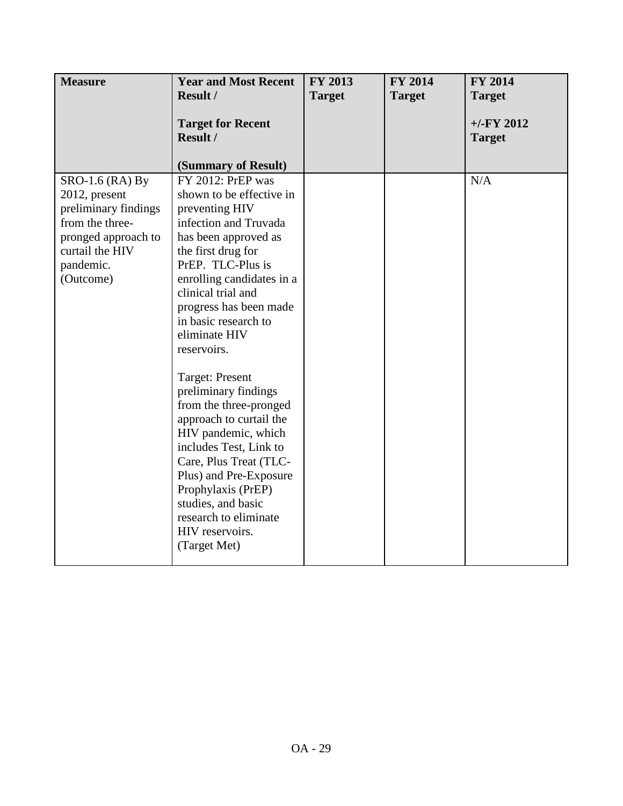| <b>Measure</b>                                                                                                                                    | <b>Year and Most Recent</b>                                                                                                                                                                                                                                                                                                                                                                                                                                                                                                                                                                                          | <b>FY 2013</b> | FY 2014       | FY 2014                        |
|---------------------------------------------------------------------------------------------------------------------------------------------------|----------------------------------------------------------------------------------------------------------------------------------------------------------------------------------------------------------------------------------------------------------------------------------------------------------------------------------------------------------------------------------------------------------------------------------------------------------------------------------------------------------------------------------------------------------------------------------------------------------------------|----------------|---------------|--------------------------------|
|                                                                                                                                                   | Result /                                                                                                                                                                                                                                                                                                                                                                                                                                                                                                                                                                                                             | <b>Target</b>  | <b>Target</b> | <b>Target</b>                  |
|                                                                                                                                                   | <b>Target for Recent</b><br>Result /<br>(Summary of Result)                                                                                                                                                                                                                                                                                                                                                                                                                                                                                                                                                          |                |               | $+/-$ FY 2012<br><b>Target</b> |
| $SRO-1.6$ (RA) By<br>2012, present<br>preliminary findings<br>from the three-<br>pronged approach to<br>curtail the HIV<br>pandemic.<br>(Outcome) | FY 2012: PrEP was<br>shown to be effective in<br>preventing HIV<br>infection and Truvada<br>has been approved as<br>the first drug for<br>PrEP. TLC-Plus is<br>enrolling candidates in a<br>clinical trial and<br>progress has been made<br>in basic research to<br>eliminate HIV<br>reservoirs.<br><b>Target: Present</b><br>preliminary findings<br>from the three-pronged<br>approach to curtail the<br>HIV pandemic, which<br>includes Test, Link to<br>Care, Plus Treat (TLC-<br>Plus) and Pre-Exposure<br>Prophylaxis (PrEP)<br>studies, and basic<br>research to eliminate<br>HIV reservoirs.<br>(Target Met) |                |               | N/A                            |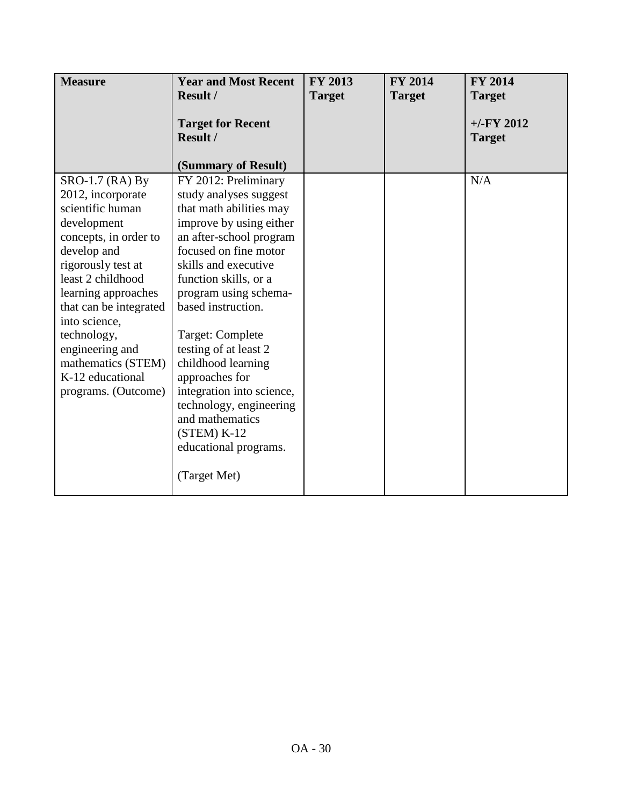| <b>Measure</b>                 | <b>Year and Most Recent</b>               | FY 2013       | <b>FY 2014</b> | <b>FY 2014</b> |
|--------------------------------|-------------------------------------------|---------------|----------------|----------------|
|                                | <b>Result /</b>                           | <b>Target</b> | <b>Target</b>  | <b>Target</b>  |
|                                | <b>Target for Recent</b>                  |               |                | $+/-FY$ 2012   |
|                                | Result /                                  |               |                | <b>Target</b>  |
|                                |                                           |               |                |                |
|                                | (Summary of Result)                       |               |                |                |
| $SRO-1.7$ (RA) By              | FY 2012: Preliminary                      |               |                | N/A            |
| 2012, incorporate              | study analyses suggest                    |               |                |                |
| scientific human               | that math abilities may                   |               |                |                |
| development                    | improve by using either                   |               |                |                |
| concepts, in order to          | an after-school program                   |               |                |                |
| develop and                    | focused on fine motor                     |               |                |                |
| rigorously test at             | skills and executive                      |               |                |                |
| least 2 childhood              | function skills, or a                     |               |                |                |
| learning approaches            | program using schema-                     |               |                |                |
| that can be integrated         | based instruction.                        |               |                |                |
| into science,                  |                                           |               |                |                |
| technology,<br>engineering and | Target: Complete<br>testing of at least 2 |               |                |                |
| mathematics (STEM)             | childhood learning                        |               |                |                |
| K-12 educational               | approaches for                            |               |                |                |
| programs. (Outcome)            | integration into science,                 |               |                |                |
|                                | technology, engineering                   |               |                |                |
|                                | and mathematics                           |               |                |                |
|                                | $(STEM) K-12$                             |               |                |                |
|                                | educational programs.                     |               |                |                |
|                                |                                           |               |                |                |
|                                | (Target Met)                              |               |                |                |
|                                |                                           |               |                |                |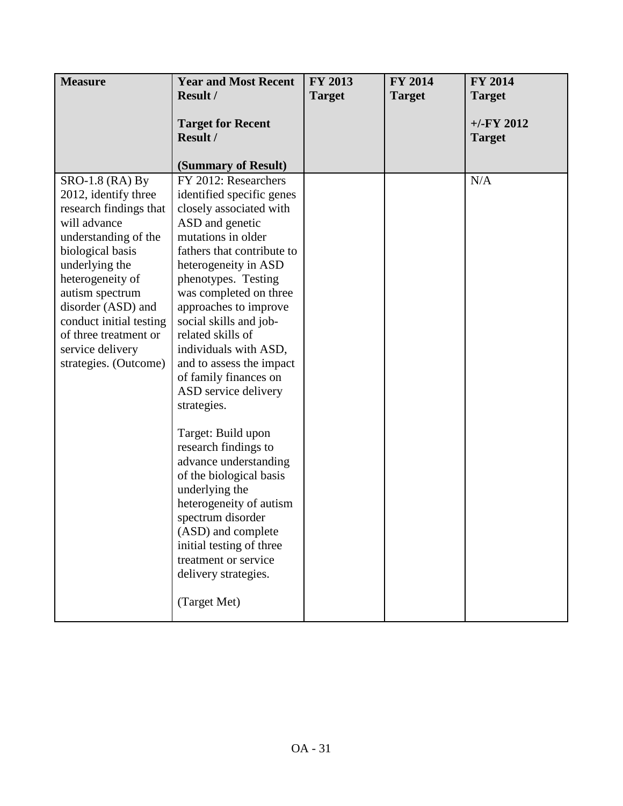| <b>Measure</b>                                                                                                                                                                                                                                                                                                | <b>Year and Most Recent</b>                                                                                                                                                                                                                                                                                                                                                                                                                                                                                                                                                                                                                                                                     | FY 2013       | <b>FY 2014</b> | <b>FY 2014</b>                 |
|---------------------------------------------------------------------------------------------------------------------------------------------------------------------------------------------------------------------------------------------------------------------------------------------------------------|-------------------------------------------------------------------------------------------------------------------------------------------------------------------------------------------------------------------------------------------------------------------------------------------------------------------------------------------------------------------------------------------------------------------------------------------------------------------------------------------------------------------------------------------------------------------------------------------------------------------------------------------------------------------------------------------------|---------------|----------------|--------------------------------|
|                                                                                                                                                                                                                                                                                                               | <b>Result /</b>                                                                                                                                                                                                                                                                                                                                                                                                                                                                                                                                                                                                                                                                                 | <b>Target</b> | <b>Target</b>  | <b>Target</b>                  |
|                                                                                                                                                                                                                                                                                                               | <b>Target for Recent</b><br>Result /                                                                                                                                                                                                                                                                                                                                                                                                                                                                                                                                                                                                                                                            |               |                | $+/-$ FY 2012<br><b>Target</b> |
|                                                                                                                                                                                                                                                                                                               | (Summary of Result)                                                                                                                                                                                                                                                                                                                                                                                                                                                                                                                                                                                                                                                                             |               |                |                                |
| SRO-1.8 (RA) By<br>2012, identify three<br>research findings that<br>will advance<br>understanding of the<br>biological basis<br>underlying the<br>heterogeneity of<br>autism spectrum<br>disorder (ASD) and<br>conduct initial testing<br>of three treatment or<br>service delivery<br>strategies. (Outcome) | FY 2012: Researchers<br>identified specific genes<br>closely associated with<br>ASD and genetic<br>mutations in older<br>fathers that contribute to<br>heterogeneity in ASD<br>phenotypes. Testing<br>was completed on three<br>approaches to improve<br>social skills and job-<br>related skills of<br>individuals with ASD,<br>and to assess the impact<br>of family finances on<br>ASD service delivery<br>strategies.<br>Target: Build upon<br>research findings to<br>advance understanding<br>of the biological basis<br>underlying the<br>heterogeneity of autism<br>spectrum disorder<br>(ASD) and complete<br>initial testing of three<br>treatment or service<br>delivery strategies. |               |                | N/A                            |
|                                                                                                                                                                                                                                                                                                               | (Target Met)                                                                                                                                                                                                                                                                                                                                                                                                                                                                                                                                                                                                                                                                                    |               |                |                                |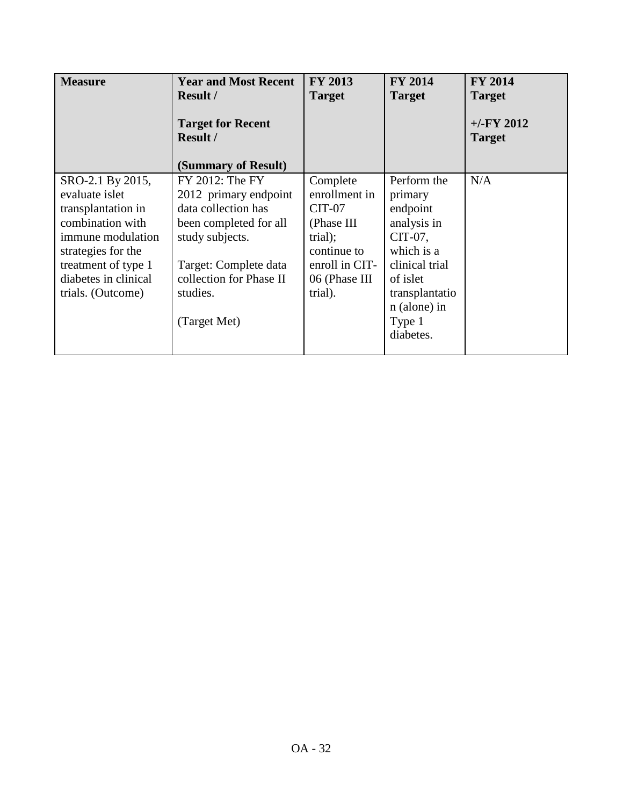| <b>Measure</b>                                                                                                                                                                              | <b>Year and Most Recent</b><br><b>Result /</b><br><b>Target for Recent</b><br><b>Result /</b><br>(Summary of Result)                                                                         | <b>FY 2013</b><br><b>Target</b>                                                                                                    | <b>FY 2014</b><br><b>Target</b>                                                                                                                                   | <b>FY 2014</b><br><b>Target</b><br>$+/-FY$ 2012<br><b>Target</b> |
|---------------------------------------------------------------------------------------------------------------------------------------------------------------------------------------------|----------------------------------------------------------------------------------------------------------------------------------------------------------------------------------------------|------------------------------------------------------------------------------------------------------------------------------------|-------------------------------------------------------------------------------------------------------------------------------------------------------------------|------------------------------------------------------------------|
| SRO-2.1 By 2015,<br>evaluate islet<br>transplantation in<br>combination with<br>immune modulation<br>strategies for the<br>treatment of type 1<br>diabetes in clinical<br>trials. (Outcome) | FY 2012: The FY<br>2012 primary endpoint<br>data collection has<br>been completed for all<br>study subjects.<br>Target: Complete data<br>collection for Phase II<br>studies.<br>(Target Met) | Complete<br>enrollment in<br><b>CIT-07</b><br>(Phase III)<br>trial);<br>continue to<br>enroll in CIT-<br>06 (Phase III)<br>trial). | Perform the<br>primary<br>endpoint<br>analysis in<br>CIT-07,<br>which is a<br>clinical trial<br>of islet<br>transplantatio<br>n (alone) in<br>Type 1<br>diabetes. | N/A                                                              |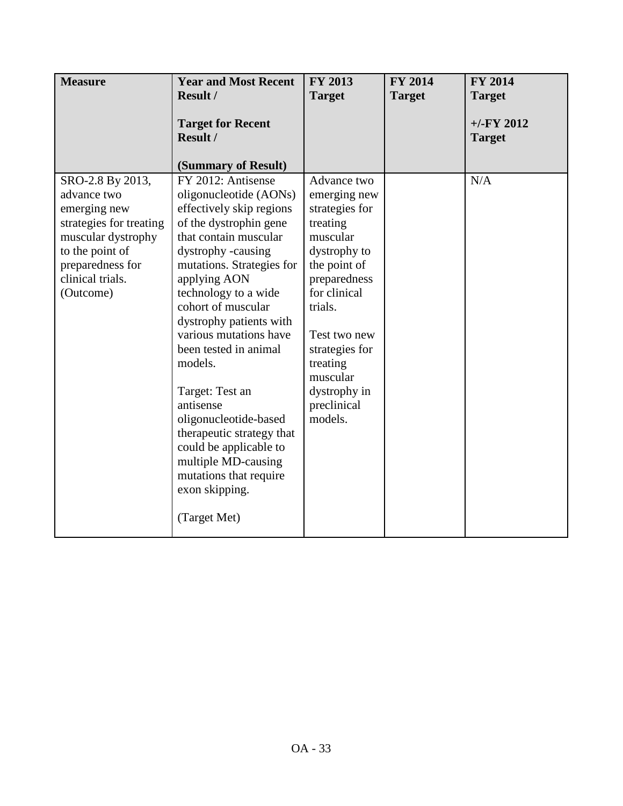| <b>Measure</b>                                                                                                                                                           | <b>Year and Most Recent</b>                                                                                                                                                                                                                                                                                                                                                                                                                                                                                              | <b>FY 2013</b>                                                                                                                                                                                                                                       | <b>FY 2014</b> | <b>FY 2014</b>                |
|--------------------------------------------------------------------------------------------------------------------------------------------------------------------------|--------------------------------------------------------------------------------------------------------------------------------------------------------------------------------------------------------------------------------------------------------------------------------------------------------------------------------------------------------------------------------------------------------------------------------------------------------------------------------------------------------------------------|------------------------------------------------------------------------------------------------------------------------------------------------------------------------------------------------------------------------------------------------------|----------------|-------------------------------|
|                                                                                                                                                                          | <b>Result /</b>                                                                                                                                                                                                                                                                                                                                                                                                                                                                                                          | <b>Target</b>                                                                                                                                                                                                                                        | <b>Target</b>  | <b>Target</b>                 |
|                                                                                                                                                                          | <b>Target for Recent</b><br>Result /<br>(Summary of Result)                                                                                                                                                                                                                                                                                                                                                                                                                                                              |                                                                                                                                                                                                                                                      |                | $+/-FY$ 2012<br><b>Target</b> |
|                                                                                                                                                                          |                                                                                                                                                                                                                                                                                                                                                                                                                                                                                                                          |                                                                                                                                                                                                                                                      |                |                               |
| SRO-2.8 By 2013,<br>advance two<br>emerging new<br>strategies for treating<br>muscular dystrophy<br>to the point of<br>preparedness for<br>clinical trials.<br>(Outcome) | FY 2012: Antisense<br>oligonucleotide (AONs)<br>effectively skip regions<br>of the dystrophin gene<br>that contain muscular<br>dystrophy -causing<br>mutations. Strategies for<br>applying AON<br>technology to a wide<br>cohort of muscular<br>dystrophy patients with<br>various mutations have<br>been tested in animal<br>models.<br>Target: Test an<br>antisense<br>oligonucleotide-based<br>therapeutic strategy that<br>could be applicable to<br>multiple MD-causing<br>mutations that require<br>exon skipping. | Advance two<br>emerging new<br>strategies for<br>treating<br>muscular<br>dystrophy to<br>the point of<br>preparedness<br>for clinical<br>trials.<br>Test two new<br>strategies for<br>treating<br>muscular<br>dystrophy in<br>preclinical<br>models. |                | N/A                           |
|                                                                                                                                                                          | (Target Met)                                                                                                                                                                                                                                                                                                                                                                                                                                                                                                             |                                                                                                                                                                                                                                                      |                |                               |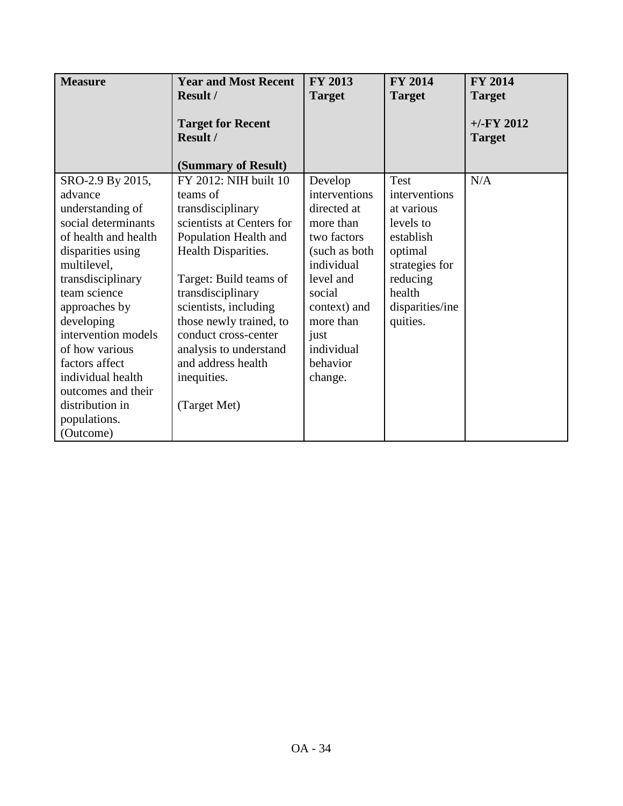| <b>Measure</b>       | <b>Year and Most Recent</b>                 | <b>FY 2013</b> | <b>FY 2014</b>  | <b>FY 2014</b>                |
|----------------------|---------------------------------------------|----------------|-----------------|-------------------------------|
|                      | <b>Result /</b>                             | <b>Target</b>  | <b>Target</b>   | <b>Target</b>                 |
|                      | <b>Target for Recent</b><br><b>Result /</b> |                |                 | $+/-FY$ 2012<br><b>Target</b> |
|                      | (Summary of Result)                         |                |                 |                               |
| SRO-2.9 By 2015,     | FY 2012: NIH built 10                       | Develop        | <b>Test</b>     | N/A                           |
| advance              | teams of                                    | interventions  | interventions   |                               |
| understanding of     | transdisciplinary                           | directed at    | at various      |                               |
| social determinants  | scientists at Centers for                   | more than      | levels to       |                               |
| of health and health | Population Health and                       | two factors    | establish       |                               |
| disparities using    | Health Disparities.                         | (such as both) | optimal         |                               |
| multilevel,          |                                             | individual     | strategies for  |                               |
| transdisciplinary    | Target: Build teams of                      | level and      | reducing        |                               |
| team science         | transdisciplinary                           | social         | health          |                               |
| approaches by        | scientists, including                       | context) and   | disparities/ine |                               |
| developing           | those newly trained, to                     | more than      | quities.        |                               |
| intervention models  | conduct cross-center                        | just           |                 |                               |
| of how various       | analysis to understand                      | individual     |                 |                               |
| factors affect       | and address health                          | behavior       |                 |                               |
| individual health    | inequities.                                 | change.        |                 |                               |
| outcomes and their   |                                             |                |                 |                               |
| distribution in      | (Target Met)                                |                |                 |                               |
| populations.         |                                             |                |                 |                               |
| (Outcome)            |                                             |                |                 |                               |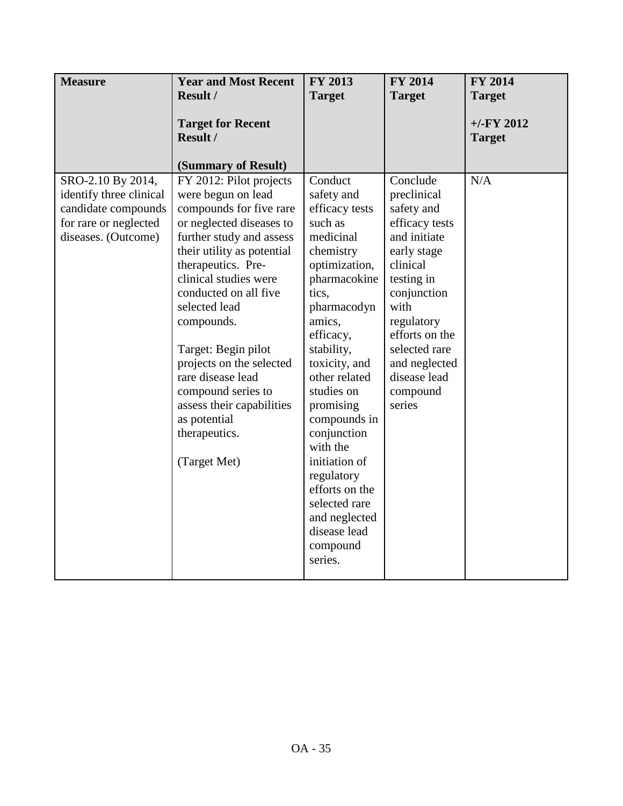| <b>Measure</b>                                                                                                      | <b>Year and Most Recent</b>                                                                                                                                                                                                                                                                                                                                                                                                                       | FY 2013                                                                                                                                                                                                                                                                                                                                                                                                      | <b>FY 2014</b>                                                                                                                                                                                                                                  | <b>FY 2014</b>                |
|---------------------------------------------------------------------------------------------------------------------|---------------------------------------------------------------------------------------------------------------------------------------------------------------------------------------------------------------------------------------------------------------------------------------------------------------------------------------------------------------------------------------------------------------------------------------------------|--------------------------------------------------------------------------------------------------------------------------------------------------------------------------------------------------------------------------------------------------------------------------------------------------------------------------------------------------------------------------------------------------------------|-------------------------------------------------------------------------------------------------------------------------------------------------------------------------------------------------------------------------------------------------|-------------------------------|
|                                                                                                                     | Result /                                                                                                                                                                                                                                                                                                                                                                                                                                          | <b>Target</b>                                                                                                                                                                                                                                                                                                                                                                                                | <b>Target</b>                                                                                                                                                                                                                                   | <b>Target</b>                 |
|                                                                                                                     | <b>Target for Recent</b><br>Result /<br>(Summary of Result)                                                                                                                                                                                                                                                                                                                                                                                       |                                                                                                                                                                                                                                                                                                                                                                                                              |                                                                                                                                                                                                                                                 | $+/-FY$ 2012<br><b>Target</b> |
| SRO-2.10 By 2014,<br>identify three clinical<br>candidate compounds<br>for rare or neglected<br>diseases. (Outcome) | FY 2012: Pilot projects<br>were begun on lead<br>compounds for five rare<br>or neglected diseases to<br>further study and assess<br>their utility as potential<br>therapeutics. Pre-<br>clinical studies were<br>conducted on all five<br>selected lead<br>compounds.<br>Target: Begin pilot<br>projects on the selected<br>rare disease lead<br>compound series to<br>assess their capabilities<br>as potential<br>therapeutics.<br>(Target Met) | Conduct<br>safety and<br>efficacy tests<br>such as<br>medicinal<br>chemistry<br>optimization,<br>pharmacokine<br>tics.<br>pharmacodyn<br>amics,<br>efficacy,<br>stability,<br>toxicity, and<br>other related<br>studies on<br>promising<br>compounds in<br>conjunction<br>with the<br>initiation of<br>regulatory<br>efforts on the<br>selected rare<br>and neglected<br>disease lead<br>compound<br>series. | Conclude<br>preclinical<br>safety and<br>efficacy tests<br>and initiate<br>early stage<br>clinical<br>testing in<br>conjunction<br>with<br>regulatory<br>efforts on the<br>selected rare<br>and neglected<br>disease lead<br>compound<br>series | N/A                           |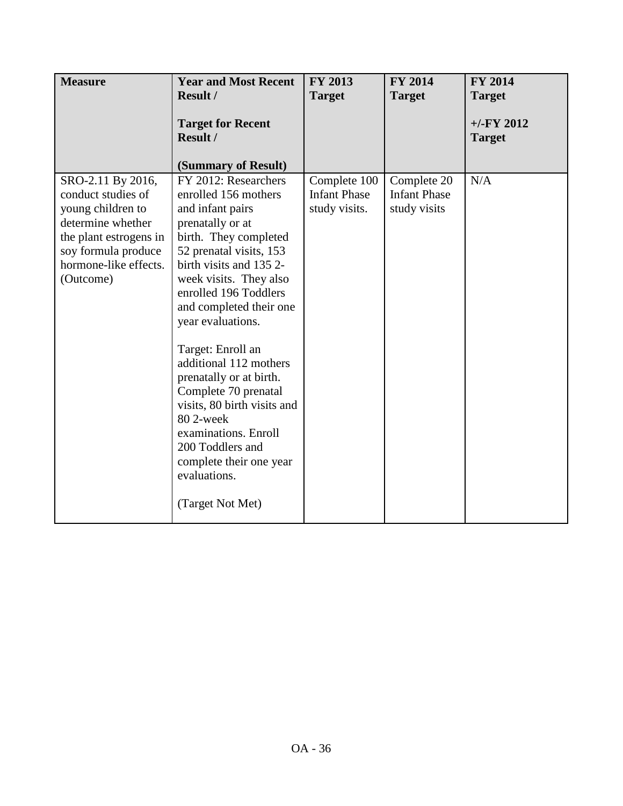| <b>Measure</b>                                                                    | <b>Year and Most Recent</b><br>Result /                                              | <b>FY 2013</b><br><b>Target</b>                      | <b>FY 2014</b><br><b>Target</b>                    | <b>FY 2014</b><br><b>Target</b> |
|-----------------------------------------------------------------------------------|--------------------------------------------------------------------------------------|------------------------------------------------------|----------------------------------------------------|---------------------------------|
|                                                                                   |                                                                                      |                                                      |                                                    |                                 |
|                                                                                   | <b>Target for Recent</b><br>Result /                                                 |                                                      |                                                    | $+/-FY$ 2012<br><b>Target</b>   |
|                                                                                   |                                                                                      |                                                      |                                                    |                                 |
|                                                                                   | (Summary of Result)                                                                  |                                                      |                                                    |                                 |
| SRO-2.11 By 2016,<br>conduct studies of<br>young children to<br>determine whether | FY 2012: Researchers<br>enrolled 156 mothers<br>and infant pairs<br>prenatally or at | Complete 100<br><b>Infant Phase</b><br>study visits. | Complete 20<br><b>Infant Phase</b><br>study visits | N/A                             |
| the plant estrogens in<br>soy formula produce<br>hormone-like effects.            | birth. They completed<br>52 prenatal visits, 153<br>birth visits and 1352-           |                                                      |                                                    |                                 |
| (Outcome)                                                                         | week visits. They also<br>enrolled 196 Toddlers<br>and completed their one           |                                                      |                                                    |                                 |
|                                                                                   | year evaluations.<br>Target: Enroll an                                               |                                                      |                                                    |                                 |
|                                                                                   | additional 112 mothers<br>prenatally or at birth.                                    |                                                      |                                                    |                                 |
|                                                                                   | Complete 70 prenatal<br>visits, 80 birth visits and<br>80 2-week                     |                                                      |                                                    |                                 |
|                                                                                   | examinations. Enroll<br>200 Toddlers and<br>complete their one year<br>evaluations.  |                                                      |                                                    |                                 |
|                                                                                   | (Target Not Met)                                                                     |                                                      |                                                    |                                 |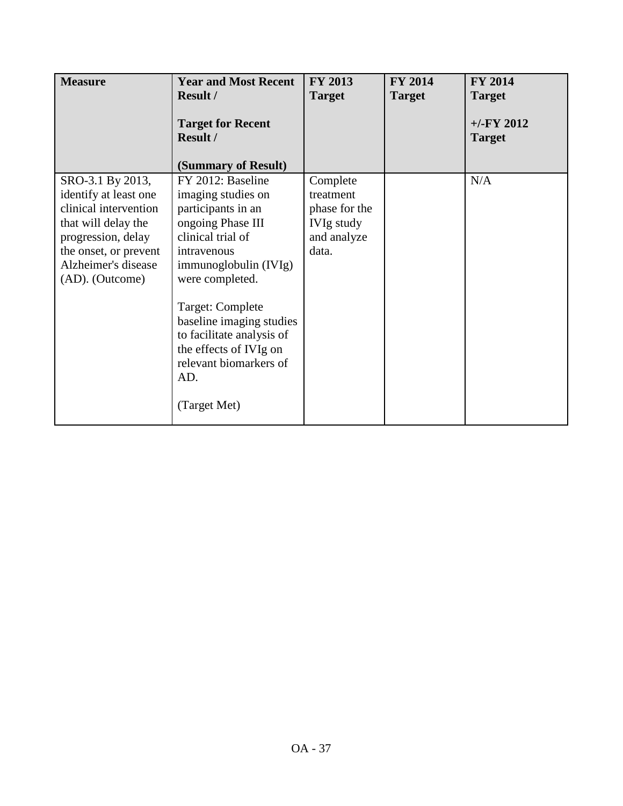| <b>Measure</b>                                                                                                                                                                     | <b>Year and Most Recent</b><br><b>Result /</b><br><b>Target for Recent</b><br><b>Result /</b>                                                                                                                                                                                                                              | <b>FY 2013</b><br><b>Target</b>                                                     | <b>FY 2014</b><br><b>Target</b> | <b>FY 2014</b><br><b>Target</b><br>$+/-$ FY 2012<br><b>Target</b> |
|------------------------------------------------------------------------------------------------------------------------------------------------------------------------------------|----------------------------------------------------------------------------------------------------------------------------------------------------------------------------------------------------------------------------------------------------------------------------------------------------------------------------|-------------------------------------------------------------------------------------|---------------------------------|-------------------------------------------------------------------|
|                                                                                                                                                                                    | (Summary of Result)                                                                                                                                                                                                                                                                                                        |                                                                                     |                                 |                                                                   |
| SRO-3.1 By 2013,<br>identify at least one<br>clinical intervention<br>that will delay the<br>progression, delay<br>the onset, or prevent<br>Alzheimer's disease<br>(AD). (Outcome) | FY 2012: Baseline<br>imaging studies on<br>participants in an<br>ongoing Phase III<br>clinical trial of<br>intravenous<br>immunoglobulin (IVIg)<br>were completed.<br>Target: Complete<br>baseline imaging studies<br>to facilitate analysis of<br>the effects of IVIg on<br>relevant biomarkers of<br>AD.<br>(Target Met) | Complete<br>treatment<br>phase for the<br><b>IVIg study</b><br>and analyze<br>data. |                                 | N/A                                                               |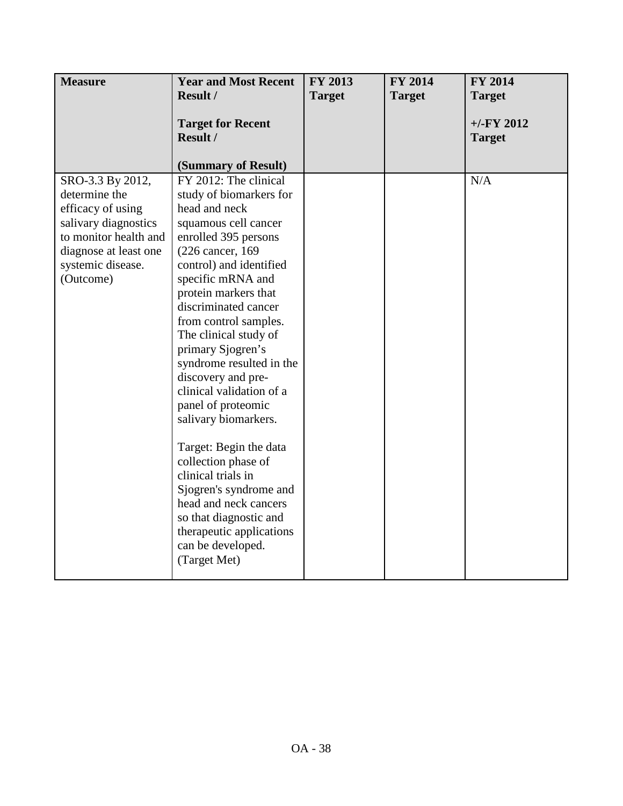| <b>Measure</b>        | <b>Year and Most Recent</b>                                        | FY 2013       | <b>FY 2014</b> | FY 2014                       |
|-----------------------|--------------------------------------------------------------------|---------------|----------------|-------------------------------|
|                       | Result /                                                           | <b>Target</b> | <b>Target</b>  | <b>Target</b>                 |
|                       | <b>Target for Recent</b><br><b>Result /</b><br>(Summary of Result) |               |                | $+/-FY$ 2012<br><b>Target</b> |
| SRO-3.3 By 2012,      | FY 2012: The clinical                                              |               |                | N/A                           |
| determine the         | study of biomarkers for                                            |               |                |                               |
| efficacy of using     | head and neck                                                      |               |                |                               |
| salivary diagnostics  | squamous cell cancer                                               |               |                |                               |
| to monitor health and | enrolled 395 persons                                               |               |                |                               |
| diagnose at least one | (226 cancer, 169)                                                  |               |                |                               |
| systemic disease.     | control) and identified                                            |               |                |                               |
| (Outcome)             | specific mRNA and                                                  |               |                |                               |
|                       | protein markers that                                               |               |                |                               |
|                       | discriminated cancer                                               |               |                |                               |
|                       | from control samples.                                              |               |                |                               |
|                       | The clinical study of                                              |               |                |                               |
|                       | primary Sjogren's                                                  |               |                |                               |
|                       | syndrome resulted in the<br>discovery and pre-                     |               |                |                               |
|                       | clinical validation of a                                           |               |                |                               |
|                       | panel of proteomic                                                 |               |                |                               |
|                       | salivary biomarkers.                                               |               |                |                               |
|                       |                                                                    |               |                |                               |
|                       | Target: Begin the data                                             |               |                |                               |
|                       | collection phase of                                                |               |                |                               |
|                       | clinical trials in                                                 |               |                |                               |
|                       | Sjogren's syndrome and                                             |               |                |                               |
|                       | head and neck cancers                                              |               |                |                               |
|                       | so that diagnostic and                                             |               |                |                               |
|                       | therapeutic applications                                           |               |                |                               |
|                       | can be developed.                                                  |               |                |                               |
|                       | (Target Met)                                                       |               |                |                               |
|                       |                                                                    |               |                |                               |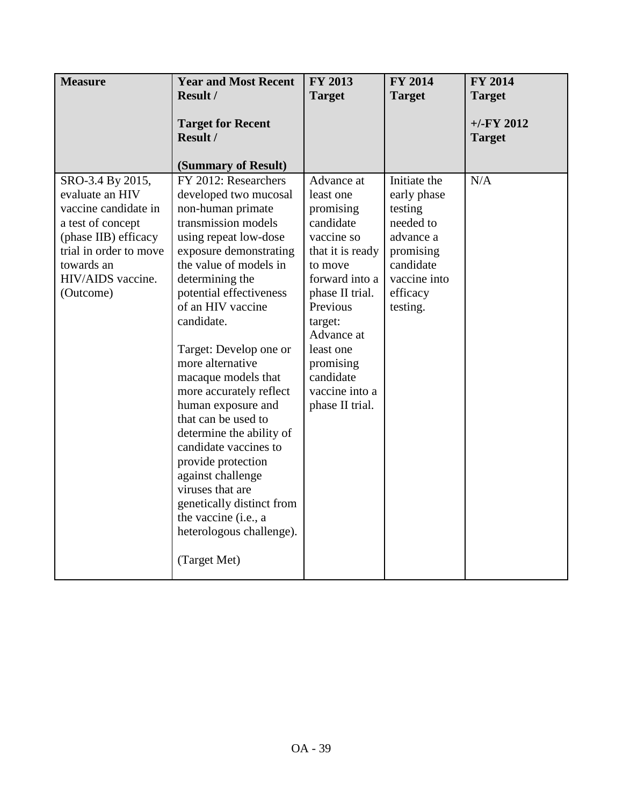| <b>Measure</b>                                                                                                                                                                     | <b>Year and Most Recent</b>                                                                                                                                                                                                                                                                                                                                                                                                                                                                                                                                                                                               | FY 2013                                                                                                                                                                                                                                              | FY 2014                                                                                                                            | FY 2014                       |
|------------------------------------------------------------------------------------------------------------------------------------------------------------------------------------|---------------------------------------------------------------------------------------------------------------------------------------------------------------------------------------------------------------------------------------------------------------------------------------------------------------------------------------------------------------------------------------------------------------------------------------------------------------------------------------------------------------------------------------------------------------------------------------------------------------------------|------------------------------------------------------------------------------------------------------------------------------------------------------------------------------------------------------------------------------------------------------|------------------------------------------------------------------------------------------------------------------------------------|-------------------------------|
|                                                                                                                                                                                    | Result /                                                                                                                                                                                                                                                                                                                                                                                                                                                                                                                                                                                                                  | <b>Target</b>                                                                                                                                                                                                                                        | <b>Target</b>                                                                                                                      | <b>Target</b>                 |
|                                                                                                                                                                                    | <b>Target for Recent</b><br>Result /<br>(Summary of Result)                                                                                                                                                                                                                                                                                                                                                                                                                                                                                                                                                               |                                                                                                                                                                                                                                                      |                                                                                                                                    | $+/-FY$ 2012<br><b>Target</b> |
| SRO-3.4 By 2015,<br>evaluate an HIV<br>vaccine candidate in<br>a test of concept<br>(phase IIB) efficacy<br>trial in order to move<br>towards an<br>HIV/AIDS vaccine.<br>(Outcome) | FY 2012: Researchers<br>developed two mucosal<br>non-human primate<br>transmission models<br>using repeat low-dose<br>exposure demonstrating<br>the value of models in<br>determining the<br>potential effectiveness<br>of an HIV vaccine<br>candidate.<br>Target: Develop one or<br>more alternative<br>macaque models that<br>more accurately reflect<br>human exposure and<br>that can be used to<br>determine the ability of<br>candidate vaccines to<br>provide protection<br>against challenge<br>viruses that are<br>genetically distinct from<br>the vaccine (i.e., a<br>heterologous challenge).<br>(Target Met) | Advance at<br>least one<br>promising<br>candidate<br>vaccine so<br>that it is ready<br>to move<br>forward into a<br>phase II trial.<br>Previous<br>target:<br>Advance at<br>least one<br>promising<br>candidate<br>vaccine into a<br>phase II trial. | Initiate the<br>early phase<br>testing<br>needed to<br>advance a<br>promising<br>candidate<br>vaccine into<br>efficacy<br>testing. | N/A                           |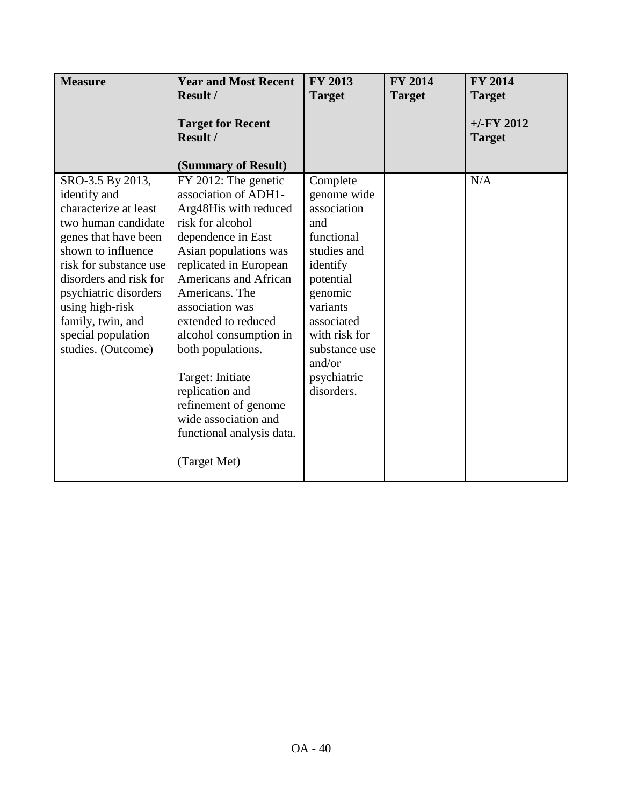| <b>Measure</b>                                                                                                                                                                                                                                                                                  | <b>Year and Most Recent</b><br><b>Result /</b>                                                                                                                                                                                                                                                                                                                                                                                             | FY 2013<br><b>Target</b>                                                                                                                                                                                          | <b>FY 2014</b><br><b>Target</b> | <b>FY 2014</b><br><b>Target</b> |
|-------------------------------------------------------------------------------------------------------------------------------------------------------------------------------------------------------------------------------------------------------------------------------------------------|--------------------------------------------------------------------------------------------------------------------------------------------------------------------------------------------------------------------------------------------------------------------------------------------------------------------------------------------------------------------------------------------------------------------------------------------|-------------------------------------------------------------------------------------------------------------------------------------------------------------------------------------------------------------------|---------------------------------|---------------------------------|
|                                                                                                                                                                                                                                                                                                 | <b>Target for Recent</b><br><b>Result /</b><br>(Summary of Result)                                                                                                                                                                                                                                                                                                                                                                         |                                                                                                                                                                                                                   |                                 | $+/-FY$ 2012<br><b>Target</b>   |
| SRO-3.5 By 2013,<br>identify and<br>characterize at least<br>two human candidate<br>genes that have been<br>shown to influence<br>risk for substance use<br>disorders and risk for<br>psychiatric disorders<br>using high-risk<br>family, twin, and<br>special population<br>studies. (Outcome) | FY 2012: The genetic<br>association of ADH1-<br>Arg48His with reduced<br>risk for alcohol<br>dependence in East<br>Asian populations was<br>replicated in European<br>Americans and African<br>Americans. The<br>association was<br>extended to reduced<br>alcohol consumption in<br>both populations.<br>Target: Initiate<br>replication and<br>refinement of genome<br>wide association and<br>functional analysis data.<br>(Target Met) | Complete<br>genome wide<br>association<br>and<br>functional<br>studies and<br>identify<br>potential<br>genomic<br>variants<br>associated<br>with risk for<br>substance use<br>and/or<br>psychiatric<br>disorders. |                                 | N/A                             |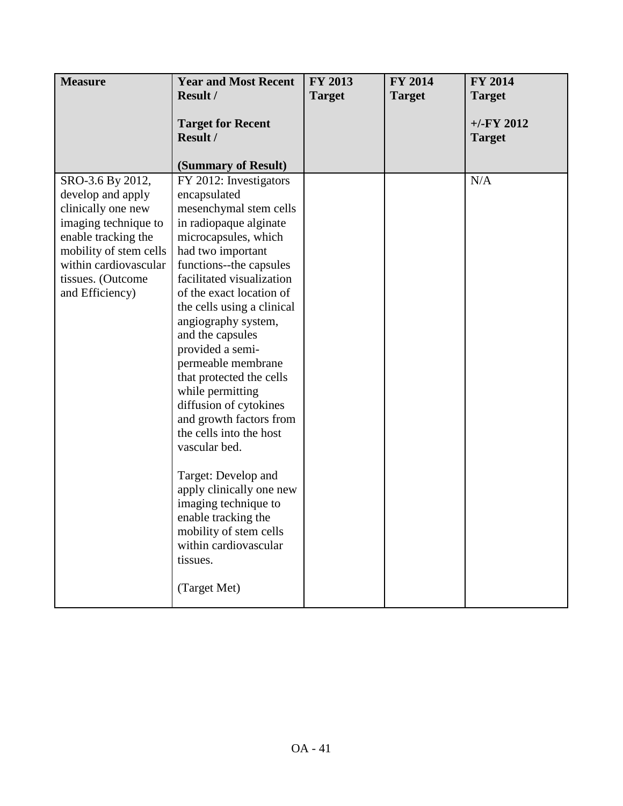| <b>Measure</b>                                                                                                                                                                    | <b>Year and Most Recent</b>                                                                                                                                                                                                                                                                                                                                                                                                                                                                                                                                                                                                                            | FY 2013       | <b>FY 2014</b> | <b>FY 2014</b>                |
|-----------------------------------------------------------------------------------------------------------------------------------------------------------------------------------|--------------------------------------------------------------------------------------------------------------------------------------------------------------------------------------------------------------------------------------------------------------------------------------------------------------------------------------------------------------------------------------------------------------------------------------------------------------------------------------------------------------------------------------------------------------------------------------------------------------------------------------------------------|---------------|----------------|-------------------------------|
|                                                                                                                                                                                   | <b>Result /</b>                                                                                                                                                                                                                                                                                                                                                                                                                                                                                                                                                                                                                                        | <b>Target</b> | <b>Target</b>  | <b>Target</b>                 |
|                                                                                                                                                                                   | <b>Target for Recent</b><br>Result /<br>(Summary of Result)                                                                                                                                                                                                                                                                                                                                                                                                                                                                                                                                                                                            |               |                | $+/-FY$ 2012<br><b>Target</b> |
| SRO-3.6 By 2012,                                                                                                                                                                  | FY 2012: Investigators                                                                                                                                                                                                                                                                                                                                                                                                                                                                                                                                                                                                                                 |               |                | N/A                           |
| develop and apply<br>clinically one new<br>imaging technique to<br>enable tracking the<br>mobility of stem cells<br>within cardiovascular<br>tissues. (Outcome<br>and Efficiency) | encapsulated<br>mesenchymal stem cells<br>in radiopaque alginate<br>microcapsules, which<br>had two important<br>functions--the capsules<br>facilitated visualization<br>of the exact location of<br>the cells using a clinical<br>angiography system,<br>and the capsules<br>provided a semi-<br>permeable membrane<br>that protected the cells<br>while permitting<br>diffusion of cytokines<br>and growth factors from<br>the cells into the host<br>vascular bed.<br>Target: Develop and<br>apply clinically one new<br>imaging technique to<br>enable tracking the<br>mobility of stem cells<br>within cardiovascular<br>tissues.<br>(Target Met) |               |                |                               |
|                                                                                                                                                                                   |                                                                                                                                                                                                                                                                                                                                                                                                                                                                                                                                                                                                                                                        |               |                |                               |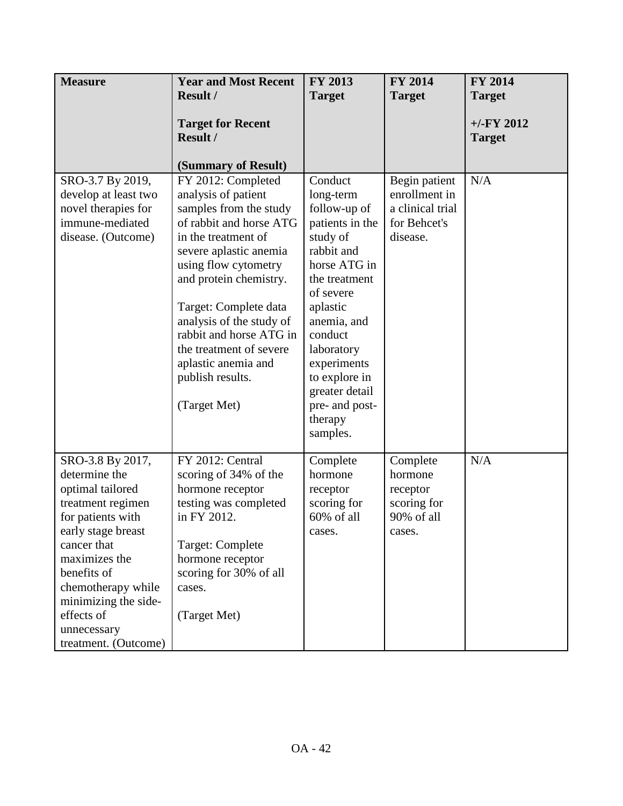| <b>Measure</b>                                                                                                                                                                                                                                                          | <b>Year and Most Recent</b>                                                                                                                                                                                                                                                                                                                                                                    | FY 2013                                                                                                                                                                                                                                                                        | <b>FY 2014</b>                                                                 | <b>FY 2014</b>                |
|-------------------------------------------------------------------------------------------------------------------------------------------------------------------------------------------------------------------------------------------------------------------------|------------------------------------------------------------------------------------------------------------------------------------------------------------------------------------------------------------------------------------------------------------------------------------------------------------------------------------------------------------------------------------------------|--------------------------------------------------------------------------------------------------------------------------------------------------------------------------------------------------------------------------------------------------------------------------------|--------------------------------------------------------------------------------|-------------------------------|
|                                                                                                                                                                                                                                                                         | <b>Result /</b>                                                                                                                                                                                                                                                                                                                                                                                | <b>Target</b>                                                                                                                                                                                                                                                                  | <b>Target</b>                                                                  | <b>Target</b>                 |
|                                                                                                                                                                                                                                                                         | <b>Target for Recent</b><br>Result /                                                                                                                                                                                                                                                                                                                                                           |                                                                                                                                                                                                                                                                                |                                                                                | $+/-FY$ 2012<br><b>Target</b> |
| SRO-3.7 By 2019,<br>develop at least two<br>novel therapies for<br>immune-mediated<br>disease. (Outcome)                                                                                                                                                                | (Summary of Result)<br>FY 2012: Completed<br>analysis of patient<br>samples from the study<br>of rabbit and horse ATG<br>in the treatment of<br>severe aplastic anemia<br>using flow cytometry<br>and protein chemistry.<br>Target: Complete data<br>analysis of the study of<br>rabbit and horse ATG in<br>the treatment of severe<br>aplastic anemia and<br>publish results.<br>(Target Met) | Conduct<br>long-term<br>follow-up of<br>patients in the<br>study of<br>rabbit and<br>horse ATG in<br>the treatment<br>of severe<br>aplastic<br>anemia, and<br>conduct<br>laboratory<br>experiments<br>to explore in<br>greater detail<br>pre- and post-<br>therapy<br>samples. | Begin patient<br>enrollment in<br>a clinical trial<br>for Behcet's<br>disease. | N/A                           |
| SRO-3.8 By 2017,<br>determine the<br>optimal tailored<br>treatment regimen<br>for patients with<br>early stage breast<br>cancer that<br>maximizes the<br>benefits of<br>chemotherapy while<br>minimizing the side-<br>effects of<br>unnecessary<br>treatment. (Outcome) | FY 2012: Central<br>scoring of 34% of the<br>hormone receptor<br>testing was completed<br>in FY 2012.<br>Target: Complete<br>hormone receptor<br>scoring for 30% of all<br>cases.<br>(Target Met)                                                                                                                                                                                              | Complete<br>hormone<br>receptor<br>scoring for<br>$60\%$ of all<br>cases.                                                                                                                                                                                                      | Complete<br>hormone<br>receptor<br>scoring for<br>90% of all<br>cases.         | N/A                           |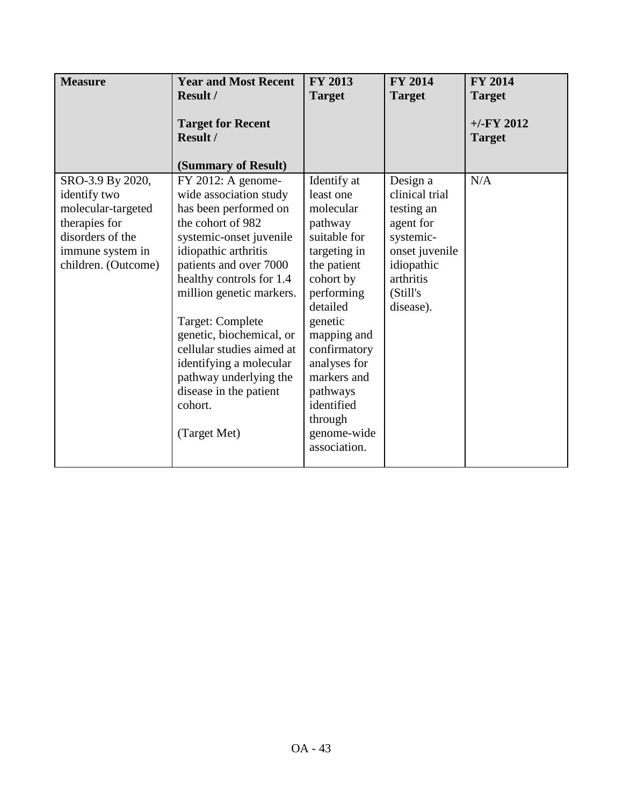| <b>Measure</b>                                                                                                                         | <b>Year and Most Recent</b><br>Result /                                                                                                                                                                                                                                                                                                                                                                                  | <b>FY 2013</b>                                                                                                                                                                                                                                                                      | <b>FY 2014</b>                                                                                                                           | <b>FY 2014</b>                                  |
|----------------------------------------------------------------------------------------------------------------------------------------|--------------------------------------------------------------------------------------------------------------------------------------------------------------------------------------------------------------------------------------------------------------------------------------------------------------------------------------------------------------------------------------------------------------------------|-------------------------------------------------------------------------------------------------------------------------------------------------------------------------------------------------------------------------------------------------------------------------------------|------------------------------------------------------------------------------------------------------------------------------------------|-------------------------------------------------|
|                                                                                                                                        | <b>Target for Recent</b><br>Result /<br>(Summary of Result)                                                                                                                                                                                                                                                                                                                                                              | <b>Target</b>                                                                                                                                                                                                                                                                       | <b>Target</b>                                                                                                                            | <b>Target</b><br>$+/-$ FY 2012<br><b>Target</b> |
| SRO-3.9 By 2020,<br>identify two<br>molecular-targeted<br>therapies for<br>disorders of the<br>immune system in<br>children. (Outcome) | $FY$ 2012: A genome-<br>wide association study<br>has been performed on<br>the cohort of 982<br>systemic-onset juvenile<br>idiopathic arthritis<br>patients and over 7000<br>healthy controls for 1.4<br>million genetic markers.<br>Target: Complete<br>genetic, biochemical, or<br>cellular studies aimed at<br>identifying a molecular<br>pathway underlying the<br>disease in the patient<br>cohort.<br>(Target Met) | Identify at<br>least one<br>molecular<br>pathway<br>suitable for<br>targeting in<br>the patient<br>cohort by<br>performing<br>detailed<br>genetic<br>mapping and<br>confirmatory<br>analyses for<br>markers and<br>pathways<br>identified<br>through<br>genome-wide<br>association. | Design a<br>clinical trial<br>testing an<br>agent for<br>systemic-<br>onset juvenile<br>idiopathic<br>arthritis<br>(Still's<br>disease). | N/A                                             |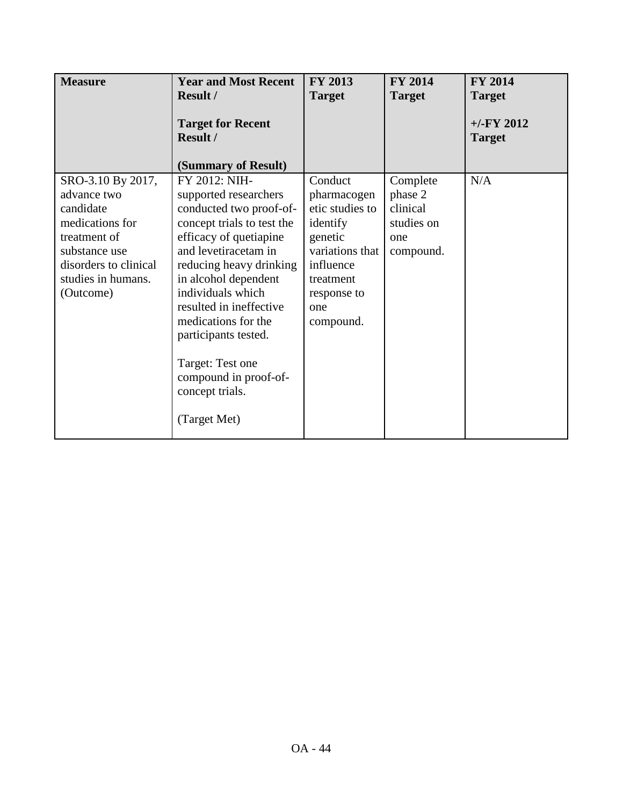| <b>Measure</b>                                                                                                                                                | <b>Year and Most Recent</b>                                                                                                                                                                                                                                                                                                                                                         | <b>FY 2013</b>                                                                                                                                   | <b>FY 2014</b>                                                    | <b>FY 2014</b>                |
|---------------------------------------------------------------------------------------------------------------------------------------------------------------|-------------------------------------------------------------------------------------------------------------------------------------------------------------------------------------------------------------------------------------------------------------------------------------------------------------------------------------------------------------------------------------|--------------------------------------------------------------------------------------------------------------------------------------------------|-------------------------------------------------------------------|-------------------------------|
|                                                                                                                                                               | Result /                                                                                                                                                                                                                                                                                                                                                                            | <b>Target</b>                                                                                                                                    | <b>Target</b>                                                     | <b>Target</b>                 |
|                                                                                                                                                               | <b>Target for Recent</b><br>Result /                                                                                                                                                                                                                                                                                                                                                |                                                                                                                                                  |                                                                   | $+/-FY$ 2012<br><b>Target</b> |
|                                                                                                                                                               | (Summary of Result)                                                                                                                                                                                                                                                                                                                                                                 |                                                                                                                                                  |                                                                   |                               |
| SRO-3.10 By 2017,<br>advance two<br>candidate<br>medications for<br>treatment of<br>substance use<br>disorders to clinical<br>studies in humans.<br>(Outcome) | FY 2012: NIH-<br>supported researchers<br>conducted two proof-of-<br>concept trials to test the<br>efficacy of quetiapine<br>and levetiracetam in<br>reducing heavy drinking<br>in alcohol dependent<br>individuals which<br>resulted in ineffective<br>medications for the<br>participants tested.<br>Target: Test one<br>compound in proof-of-<br>concept trials.<br>(Target Met) | Conduct<br>pharmacogen<br>etic studies to<br>identify<br>genetic<br>variations that<br>influence<br>treatment<br>response to<br>one<br>compound. | Complete<br>phase 2<br>clinical<br>studies on<br>one<br>compound. | N/A                           |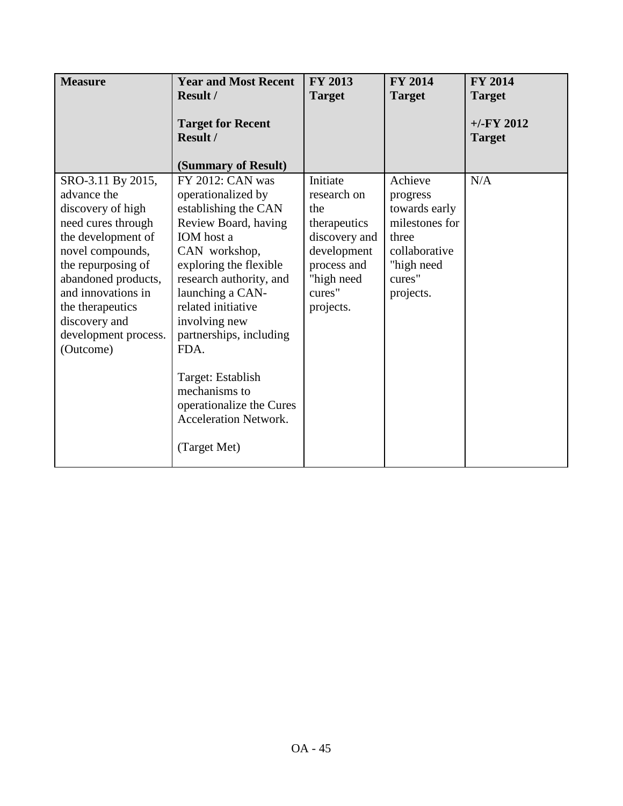| <b>Measure</b>                                                                                                                                                                                                                                                     | <b>Year and Most Recent</b><br>Result /                                                                                                                                                                                                                                                                                                                                             | <b>FY 2013</b><br><b>Target</b>                                                                                                    | <b>FY 2014</b><br><b>Target</b>                                                                                       | <b>FY 2014</b><br><b>Target</b> |
|--------------------------------------------------------------------------------------------------------------------------------------------------------------------------------------------------------------------------------------------------------------------|-------------------------------------------------------------------------------------------------------------------------------------------------------------------------------------------------------------------------------------------------------------------------------------------------------------------------------------------------------------------------------------|------------------------------------------------------------------------------------------------------------------------------------|-----------------------------------------------------------------------------------------------------------------------|---------------------------------|
|                                                                                                                                                                                                                                                                    | <b>Target for Recent</b><br>Result /<br>(Summary of Result)                                                                                                                                                                                                                                                                                                                         |                                                                                                                                    |                                                                                                                       | $+/-FY$ 2012<br><b>Target</b>   |
| SRO-3.11 By 2015,<br>advance the<br>discovery of high<br>need cures through<br>the development of<br>novel compounds,<br>the repurposing of<br>abandoned products,<br>and innovations in<br>the therapeutics<br>discovery and<br>development process.<br>(Outcome) | FY 2012: CAN was<br>operationalized by<br>establishing the CAN<br>Review Board, having<br>IOM host a<br>CAN workshop,<br>exploring the flexible<br>research authority, and<br>launching a CAN-<br>related initiative<br>involving new<br>partnerships, including<br>FDA.<br>Target: Establish<br>mechanisms to<br>operationalize the Cures<br>Acceleration Network.<br>(Target Met) | Initiate<br>research on<br>the<br>therapeutics<br>discovery and<br>development<br>process and<br>"high need<br>cures"<br>projects. | Achieve<br>progress<br>towards early<br>milestones for<br>three<br>collaborative<br>"high need<br>cures"<br>projects. | N/A                             |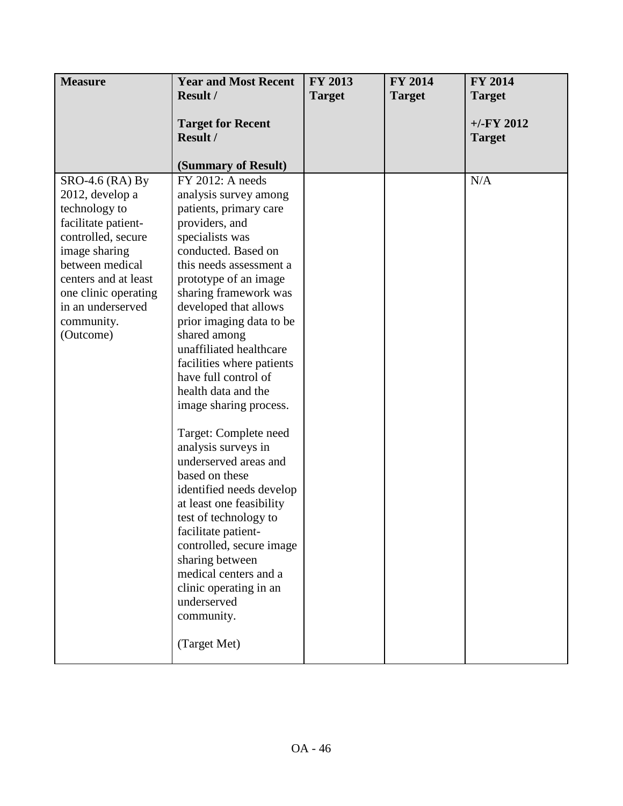| <b>Measure</b>                                                                                                                                                                                                                         | <b>Year and Most Recent</b>                                                                                                                                                                                                                                                                                                                                                                                                                                                                                                                                                                                                                                                                                                                                          | FY 2013       | <b>FY 2014</b> | <b>FY 2014</b>                |
|----------------------------------------------------------------------------------------------------------------------------------------------------------------------------------------------------------------------------------------|----------------------------------------------------------------------------------------------------------------------------------------------------------------------------------------------------------------------------------------------------------------------------------------------------------------------------------------------------------------------------------------------------------------------------------------------------------------------------------------------------------------------------------------------------------------------------------------------------------------------------------------------------------------------------------------------------------------------------------------------------------------------|---------------|----------------|-------------------------------|
|                                                                                                                                                                                                                                        | <b>Result /</b>                                                                                                                                                                                                                                                                                                                                                                                                                                                                                                                                                                                                                                                                                                                                                      | <b>Target</b> | <b>Target</b>  | <b>Target</b>                 |
|                                                                                                                                                                                                                                        | <b>Target for Recent</b><br>Result /                                                                                                                                                                                                                                                                                                                                                                                                                                                                                                                                                                                                                                                                                                                                 |               |                | $+/-FY$ 2012<br><b>Target</b> |
|                                                                                                                                                                                                                                        | (Summary of Result)                                                                                                                                                                                                                                                                                                                                                                                                                                                                                                                                                                                                                                                                                                                                                  |               |                |                               |
| $SRO-4.6$ (RA) By<br>2012, develop a<br>technology to<br>facilitate patient-<br>controlled, secure<br>image sharing<br>between medical<br>centers and at least<br>one clinic operating<br>in an underserved<br>community.<br>(Outcome) | FY 2012: A needs<br>analysis survey among<br>patients, primary care<br>providers, and<br>specialists was<br>conducted. Based on<br>this needs assessment a<br>prototype of an image<br>sharing framework was<br>developed that allows<br>prior imaging data to be<br>shared among<br>unaffiliated healthcare<br>facilities where patients<br>have full control of<br>health data and the<br>image sharing process.<br>Target: Complete need<br>analysis surveys in<br>underserved areas and<br>based on these<br>identified needs develop<br>at least one feasibility<br>test of technology to<br>facilitate patient-<br>controlled, secure image<br>sharing between<br>medical centers and a<br>clinic operating in an<br>underserved<br>community.<br>(Target Met) |               |                | N/A                           |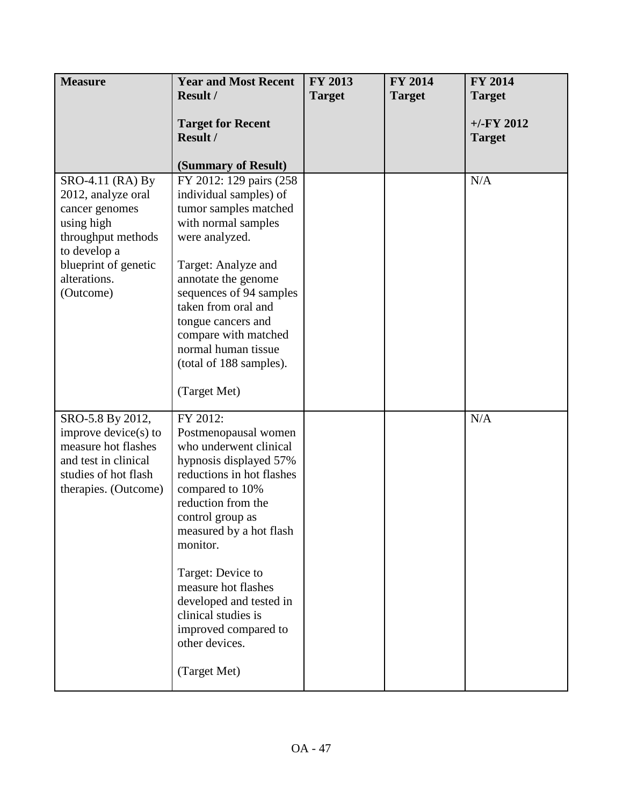| <b>Measure</b>                                                                                                                                                    | <b>Year and Most Recent</b>                                                                                                                                                                                                                                                                                                                                   | <b>FY 2013</b> | FY 2014       | <b>FY 2014</b>                |
|-------------------------------------------------------------------------------------------------------------------------------------------------------------------|---------------------------------------------------------------------------------------------------------------------------------------------------------------------------------------------------------------------------------------------------------------------------------------------------------------------------------------------------------------|----------------|---------------|-------------------------------|
|                                                                                                                                                                   | <b>Result /</b>                                                                                                                                                                                                                                                                                                                                               | <b>Target</b>  | <b>Target</b> | <b>Target</b>                 |
|                                                                                                                                                                   | <b>Target for Recent</b><br>Result /<br>(Summary of Result)                                                                                                                                                                                                                                                                                                   |                |               | $+/-FY$ 2012<br><b>Target</b> |
| SRO-4.11 (RA) By<br>2012, analyze oral<br>cancer genomes<br>using high<br>throughput methods<br>to develop a<br>blueprint of genetic<br>alterations.<br>(Outcome) | FY 2012: 129 pairs (258)<br>individual samples) of<br>tumor samples matched<br>with normal samples<br>were analyzed.<br>Target: Analyze and<br>annotate the genome<br>sequences of 94 samples<br>taken from oral and<br>tongue cancers and<br>compare with matched<br>normal human tissue<br>(total of 188 samples).<br>(Target Met)                          |                |               | N/A                           |
| SRO-5.8 By 2012,<br>improve $\text{device}(s)$ to<br>measure hot flashes<br>and test in clinical<br>studies of hot flash<br>therapies. (Outcome)                  | FY 2012:<br>Postmenopausal women<br>who underwent clinical<br>hypnosis displayed 57%<br>reductions in hot flashes<br>compared to 10%<br>reduction from the<br>control group as<br>measured by a hot flash<br>monitor.<br>Target: Device to<br>measure hot flashes<br>developed and tested in<br>clinical studies is<br>improved compared to<br>other devices. |                |               | N/A                           |
|                                                                                                                                                                   | (Target Met)                                                                                                                                                                                                                                                                                                                                                  |                |               |                               |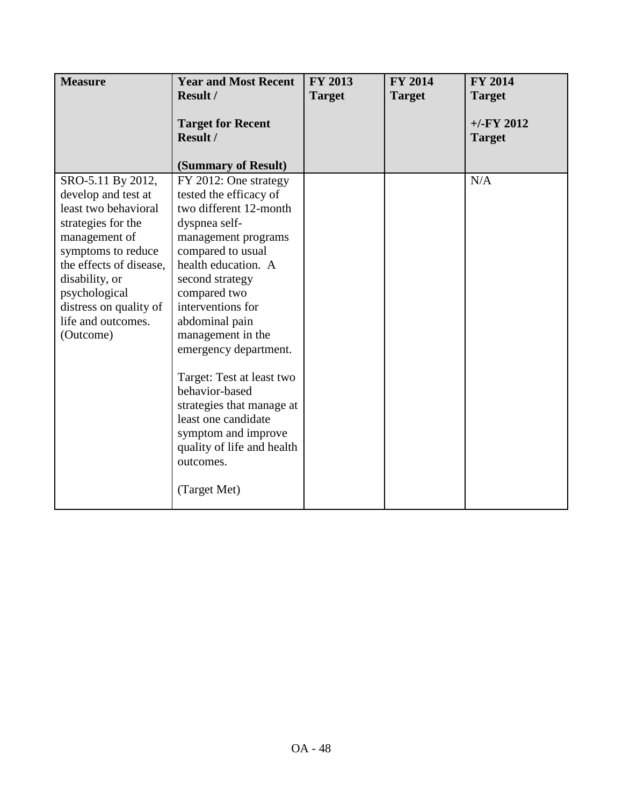| <b>Measure</b>                                                                                                                                                                                                                                           | <b>Year and Most Recent</b><br>Result /                                                                                                                                                                                                                                                                                                                                                                                                                                    | <b>FY 2013</b><br><b>Target</b> | <b>FY 2014</b><br><b>Target</b> | <b>FY 2014</b><br><b>Target</b> |
|----------------------------------------------------------------------------------------------------------------------------------------------------------------------------------------------------------------------------------------------------------|----------------------------------------------------------------------------------------------------------------------------------------------------------------------------------------------------------------------------------------------------------------------------------------------------------------------------------------------------------------------------------------------------------------------------------------------------------------------------|---------------------------------|---------------------------------|---------------------------------|
|                                                                                                                                                                                                                                                          | <b>Target for Recent</b><br>Result /<br>(Summary of Result)                                                                                                                                                                                                                                                                                                                                                                                                                |                                 |                                 | $+/-$ FY 2012<br><b>Target</b>  |
| SRO-5.11 By 2012,<br>develop and test at<br>least two behavioral<br>strategies for the<br>management of<br>symptoms to reduce<br>the effects of disease,<br>disability, or<br>psychological<br>distress on quality of<br>life and outcomes.<br>(Outcome) | FY 2012: One strategy<br>tested the efficacy of<br>two different 12-month<br>dyspnea self-<br>management programs<br>compared to usual<br>health education. A<br>second strategy<br>compared two<br>interventions for<br>abdominal pain<br>management in the<br>emergency department.<br>Target: Test at least two<br>behavior-based<br>strategies that manage at<br>least one candidate<br>symptom and improve<br>quality of life and health<br>outcomes.<br>(Target Met) |                                 |                                 | N/A                             |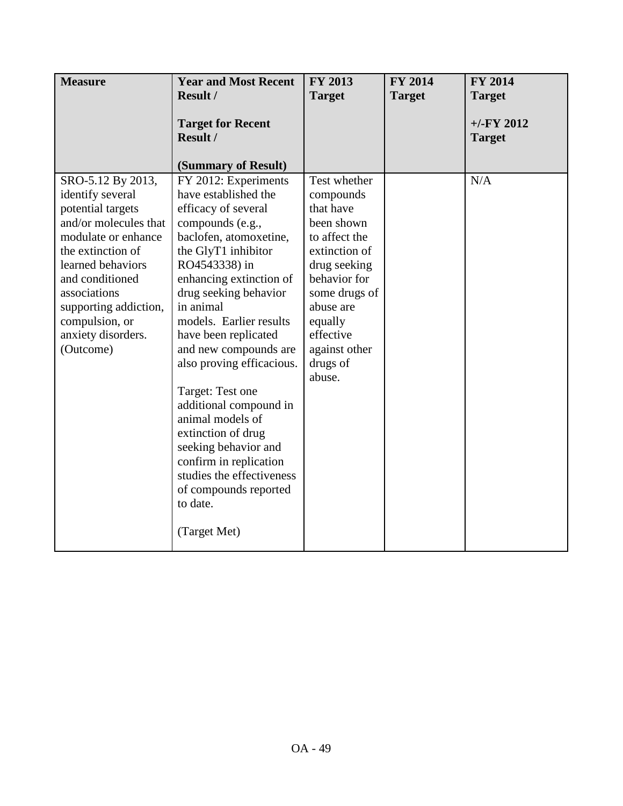| <b>Measure</b>                                                                                                                                                                                                                                                        | <b>Year and Most Recent</b>                                                                                                                                                                                                                                                                                                                                                                                                                                                                                                                                     | FY 2013                                                                                                                                                                                                             | FY 2014       | <b>FY 2014</b>                 |
|-----------------------------------------------------------------------------------------------------------------------------------------------------------------------------------------------------------------------------------------------------------------------|-----------------------------------------------------------------------------------------------------------------------------------------------------------------------------------------------------------------------------------------------------------------------------------------------------------------------------------------------------------------------------------------------------------------------------------------------------------------------------------------------------------------------------------------------------------------|---------------------------------------------------------------------------------------------------------------------------------------------------------------------------------------------------------------------|---------------|--------------------------------|
|                                                                                                                                                                                                                                                                       | Result /                                                                                                                                                                                                                                                                                                                                                                                                                                                                                                                                                        | <b>Target</b>                                                                                                                                                                                                       | <b>Target</b> | <b>Target</b>                  |
|                                                                                                                                                                                                                                                                       | <b>Target for Recent</b><br>Result /<br>(Summary of Result)                                                                                                                                                                                                                                                                                                                                                                                                                                                                                                     |                                                                                                                                                                                                                     |               | $+/-$ FY 2012<br><b>Target</b> |
| SRO-5.12 By 2013,<br>identify several<br>potential targets<br>and/or molecules that<br>modulate or enhance<br>the extinction of<br>learned behaviors<br>and conditioned<br>associations<br>supporting addiction,<br>compulsion, or<br>anxiety disorders.<br>(Outcome) | FY 2012: Experiments<br>have established the<br>efficacy of several<br>compounds (e.g.,<br>baclofen, atomoxetine,<br>the GlyT1 inhibitor<br>RO4543338) in<br>enhancing extinction of<br>drug seeking behavior<br>in animal<br>models. Earlier results<br>have been replicated<br>and new compounds are<br>also proving efficacious.<br>Target: Test one<br>additional compound in<br>animal models of<br>extinction of drug<br>seeking behavior and<br>confirm in replication<br>studies the effectiveness<br>of compounds reported<br>to date.<br>(Target Met) | Test whether<br>compounds<br>that have<br>been shown<br>to affect the<br>extinction of<br>drug seeking<br>behavior for<br>some drugs of<br>abuse are<br>equally<br>effective<br>against other<br>drugs of<br>abuse. |               | N/A                            |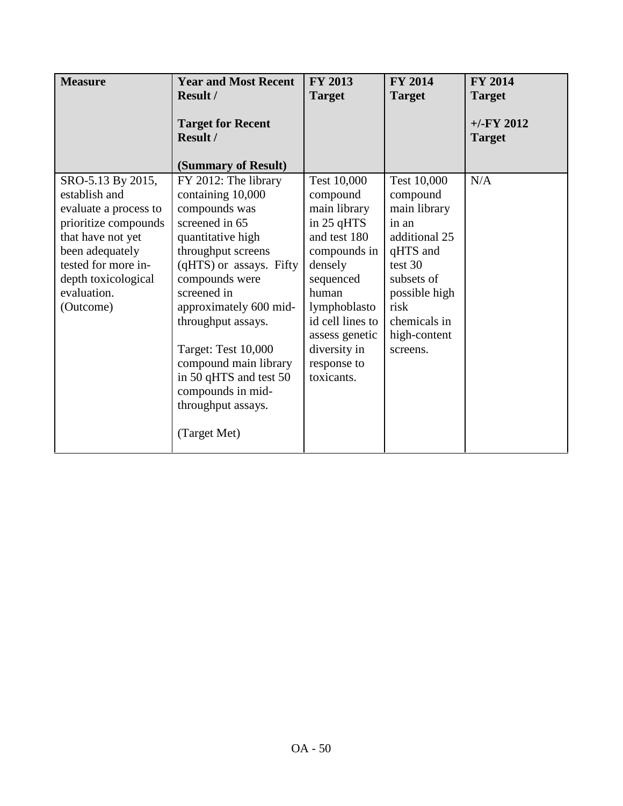| <b>Measure</b>        | <b>Year and Most Recent</b> | <b>FY 2013</b>   | <b>FY 2014</b> | <b>FY 2014</b> |
|-----------------------|-----------------------------|------------------|----------------|----------------|
|                       | Result /                    | <b>Target</b>    | <b>Target</b>  | <b>Target</b>  |
|                       | <b>Target for Recent</b>    |                  |                | $+/-$ FY 2012  |
|                       | Result /                    |                  |                | <b>Target</b>  |
|                       | (Summary of Result)         |                  |                |                |
| SRO-5.13 By 2015,     | FY 2012: The library        | Test 10,000      | Test 10,000    | N/A            |
| establish and         | containing 10,000           | compound         | compound       |                |
| evaluate a process to | compounds was               | main library     | main library   |                |
| prioritize compounds  | screened in 65              | in 25 qHTS       | in an          |                |
| that have not yet     | quantitative high           | and test 180     | additional 25  |                |
| been adequately       | throughput screens          | compounds in     | qHTS and       |                |
| tested for more in-   | (qHTS) or assays. Fifty     | densely          | test 30        |                |
| depth toxicological   | compounds were              | sequenced        | subsets of     |                |
| evaluation.           | screened in                 | human            | possible high  |                |
| (Outcome)             | approximately 600 mid-      | lymphoblasto     | risk           |                |
|                       | throughput assays.          | id cell lines to | chemicals in   |                |
|                       |                             | assess genetic   | high-content   |                |
|                       | Target: Test 10,000         | diversity in     | screens.       |                |
|                       | compound main library       | response to      |                |                |
|                       | in 50 qHTS and test 50      | toxicants.       |                |                |
|                       | compounds in mid-           |                  |                |                |
|                       | throughput assays.          |                  |                |                |
|                       | (Target Met)                |                  |                |                |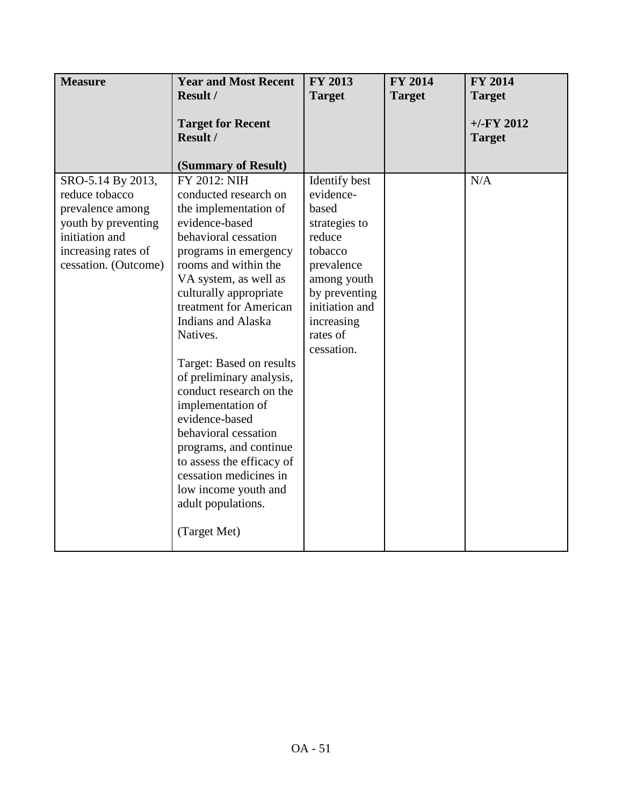| <b>Measure</b>                                                                                                                                  | <b>Year and Most Recent</b>                                                                                                                                                                                                                                                                                                                                                                                                                                                                                                                                               | FY 2013                                                                                                                                                                           | FY 2014       | <b>FY 2014</b>                |
|-------------------------------------------------------------------------------------------------------------------------------------------------|---------------------------------------------------------------------------------------------------------------------------------------------------------------------------------------------------------------------------------------------------------------------------------------------------------------------------------------------------------------------------------------------------------------------------------------------------------------------------------------------------------------------------------------------------------------------------|-----------------------------------------------------------------------------------------------------------------------------------------------------------------------------------|---------------|-------------------------------|
|                                                                                                                                                 | Result /                                                                                                                                                                                                                                                                                                                                                                                                                                                                                                                                                                  | <b>Target</b>                                                                                                                                                                     | <b>Target</b> | <b>Target</b>                 |
|                                                                                                                                                 | <b>Target for Recent</b><br>Result /<br>(Summary of Result)                                                                                                                                                                                                                                                                                                                                                                                                                                                                                                               |                                                                                                                                                                                   |               | $+/-FY$ 2012<br><b>Target</b> |
| SRO-5.14 By 2013,<br>reduce tobacco<br>prevalence among<br>youth by preventing<br>initiation and<br>increasing rates of<br>cessation. (Outcome) | FY 2012: NIH<br>conducted research on<br>the implementation of<br>evidence-based<br>behavioral cessation<br>programs in emergency<br>rooms and within the<br>VA system, as well as<br>culturally appropriate<br>treatment for American<br>Indians and Alaska<br>Natives.<br>Target: Based on results<br>of preliminary analysis,<br>conduct research on the<br>implementation of<br>evidence-based<br>behavioral cessation<br>programs, and continue<br>to assess the efficacy of<br>cessation medicines in<br>low income youth and<br>adult populations.<br>(Target Met) | Identify best<br>evidence-<br>based<br>strategies to<br>reduce<br>tobacco<br>prevalence<br>among youth<br>by preventing<br>initiation and<br>increasing<br>rates of<br>cessation. |               | N/A                           |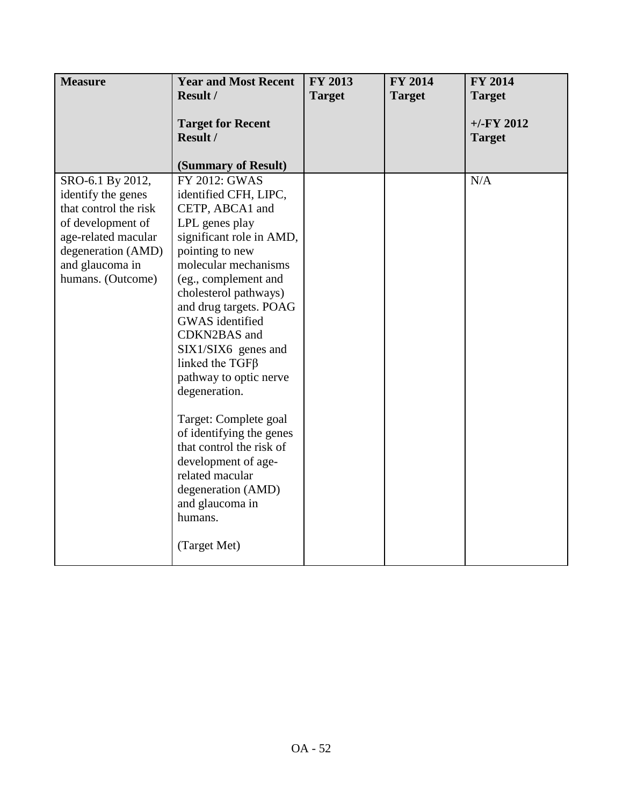| <b>Measure</b>                                                                                                                                                            | <b>Year and Most Recent</b>                                                                                                                                                                                                                                                                                                                                                                                                                                                                                                                                | <b>FY 2013</b> | <b>FY 2014</b> | <b>FY 2014</b>                |
|---------------------------------------------------------------------------------------------------------------------------------------------------------------------------|------------------------------------------------------------------------------------------------------------------------------------------------------------------------------------------------------------------------------------------------------------------------------------------------------------------------------------------------------------------------------------------------------------------------------------------------------------------------------------------------------------------------------------------------------------|----------------|----------------|-------------------------------|
|                                                                                                                                                                           | Result /                                                                                                                                                                                                                                                                                                                                                                                                                                                                                                                                                   | <b>Target</b>  | <b>Target</b>  | <b>Target</b>                 |
|                                                                                                                                                                           | <b>Target for Recent</b><br>Result /<br>(Summary of Result)                                                                                                                                                                                                                                                                                                                                                                                                                                                                                                |                |                | $+/-FY$ 2012<br><b>Target</b> |
| SRO-6.1 By 2012,<br>identify the genes<br>that control the risk<br>of development of<br>age-related macular<br>degeneration (AMD)<br>and glaucoma in<br>humans. (Outcome) | FY 2012: GWAS<br>identified CFH, LIPC,<br>CETP, ABCA1 and<br>LPL genes play<br>significant role in AMD,<br>pointing to new<br>molecular mechanisms<br>(eg., complement and<br>cholesterol pathways)<br>and drug targets. POAG<br>GWAS identified<br>CDKN2BAS and<br>SIX1/SIX6 genes and<br>linked the $TGF\beta$<br>pathway to optic nerve<br>degeneration.<br>Target: Complete goal<br>of identifying the genes<br>that control the risk of<br>development of age-<br>related macular<br>degeneration (AMD)<br>and glaucoma in<br>humans.<br>(Target Met) |                |                | N/A                           |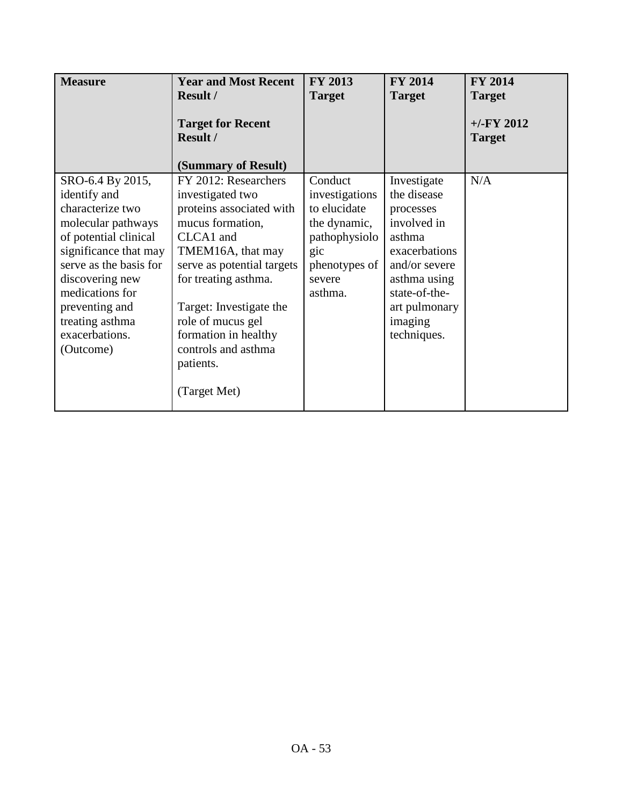| <b>Measure</b>                                                                                                                                                                                                                                                   | <b>Year and Most Recent</b><br><b>Result /</b>                                                                                                                                                                                                                                                               | <b>FY 2013</b><br><b>Target</b>                                                                                         | <b>FY 2014</b><br><b>Target</b>                                                                                                                                                | <b>FY 2014</b><br><b>Target</b> |
|------------------------------------------------------------------------------------------------------------------------------------------------------------------------------------------------------------------------------------------------------------------|--------------------------------------------------------------------------------------------------------------------------------------------------------------------------------------------------------------------------------------------------------------------------------------------------------------|-------------------------------------------------------------------------------------------------------------------------|--------------------------------------------------------------------------------------------------------------------------------------------------------------------------------|---------------------------------|
|                                                                                                                                                                                                                                                                  | <b>Target for Recent</b><br><b>Result /</b><br>(Summary of Result)                                                                                                                                                                                                                                           |                                                                                                                         |                                                                                                                                                                                | $+/-FY$ 2012<br><b>Target</b>   |
| SRO-6.4 By 2015,<br>identify and<br>characterize two<br>molecular pathways<br>of potential clinical<br>significance that may<br>serve as the basis for<br>discovering new<br>medications for<br>preventing and<br>treating asthma<br>exacerbations.<br>(Outcome) | FY 2012: Researchers<br>investigated two<br>proteins associated with<br>mucus formation,<br>CLCA1 and<br>TMEM16A, that may<br>serve as potential targets<br>for treating asthma.<br>Target: Investigate the<br>role of mucus gel<br>formation in healthy<br>controls and asthma<br>patients.<br>(Target Met) | Conduct<br>investigations<br>to elucidate<br>the dynamic,<br>pathophysiolo<br>gic<br>phenotypes of<br>severe<br>asthma. | Investigate<br>the disease<br>processes<br>involved in<br>asthma<br>exacerbations<br>and/or severe<br>asthma using<br>state-of-the-<br>art pulmonary<br>imaging<br>techniques. | N/A                             |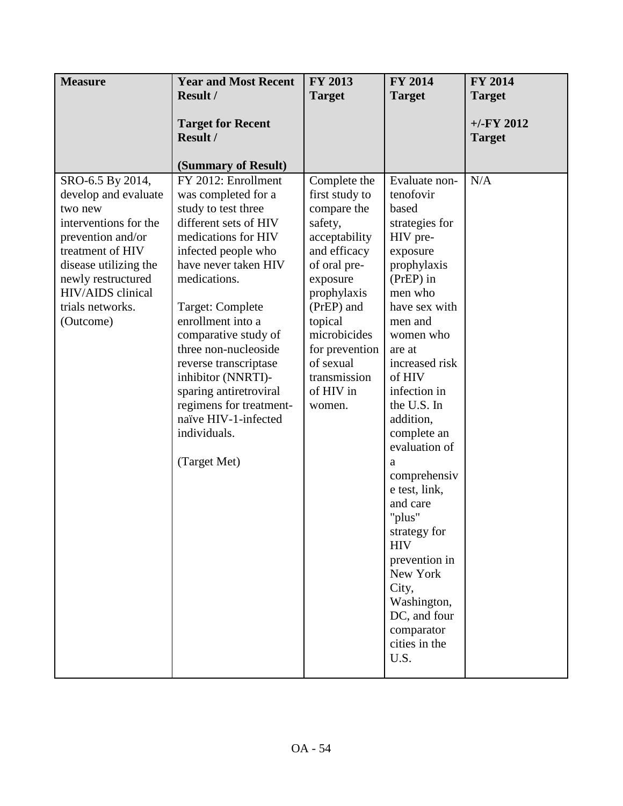| <b>Measure</b>                                                                                                                                                                                                             | <b>Year and Most Recent</b>                                                                                                                                                                                                                                                                                                                                                                                                                                  | FY 2013                                                                                                                                                                                                                                             | <b>FY 2014</b>                                                                                                                                                                                                                                                                                                                                                                                                                                                                        | <b>FY 2014</b>                |
|----------------------------------------------------------------------------------------------------------------------------------------------------------------------------------------------------------------------------|--------------------------------------------------------------------------------------------------------------------------------------------------------------------------------------------------------------------------------------------------------------------------------------------------------------------------------------------------------------------------------------------------------------------------------------------------------------|-----------------------------------------------------------------------------------------------------------------------------------------------------------------------------------------------------------------------------------------------------|---------------------------------------------------------------------------------------------------------------------------------------------------------------------------------------------------------------------------------------------------------------------------------------------------------------------------------------------------------------------------------------------------------------------------------------------------------------------------------------|-------------------------------|
|                                                                                                                                                                                                                            | <b>Result /</b>                                                                                                                                                                                                                                                                                                                                                                                                                                              | <b>Target</b>                                                                                                                                                                                                                                       | <b>Target</b>                                                                                                                                                                                                                                                                                                                                                                                                                                                                         | <b>Target</b>                 |
|                                                                                                                                                                                                                            | <b>Target for Recent</b><br>Result /                                                                                                                                                                                                                                                                                                                                                                                                                         |                                                                                                                                                                                                                                                     |                                                                                                                                                                                                                                                                                                                                                                                                                                                                                       | $+/-FY$ 2012<br><b>Target</b> |
| SRO-6.5 By 2014,<br>develop and evaluate<br>two new<br>interventions for the<br>prevention and/or<br>treatment of HIV<br>disease utilizing the<br>newly restructured<br>HIV/AIDS clinical<br>trials networks.<br>(Outcome) | (Summary of Result)<br>FY 2012: Enrollment<br>was completed for a<br>study to test three<br>different sets of HIV<br>medications for HIV<br>infected people who<br>have never taken HIV<br>medications.<br>Target: Complete<br>enrollment into a<br>comparative study of<br>three non-nucleoside<br>reverse transcriptase<br>inhibitor (NNRTI)-<br>sparing antiretroviral<br>regimens for treatment-<br>naïve HIV-1-infected<br>individuals.<br>(Target Met) | Complete the<br>first study to<br>compare the<br>safety,<br>acceptability<br>and efficacy<br>of oral pre-<br>exposure<br>prophylaxis<br>(PrEP) and<br>topical<br>microbicides<br>for prevention<br>of sexual<br>transmission<br>of HIV in<br>women. | Evaluate non-<br>tenofovir<br>based<br>strategies for<br>HIV pre-<br>exposure<br>prophylaxis<br>(PrEP) in<br>men who<br>have sex with<br>men and<br>women who<br>are at<br>increased risk<br>of HIV<br>infection in<br>the U.S. In<br>addition,<br>complete an<br>evaluation of<br>a<br>comprehensiv<br>e test, link,<br>and care<br>"plus"<br>strategy for<br><b>HIV</b><br>prevention in<br>New York<br>City,<br>Washington,<br>DC, and four<br>comparator<br>cities in the<br>U.S. | N/A                           |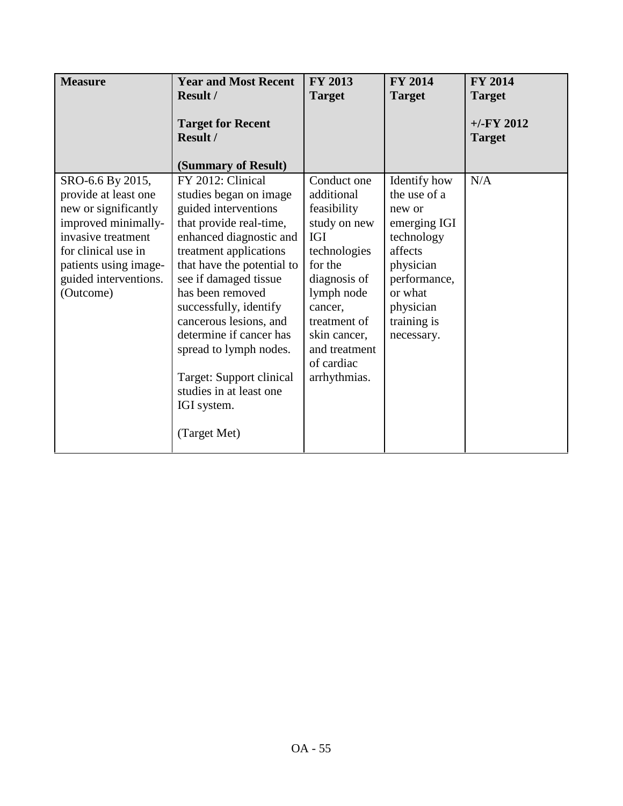| <b>Measure</b>                                                                                                                                                                                      | <b>Year and Most Recent</b><br><b>Result /</b>                                                                                                                                                                                                                                                                                                                                                                                | <b>FY 2013</b><br><b>Target</b>                                                                                                                                                                                           | <b>FY 2014</b><br><b>Target</b>                                                                                                                                   | <b>FY 2014</b><br><b>Target</b> |
|-----------------------------------------------------------------------------------------------------------------------------------------------------------------------------------------------------|-------------------------------------------------------------------------------------------------------------------------------------------------------------------------------------------------------------------------------------------------------------------------------------------------------------------------------------------------------------------------------------------------------------------------------|---------------------------------------------------------------------------------------------------------------------------------------------------------------------------------------------------------------------------|-------------------------------------------------------------------------------------------------------------------------------------------------------------------|---------------------------------|
|                                                                                                                                                                                                     | <b>Target for Recent</b><br>Result /<br>(Summary of Result)                                                                                                                                                                                                                                                                                                                                                                   |                                                                                                                                                                                                                           |                                                                                                                                                                   | $+/-$ FY 2012<br><b>Target</b>  |
| SRO-6.6 By 2015,<br>provide at least one<br>new or significantly<br>improved minimally-<br>invasive treatment<br>for clinical use in<br>patients using image-<br>guided interventions.<br>(Outcome) | FY 2012: Clinical<br>studies began on image<br>guided interventions<br>that provide real-time,<br>enhanced diagnostic and<br>treatment applications<br>that have the potential to<br>see if damaged tissue<br>has been removed<br>successfully, identify<br>cancerous lesions, and<br>determine if cancer has<br>spread to lymph nodes.<br>Target: Support clinical<br>studies in at least one<br>IGI system.<br>(Target Met) | Conduct one<br>additional<br>feasibility<br>study on new<br><b>IGI</b><br>technologies<br>for the<br>diagnosis of<br>lymph node<br>cancer,<br>treatment of<br>skin cancer,<br>and treatment<br>of cardiac<br>arrhythmias. | Identify how<br>the use of a<br>new or<br>emerging IGI<br>technology<br>affects<br>physician<br>performance,<br>or what<br>physician<br>training is<br>necessary. | N/A                             |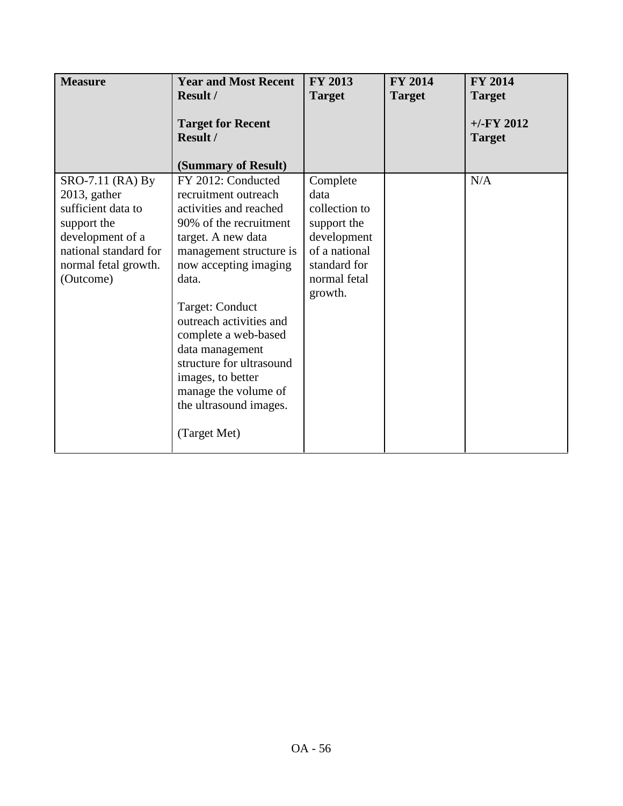| <b>Measure</b>                                                                                                                                             | <b>Year and Most Recent</b><br><b>Result /</b>                                                                                                                                                                                                                                                                                                                                                | <b>FY 2013</b><br><b>Target</b>                                                                                             | <b>FY 2014</b><br><b>Target</b> | <b>FY 2014</b><br><b>Target</b> |
|------------------------------------------------------------------------------------------------------------------------------------------------------------|-----------------------------------------------------------------------------------------------------------------------------------------------------------------------------------------------------------------------------------------------------------------------------------------------------------------------------------------------------------------------------------------------|-----------------------------------------------------------------------------------------------------------------------------|---------------------------------|---------------------------------|
|                                                                                                                                                            | <b>Target for Recent</b><br><b>Result /</b><br>(Summary of Result)                                                                                                                                                                                                                                                                                                                            |                                                                                                                             |                                 | $+/-$ FY 2012<br><b>Target</b>  |
| SRO-7.11 (RA) By<br>$2013$ , gather<br>sufficient data to<br>support the<br>development of a<br>national standard for<br>normal fetal growth.<br>(Outcome) | FY 2012: Conducted<br>recruitment outreach<br>activities and reached<br>90% of the recruitment<br>target. A new data<br>management structure is<br>now accepting imaging<br>data.<br>Target: Conduct<br>outreach activities and<br>complete a web-based<br>data management<br>structure for ultrasound<br>images, to better<br>manage the volume of<br>the ultrasound images.<br>(Target Met) | Complete<br>data<br>collection to<br>support the<br>development<br>of a national<br>standard for<br>normal fetal<br>growth. |                                 | N/A                             |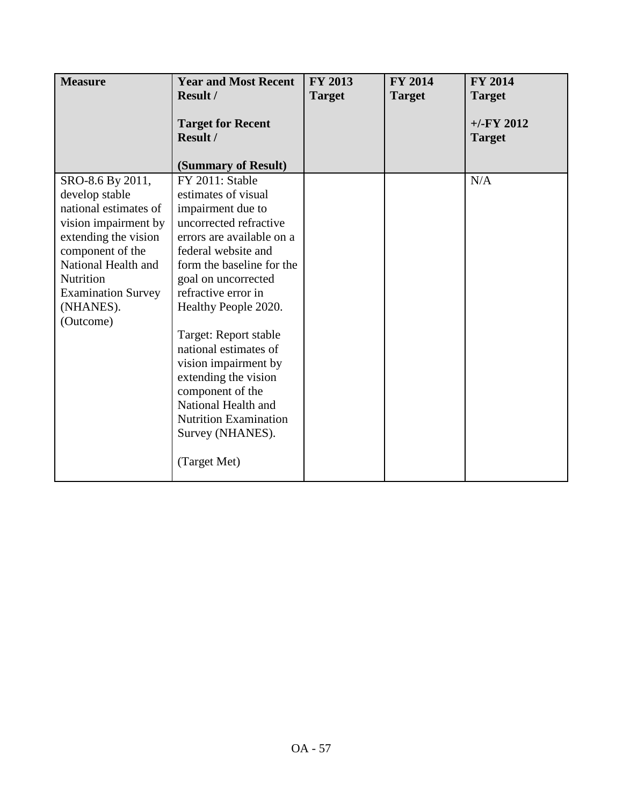| <b>Measure</b>                          | <b>Year and Most Recent</b>                      | <b>FY 2013</b> | <b>FY 2014</b> | <b>FY 2014</b> |
|-----------------------------------------|--------------------------------------------------|----------------|----------------|----------------|
|                                         | <b>Result /</b>                                  | <b>Target</b>  | <b>Target</b>  | <b>Target</b>  |
|                                         | <b>Target for Recent</b>                         |                |                | $+/-FY$ 2012   |
|                                         | <b>Result /</b>                                  |                |                | <b>Target</b>  |
|                                         |                                                  |                |                |                |
|                                         | (Summary of Result)                              |                |                |                |
| SRO-8.6 By 2011,                        | FY 2011: Stable                                  |                |                | N/A            |
| develop stable                          | estimates of visual                              |                |                |                |
| national estimates of                   | impairment due to                                |                |                |                |
| vision impairment by                    | uncorrected refractive                           |                |                |                |
| extending the vision                    | errors are available on a                        |                |                |                |
| component of the<br>National Health and | federal website and<br>form the baseline for the |                |                |                |
| Nutrition                               | goal on uncorrected                              |                |                |                |
| <b>Examination Survey</b>               | refractive error in                              |                |                |                |
| (NHANES).                               | Healthy People 2020.                             |                |                |                |
| (Outcome)                               |                                                  |                |                |                |
|                                         | Target: Report stable                            |                |                |                |
|                                         | national estimates of                            |                |                |                |
|                                         | vision impairment by                             |                |                |                |
|                                         | extending the vision                             |                |                |                |
|                                         | component of the                                 |                |                |                |
|                                         | National Health and                              |                |                |                |
|                                         | <b>Nutrition Examination</b>                     |                |                |                |
|                                         | Survey (NHANES).                                 |                |                |                |
|                                         | (Target Met)                                     |                |                |                |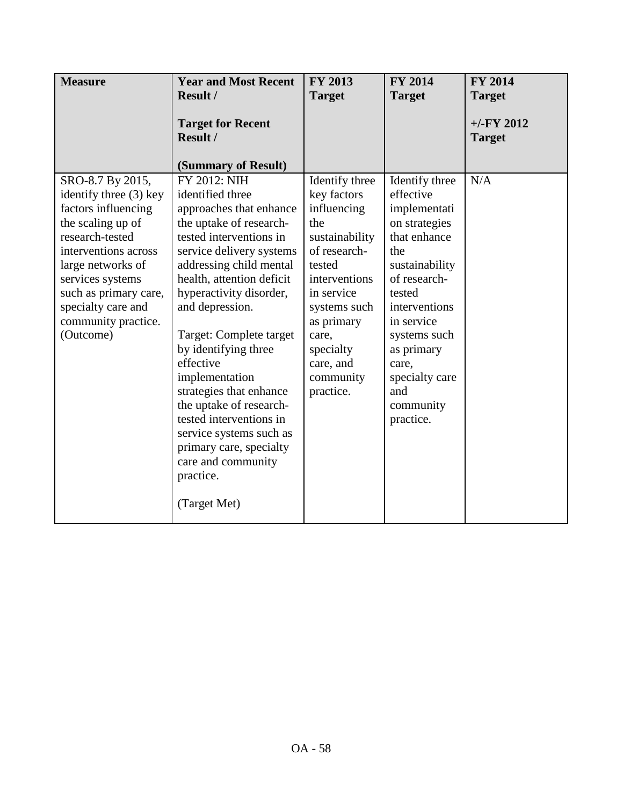| <b>Measure</b>                                                                                                                                                                                                                                                | <b>Year and Most Recent</b><br>Result /                                                                                                                                                                                                                                                                                                                                                                                                                                                                                         | <b>FY 2013</b><br><b>Target</b>                                                                                                                                                                                           | <b>FY 2014</b><br><b>Target</b>                                                                                                                                                                                                                          | <b>FY 2014</b><br><b>Target</b> |
|---------------------------------------------------------------------------------------------------------------------------------------------------------------------------------------------------------------------------------------------------------------|---------------------------------------------------------------------------------------------------------------------------------------------------------------------------------------------------------------------------------------------------------------------------------------------------------------------------------------------------------------------------------------------------------------------------------------------------------------------------------------------------------------------------------|---------------------------------------------------------------------------------------------------------------------------------------------------------------------------------------------------------------------------|----------------------------------------------------------------------------------------------------------------------------------------------------------------------------------------------------------------------------------------------------------|---------------------------------|
|                                                                                                                                                                                                                                                               | <b>Target for Recent</b><br>Result /<br>(Summary of Result)                                                                                                                                                                                                                                                                                                                                                                                                                                                                     |                                                                                                                                                                                                                           |                                                                                                                                                                                                                                                          | $+/-FY$ 2012<br><b>Target</b>   |
| SRO-8.7 By 2015,<br>identify three (3) key<br>factors influencing<br>the scaling up of<br>research-tested<br>interventions across<br>large networks of<br>services systems<br>such as primary care,<br>specialty care and<br>community practice.<br>(Outcome) | FY 2012: NIH<br>identified three<br>approaches that enhance<br>the uptake of research-<br>tested interventions in<br>service delivery systems<br>addressing child mental<br>health, attention deficit<br>hyperactivity disorder,<br>and depression.<br>Target: Complete target<br>by identifying three<br>effective<br>implementation<br>strategies that enhance<br>the uptake of research-<br>tested interventions in<br>service systems such as<br>primary care, specialty<br>care and community<br>practice.<br>(Target Met) | Identify three<br>key factors<br>influencing<br>the<br>sustainability<br>of research-<br>tested<br>interventions<br>in service<br>systems such<br>as primary<br>care,<br>specialty<br>care, and<br>community<br>practice. | Identify three<br>effective<br>implementati<br>on strategies<br>that enhance<br>the<br>sustainability<br>of research-<br>tested<br>interventions<br>in service<br>systems such<br>as primary<br>care,<br>specialty care<br>and<br>community<br>practice. | N/A                             |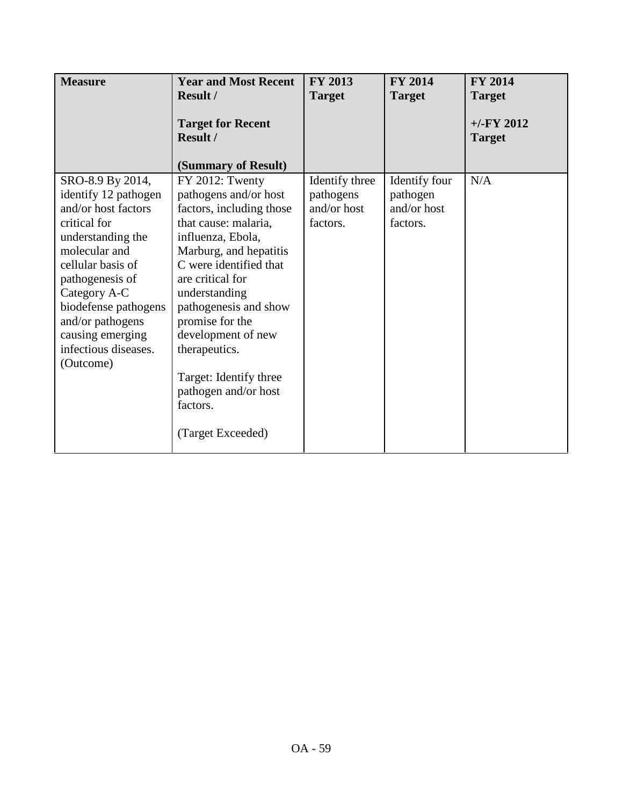| <b>Measure</b>                                                                                                                                                                                                                                                                     | <b>Year and Most Recent</b><br>Result /                                                                                                                                                                                                                                                                                                                                          | <b>FY 2013</b><br><b>Target</b>                        | <b>FY 2014</b><br><b>Target</b>                      | <b>FY 2014</b><br><b>Target</b> |
|------------------------------------------------------------------------------------------------------------------------------------------------------------------------------------------------------------------------------------------------------------------------------------|----------------------------------------------------------------------------------------------------------------------------------------------------------------------------------------------------------------------------------------------------------------------------------------------------------------------------------------------------------------------------------|--------------------------------------------------------|------------------------------------------------------|---------------------------------|
|                                                                                                                                                                                                                                                                                    | <b>Target for Recent</b><br>Result /<br>(Summary of Result)                                                                                                                                                                                                                                                                                                                      |                                                        |                                                      | $+/-$ FY 2012<br><b>Target</b>  |
| SRO-8.9 By 2014,<br>identify 12 pathogen<br>and/or host factors<br>critical for<br>understanding the<br>molecular and<br>cellular basis of<br>pathogenesis of<br>Category A-C<br>biodefense pathogens<br>and/or pathogens<br>causing emerging<br>infectious diseases.<br>(Outcome) | FY 2012: Twenty<br>pathogens and/or host<br>factors, including those<br>that cause: malaria,<br>influenza, Ebola,<br>Marburg, and hepatitis<br>C were identified that<br>are critical for<br>understanding<br>pathogenesis and show<br>promise for the<br>development of new<br>therapeutics.<br>Target: Identify three<br>pathogen and/or host<br>factors.<br>(Target Exceeded) | Identify three<br>pathogens<br>and/or host<br>factors. | Identify four<br>pathogen<br>and/or host<br>factors. | N/A                             |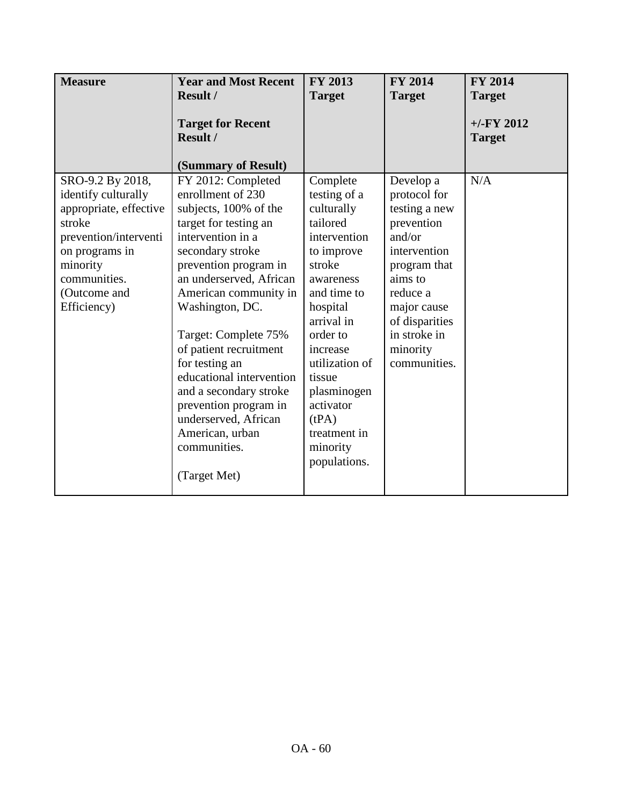| <b>Measure</b>                                                                                                                                                                    | <b>Year and Most Recent</b>                                                                                                                                                                                                                                                                                                                                                                                                                                      | FY 2013                                                                                                                                                                                                                                                                               | <b>FY 2014</b>                                                                                                                                                                                         | FY 2014                        |
|-----------------------------------------------------------------------------------------------------------------------------------------------------------------------------------|------------------------------------------------------------------------------------------------------------------------------------------------------------------------------------------------------------------------------------------------------------------------------------------------------------------------------------------------------------------------------------------------------------------------------------------------------------------|---------------------------------------------------------------------------------------------------------------------------------------------------------------------------------------------------------------------------------------------------------------------------------------|--------------------------------------------------------------------------------------------------------------------------------------------------------------------------------------------------------|--------------------------------|
|                                                                                                                                                                                   | <b>Result /</b>                                                                                                                                                                                                                                                                                                                                                                                                                                                  | <b>Target</b>                                                                                                                                                                                                                                                                         | <b>Target</b>                                                                                                                                                                                          | <b>Target</b>                  |
|                                                                                                                                                                                   | <b>Target for Recent</b><br>Result /                                                                                                                                                                                                                                                                                                                                                                                                                             |                                                                                                                                                                                                                                                                                       |                                                                                                                                                                                                        | $+/-$ FY 2012<br><b>Target</b> |
|                                                                                                                                                                                   | (Summary of Result)                                                                                                                                                                                                                                                                                                                                                                                                                                              |                                                                                                                                                                                                                                                                                       |                                                                                                                                                                                                        |                                |
| SRO-9.2 By 2018,<br>identify culturally<br>appropriate, effective<br>stroke<br>prevention/interventi<br>on programs in<br>minority<br>communities.<br>(Outcome and<br>Efficiency) | FY 2012: Completed<br>enrollment of 230<br>subjects, 100% of the<br>target for testing an<br>intervention in a<br>secondary stroke<br>prevention program in<br>an underserved, African<br>American community in<br>Washington, DC.<br>Target: Complete 75%<br>of patient recruitment<br>for testing an<br>educational intervention<br>and a secondary stroke<br>prevention program in<br>underserved, African<br>American, urban<br>communities.<br>(Target Met) | Complete<br>testing of a<br>culturally<br>tailored<br>intervention<br>to improve<br>stroke<br>awareness<br>and time to<br>hospital<br>arrival in<br>order to<br>increase<br>utilization of<br>tissue<br>plasminogen<br>activator<br>(tPA)<br>treatment in<br>minority<br>populations. | Develop a<br>protocol for<br>testing a new<br>prevention<br>and/or<br>intervention<br>program that<br>aims to<br>reduce a<br>major cause<br>of disparities<br>in stroke in<br>minority<br>communities. | N/A                            |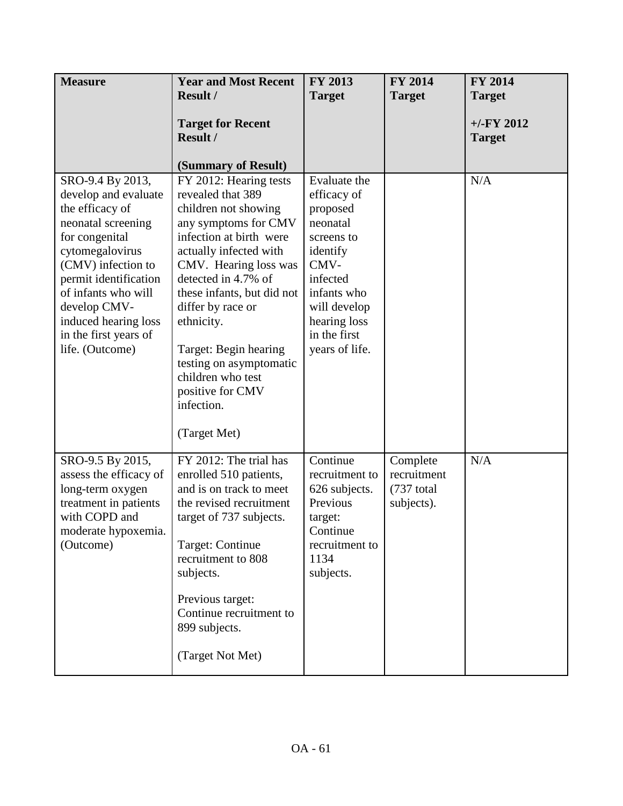| <b>Measure</b>                                                                                                                                                                                                                                                                   | <b>Year and Most Recent</b>                                                                                                                                                                                                                                                                                                                                                                  | <b>FY 2013</b>                                                                                                                                                                     | <b>FY 2014</b>                                        | <b>FY 2014</b>                |
|----------------------------------------------------------------------------------------------------------------------------------------------------------------------------------------------------------------------------------------------------------------------------------|----------------------------------------------------------------------------------------------------------------------------------------------------------------------------------------------------------------------------------------------------------------------------------------------------------------------------------------------------------------------------------------------|------------------------------------------------------------------------------------------------------------------------------------------------------------------------------------|-------------------------------------------------------|-------------------------------|
|                                                                                                                                                                                                                                                                                  | <b>Result /</b>                                                                                                                                                                                                                                                                                                                                                                              | <b>Target</b>                                                                                                                                                                      | <b>Target</b>                                         | <b>Target</b>                 |
|                                                                                                                                                                                                                                                                                  | <b>Target for Recent</b><br>Result /                                                                                                                                                                                                                                                                                                                                                         |                                                                                                                                                                                    |                                                       | $+/-FY$ 2012<br><b>Target</b> |
|                                                                                                                                                                                                                                                                                  | (Summary of Result)                                                                                                                                                                                                                                                                                                                                                                          |                                                                                                                                                                                    |                                                       |                               |
| SRO-9.4 By 2013,<br>develop and evaluate<br>the efficacy of<br>neonatal screening<br>for congenital<br>cytomegalovirus<br>(CMV) infection to<br>permit identification<br>of infants who will<br>develop CMV-<br>induced hearing loss<br>in the first years of<br>life. (Outcome) | FY 2012: Hearing tests<br>revealed that 389<br>children not showing<br>any symptoms for CMV<br>infection at birth were<br>actually infected with<br>CMV. Hearing loss was<br>detected in 4.7% of<br>these infants, but did not<br>differ by race or<br>ethnicity.<br>Target: Begin hearing<br>testing on asymptomatic<br>children who test<br>positive for CMV<br>infection.<br>(Target Met) | Evaluate the<br>efficacy of<br>proposed<br>neonatal<br>screens to<br>identify<br>CMV-<br>infected<br>infants who<br>will develop<br>hearing loss<br>in the first<br>years of life. |                                                       | N/A                           |
| SRO-9.5 By 2015,<br>assess the efficacy of<br>long-term oxygen<br>treatment in patients<br>with COPD and<br>moderate hypoxemia.<br>(Outcome)                                                                                                                                     | FY 2012: The trial has<br>enrolled 510 patients,<br>and is on track to meet<br>the revised recruitment<br>target of 737 subjects.<br>Target: Continue<br>recruitment to 808<br>subjects.<br>Previous target:<br>Continue recruitment to<br>899 subjects.<br>(Target Not Met)                                                                                                                 | Continue<br>recruitment to<br>626 subjects.<br>Previous<br>target:<br>Continue<br>recruitment to<br>1134<br>subjects.                                                              | Complete<br>recruitment<br>$(737$ total<br>subjects). | N/A                           |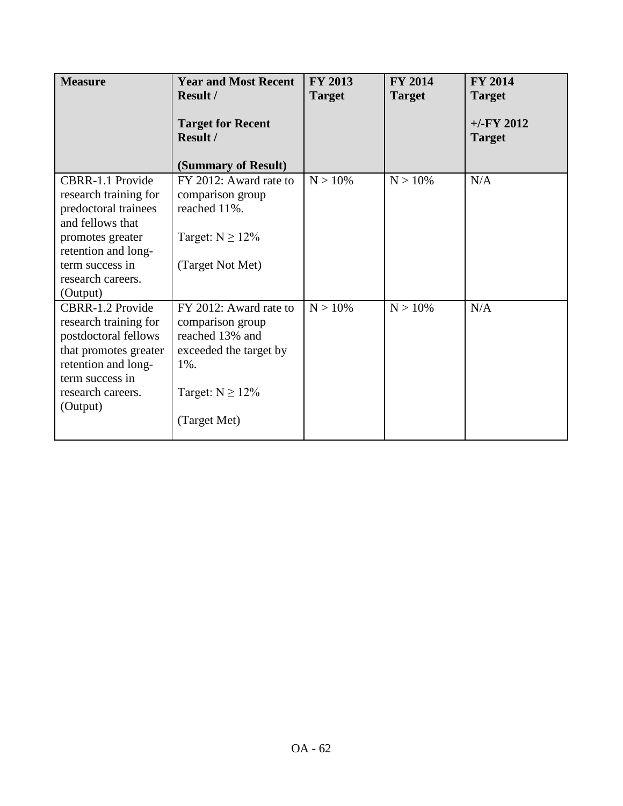| <b>Measure</b>                                                                                                                                                                                                            | <b>Year and Most Recent</b><br><b>Result /</b><br><b>Target for Recent</b><br><b>Result /</b>                                                              | <b>FY 2013</b><br><b>Target</b> | <b>FY 2014</b><br><b>Target</b> | <b>FY 2014</b><br><b>Target</b><br>$+/-$ FY 2012<br><b>Target</b> |
|---------------------------------------------------------------------------------------------------------------------------------------------------------------------------------------------------------------------------|------------------------------------------------------------------------------------------------------------------------------------------------------------|---------------------------------|---------------------------------|-------------------------------------------------------------------|
| CBRR-1.1 Provide<br>research training for<br>predoctoral trainees<br>and fellows that<br>promotes greater<br>retention and long-                                                                                          | (Summary of Result)<br>FY 2012: Award rate to<br>comparison group<br>reached 11%.<br>Target: $N \ge 12\%$                                                  | $N > 10\%$                      | $N > 10\%$                      | N/A                                                               |
| term success in<br>research careers.<br>(Output)<br>CBRR-1.2 Provide<br>research training for<br>postdoctoral fellows<br>that promotes greater<br>retention and long-<br>term success in<br>research careers.<br>(Output) | (Target Not Met)<br>FY 2012: Award rate to<br>comparison group<br>reached 13% and<br>exceeded the target by<br>1%.<br>Target: $N \ge 12\%$<br>(Target Met) | $N > 10\%$                      | $N > 10\%$                      | N/A                                                               |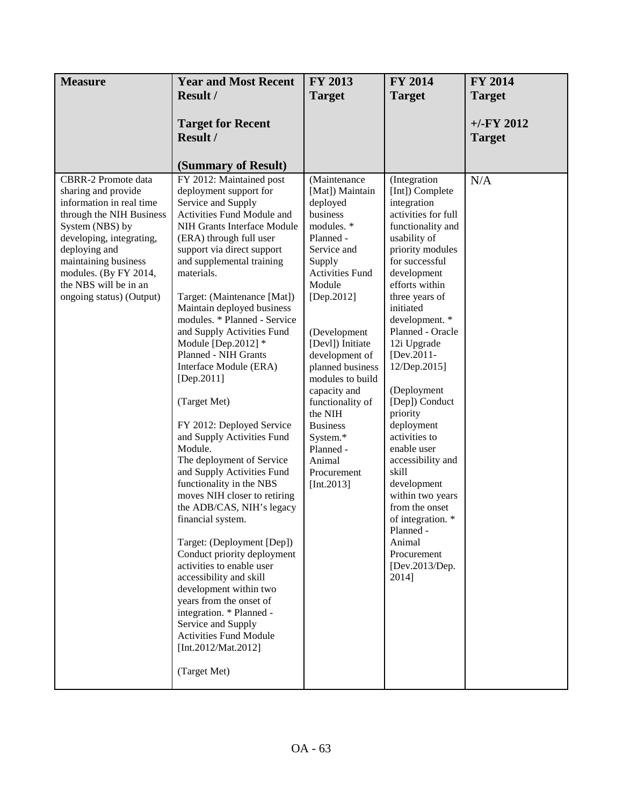| <b>Measure</b>                                                                                                                                                                                                                                                                  | <b>Year and Most Recent</b>                                                                                                                                                                                                                                                                                                                                                                                                                                                                                                                                                                                                                                                                                                                                                                                                                                                                                                                                                                                                      | FY 2013                                                                                                                                                                                                                                                                                                                                                                                       | <b>FY 2014</b>                                                                                                                                                                                                                                                                                                                                                                                                                                                                                                                                                          | <b>FY 2014</b>                |
|---------------------------------------------------------------------------------------------------------------------------------------------------------------------------------------------------------------------------------------------------------------------------------|----------------------------------------------------------------------------------------------------------------------------------------------------------------------------------------------------------------------------------------------------------------------------------------------------------------------------------------------------------------------------------------------------------------------------------------------------------------------------------------------------------------------------------------------------------------------------------------------------------------------------------------------------------------------------------------------------------------------------------------------------------------------------------------------------------------------------------------------------------------------------------------------------------------------------------------------------------------------------------------------------------------------------------|-----------------------------------------------------------------------------------------------------------------------------------------------------------------------------------------------------------------------------------------------------------------------------------------------------------------------------------------------------------------------------------------------|-------------------------------------------------------------------------------------------------------------------------------------------------------------------------------------------------------------------------------------------------------------------------------------------------------------------------------------------------------------------------------------------------------------------------------------------------------------------------------------------------------------------------------------------------------------------------|-------------------------------|
|                                                                                                                                                                                                                                                                                 | <b>Result /</b>                                                                                                                                                                                                                                                                                                                                                                                                                                                                                                                                                                                                                                                                                                                                                                                                                                                                                                                                                                                                                  | <b>Target</b>                                                                                                                                                                                                                                                                                                                                                                                 | <b>Target</b>                                                                                                                                                                                                                                                                                                                                                                                                                                                                                                                                                           | <b>Target</b>                 |
|                                                                                                                                                                                                                                                                                 | <b>Target for Recent</b><br><b>Result /</b><br>(Summary of Result)                                                                                                                                                                                                                                                                                                                                                                                                                                                                                                                                                                                                                                                                                                                                                                                                                                                                                                                                                               |                                                                                                                                                                                                                                                                                                                                                                                               |                                                                                                                                                                                                                                                                                                                                                                                                                                                                                                                                                                         | $+/-FY$ 2012<br><b>Target</b> |
| <b>CBRR-2 Promote data</b><br>sharing and provide<br>information in real time<br>through the NIH Business<br>System (NBS) by<br>developing, integrating,<br>deploying and<br>maintaining business<br>modules. (By FY 2014,<br>the NBS will be in an<br>ongoing status) (Output) | FY 2012: Maintained post<br>deployment support for<br>Service and Supply<br>Activities Fund Module and<br>NIH Grants Interface Module<br>(ERA) through full user<br>support via direct support<br>and supplemental training<br>materials.<br>Target: (Maintenance [Mat])<br>Maintain deployed business<br>modules. * Planned - Service<br>and Supply Activities Fund<br>Module [Dep.2012] $*$<br>Planned - NIH Grants<br>Interface Module (ERA)<br>[Dep.2011]<br>(Target Met)<br>FY 2012: Deployed Service<br>and Supply Activities Fund<br>Module.<br>The deployment of Service<br>and Supply Activities Fund<br>functionality in the NBS<br>moves NIH closer to retiring<br>the ADB/CAS, NIH's legacy<br>financial system.<br>Target: (Deployment [Dep])<br>Conduct priority deployment<br>activities to enable user<br>accessibility and skill<br>development within two<br>years from the onset of<br>integration. * Planned -<br>Service and Supply<br><b>Activities Fund Module</b><br>[Int.2012/Mat.2012]<br>(Target Met) | (Maintenance<br>[Mat]) Maintain<br>deployed<br>business<br>modules. *<br>Planned -<br>Service and<br>Supply<br><b>Activities Fund</b><br>Module<br>[Dep.2012]<br>(Development<br>[Devl]) Initiate<br>development of<br>planned business<br>modules to build<br>capacity and<br>functionality of<br>the NIH<br><b>Business</b><br>System.*<br>Planned -<br>Animal<br>Procurement<br>[Int.2013] | (Integration<br>[Int]) Complete<br>integration<br>activities for full<br>functionality and<br>usability of<br>priority modules<br>for successful<br>development<br>efforts within<br>three years of<br>initiated<br>development. *<br>Planned - Oracle<br>12i Upgrade<br>[Dev.2011-<br>12/Dep.2015]<br>(Deployment<br>[Dep]) Conduct<br>priority<br>deployment<br>activities to<br>enable user<br>accessibility and<br>skill<br>development<br>within two years<br>from the onset<br>of integration. *<br>Planned -<br>Animal<br>Procurement<br>[Dev.2013/Dep.<br>2014] | N/A                           |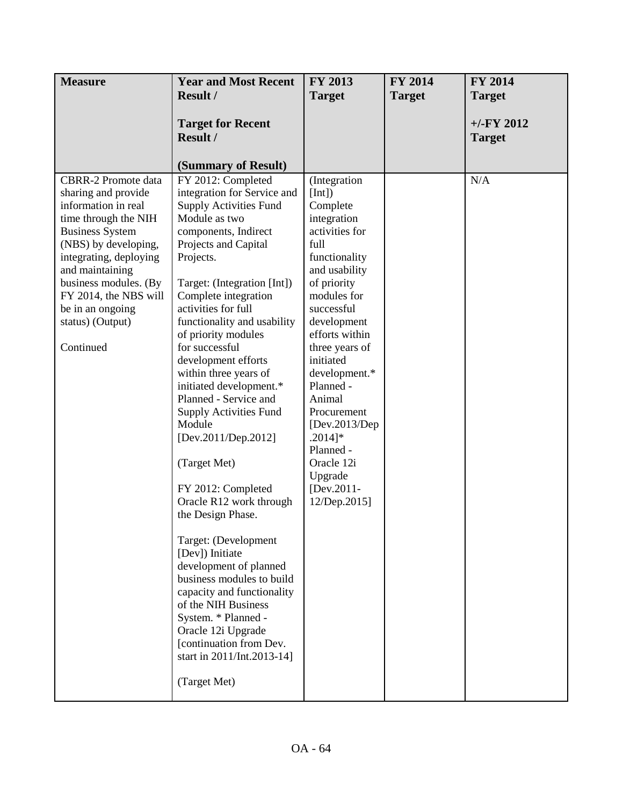| <b>Measure</b>                                                                                                                                                                                                                                                                                         | <b>Year and Most Recent</b>                                                                                                                                                                                                                                                                                                                                                                                                                                                                                                                                                                                                                                                                                                                                                                                                                                     | <b>FY 2013</b>                                                                                                                                                                                                                                                                                                                                                                          | <b>FY 2014</b> | <b>FY 2014</b>                |
|--------------------------------------------------------------------------------------------------------------------------------------------------------------------------------------------------------------------------------------------------------------------------------------------------------|-----------------------------------------------------------------------------------------------------------------------------------------------------------------------------------------------------------------------------------------------------------------------------------------------------------------------------------------------------------------------------------------------------------------------------------------------------------------------------------------------------------------------------------------------------------------------------------------------------------------------------------------------------------------------------------------------------------------------------------------------------------------------------------------------------------------------------------------------------------------|-----------------------------------------------------------------------------------------------------------------------------------------------------------------------------------------------------------------------------------------------------------------------------------------------------------------------------------------------------------------------------------------|----------------|-------------------------------|
|                                                                                                                                                                                                                                                                                                        | <b>Result /</b>                                                                                                                                                                                                                                                                                                                                                                                                                                                                                                                                                                                                                                                                                                                                                                                                                                                 | <b>Target</b>                                                                                                                                                                                                                                                                                                                                                                           | <b>Target</b>  | <b>Target</b>                 |
|                                                                                                                                                                                                                                                                                                        | <b>Target for Recent</b><br>Result /<br>(Summary of Result)                                                                                                                                                                                                                                                                                                                                                                                                                                                                                                                                                                                                                                                                                                                                                                                                     |                                                                                                                                                                                                                                                                                                                                                                                         |                | $+/-FY$ 2012<br><b>Target</b> |
| <b>CBRR-2 Promote data</b><br>sharing and provide<br>information in real<br>time through the NIH<br><b>Business System</b><br>(NBS) by developing,<br>integrating, deploying<br>and maintaining<br>business modules. (By<br>FY 2014, the NBS will<br>be in an ongoing<br>status) (Output)<br>Continued | FY 2012: Completed<br>integration for Service and<br><b>Supply Activities Fund</b><br>Module as two<br>components, Indirect<br>Projects and Capital<br>Projects.<br>Target: (Integration [Int])<br>Complete integration<br>activities for full<br>functionality and usability<br>of priority modules<br>for successful<br>development efforts<br>within three years of<br>initiated development.*<br>Planned - Service and<br><b>Supply Activities Fund</b><br>Module<br>[Dev.2011/Dep.2012]<br>(Target Met)<br>FY 2012: Completed<br>Oracle R12 work through<br>the Design Phase.<br>Target: (Development<br>[Dev]) Initiate<br>development of planned<br>business modules to build<br>capacity and functionality<br>of the NIH Business<br>System. * Planned -<br>Oracle 12i Upgrade<br>[continuation from Dev.<br>start in 2011/Int.2013-14]<br>(Target Met) | (Integration<br>[Int]<br>Complete<br>integration<br>activities for<br>full<br>functionality<br>and usability<br>of priority<br>modules for<br>successful<br>development<br>efforts within<br>three years of<br>initiated<br>development.*<br>Planned -<br>Animal<br>Procurement<br>[ $Dev.2013/Dep$ ]<br>$.2014]$ *<br>Planned -<br>Oracle 12i<br>Upgrade<br>[Dev.2011-<br>12/Dep.2015] |                | N/A                           |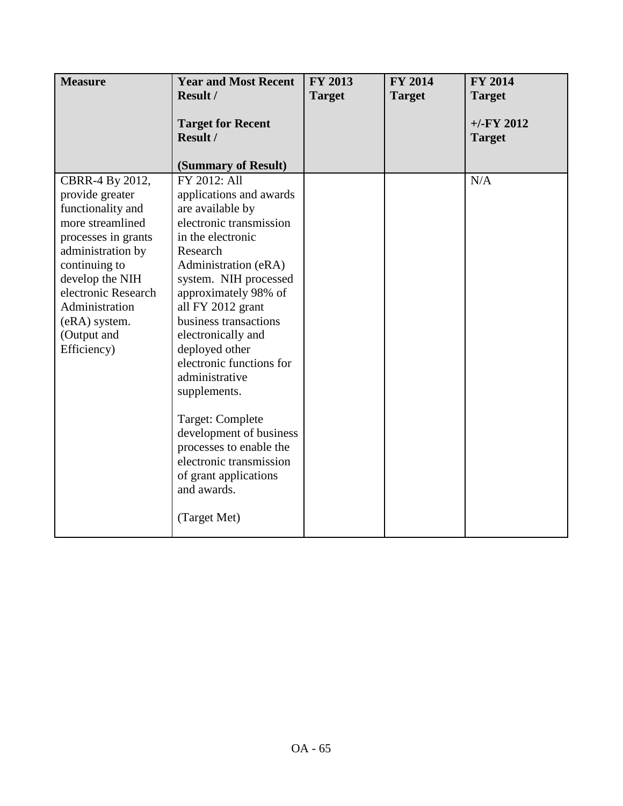| <b>Measure</b>                                                                                                                                                                                                                                      | <b>Year and Most Recent</b>                                                                                                                                                                                                                                                                                                                                                                                                                                                                                       | FY 2013       | <b>FY 2014</b> | <b>FY 2014</b>                 |
|-----------------------------------------------------------------------------------------------------------------------------------------------------------------------------------------------------------------------------------------------------|-------------------------------------------------------------------------------------------------------------------------------------------------------------------------------------------------------------------------------------------------------------------------------------------------------------------------------------------------------------------------------------------------------------------------------------------------------------------------------------------------------------------|---------------|----------------|--------------------------------|
|                                                                                                                                                                                                                                                     | <b>Result /</b>                                                                                                                                                                                                                                                                                                                                                                                                                                                                                                   | <b>Target</b> | <b>Target</b>  | <b>Target</b>                  |
|                                                                                                                                                                                                                                                     | <b>Target for Recent</b><br>Result /                                                                                                                                                                                                                                                                                                                                                                                                                                                                              |               |                | $+/-$ FY 2012<br><b>Target</b> |
|                                                                                                                                                                                                                                                     | (Summary of Result)                                                                                                                                                                                                                                                                                                                                                                                                                                                                                               |               |                |                                |
| CBRR-4 By 2012,<br>provide greater<br>functionality and<br>more streamlined<br>processes in grants<br>administration by<br>continuing to<br>develop the NIH<br>electronic Research<br>Administration<br>(eRA) system.<br>(Output and<br>Efficiency) | FY 2012: All<br>applications and awards<br>are available by<br>electronic transmission<br>in the electronic<br>Research<br>Administration (eRA)<br>system. NIH processed<br>approximately 98% of<br>all FY 2012 grant<br>business transactions<br>electronically and<br>deployed other<br>electronic functions for<br>administrative<br>supplements.<br>Target: Complete<br>development of business<br>processes to enable the<br>electronic transmission<br>of grant applications<br>and awards.<br>(Target Met) |               |                | N/A                            |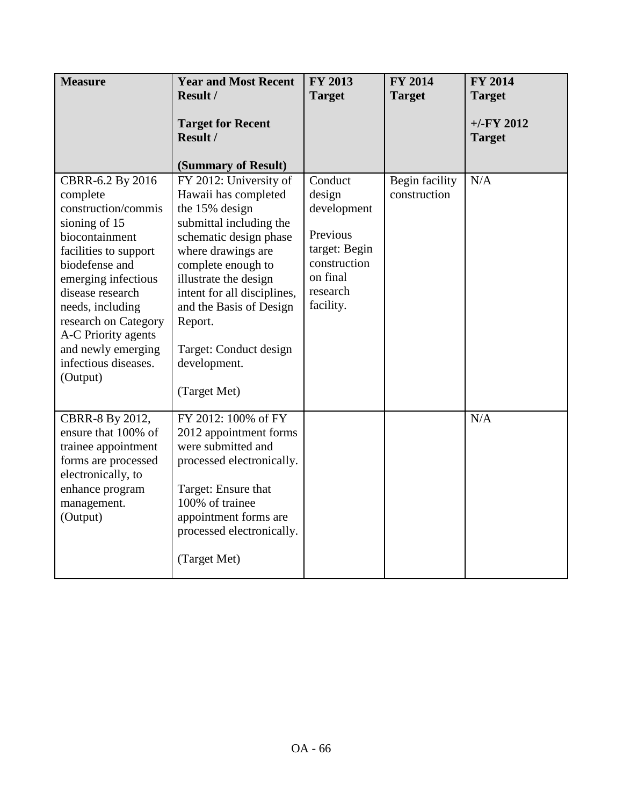| <b>Measure</b>                                                                                                                                                                                                                                                                                            | <b>Year and Most Recent</b>                                                                                                                                                                                                                                                                                               | <b>FY 2013</b>                                                                                                     | <b>FY 2014</b>                 | <b>FY 2014</b>                |
|-----------------------------------------------------------------------------------------------------------------------------------------------------------------------------------------------------------------------------------------------------------------------------------------------------------|---------------------------------------------------------------------------------------------------------------------------------------------------------------------------------------------------------------------------------------------------------------------------------------------------------------------------|--------------------------------------------------------------------------------------------------------------------|--------------------------------|-------------------------------|
|                                                                                                                                                                                                                                                                                                           | Result /                                                                                                                                                                                                                                                                                                                  | <b>Target</b>                                                                                                      | <b>Target</b>                  | <b>Target</b>                 |
|                                                                                                                                                                                                                                                                                                           | <b>Target for Recent</b><br><b>Result /</b><br>(Summary of Result)                                                                                                                                                                                                                                                        |                                                                                                                    |                                | $+/-FY$ 2012<br><b>Target</b> |
| CBRR-6.2 By 2016<br>complete<br>construction/commis<br>sioning of 15<br>biocontainment<br>facilities to support<br>biodefense and<br>emerging infectious<br>disease research<br>needs, including<br>research on Category<br>A-C Priority agents<br>and newly emerging<br>infectious diseases.<br>(Output) | FY 2012: University of<br>Hawaii has completed<br>the 15% design<br>submittal including the<br>schematic design phase<br>where drawings are<br>complete enough to<br>illustrate the design<br>intent for all disciplines,<br>and the Basis of Design<br>Report.<br>Target: Conduct design<br>development.<br>(Target Met) | Conduct<br>design<br>development<br>Previous<br>target: Begin<br>construction<br>on final<br>research<br>facility. | Begin facility<br>construction | N/A                           |
| CBRR-8 By 2012,<br>ensure that 100% of<br>trainee appointment<br>forms are processed<br>electronically, to<br>enhance program<br>management.<br>(Output)                                                                                                                                                  | FY 2012: 100% of FY<br>2012 appointment forms<br>were submitted and<br>processed electronically.<br>Target: Ensure that<br>100% of trainee<br>appointment forms are<br>processed electronically.<br>(Target Met)                                                                                                          |                                                                                                                    |                                | N/A                           |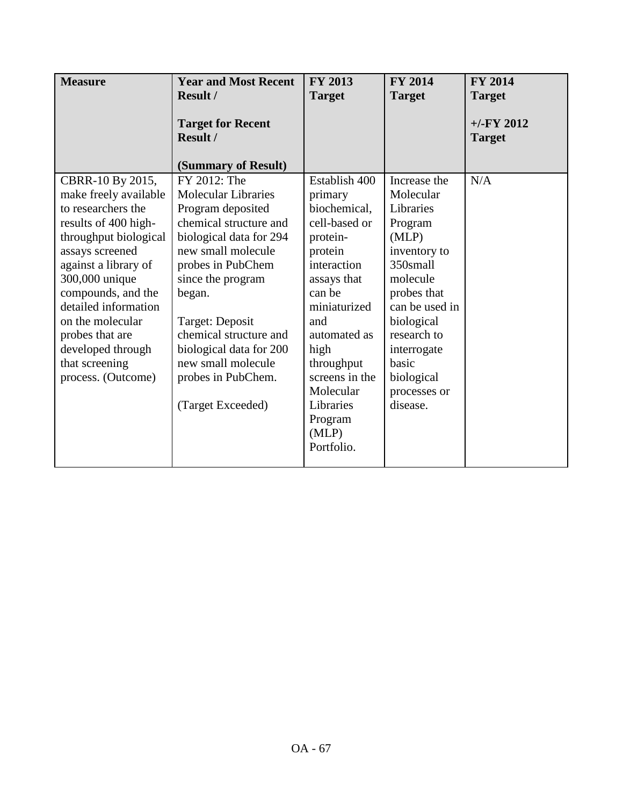| <b>Measure</b>        | <b>Year and Most Recent</b> | <b>FY 2013</b> | <b>FY 2014</b> | <b>FY 2014</b> |
|-----------------------|-----------------------------|----------------|----------------|----------------|
|                       | <b>Result /</b>             | <b>Target</b>  | <b>Target</b>  | <b>Target</b>  |
|                       | <b>Target for Recent</b>    |                |                | $+/-$ FY 2012  |
|                       | Result /                    |                |                | <b>Target</b>  |
|                       | (Summary of Result)         |                |                |                |
| CBRR-10 By 2015,      | FY 2012: The                | Establish 400  | Increase the   | N/A            |
| make freely available | <b>Molecular Libraries</b>  | primary        | Molecular      |                |
| to researchers the    | Program deposited           | biochemical,   | Libraries      |                |
| results of 400 high-  | chemical structure and      | cell-based or  | Program        |                |
| throughput biological | biological data for 294     | protein-       | (MLP)          |                |
| assays screened       | new small molecule          | protein        | inventory to   |                |
| against a library of  | probes in PubChem           | interaction    | 350small       |                |
| 300,000 unique        | since the program           | assays that    | molecule       |                |
| compounds, and the    | began.                      | can be         | probes that    |                |
| detailed information  |                             | miniaturized   | can be used in |                |
| on the molecular      | Target: Deposit             | and            | biological     |                |
| probes that are       | chemical structure and      | automated as   | research to    |                |
| developed through     | biological data for 200     | high           | interrogate    |                |
| that screening        | new small molecule          | throughput     | basic          |                |
| process. (Outcome)    | probes in PubChem.          | screens in the | biological     |                |
|                       |                             | Molecular      | processes or   |                |
|                       | (Target Exceeded)           | Libraries      | disease.       |                |
|                       |                             | Program        |                |                |
|                       |                             | (MLP)          |                |                |
|                       |                             | Portfolio.     |                |                |
|                       |                             |                |                |                |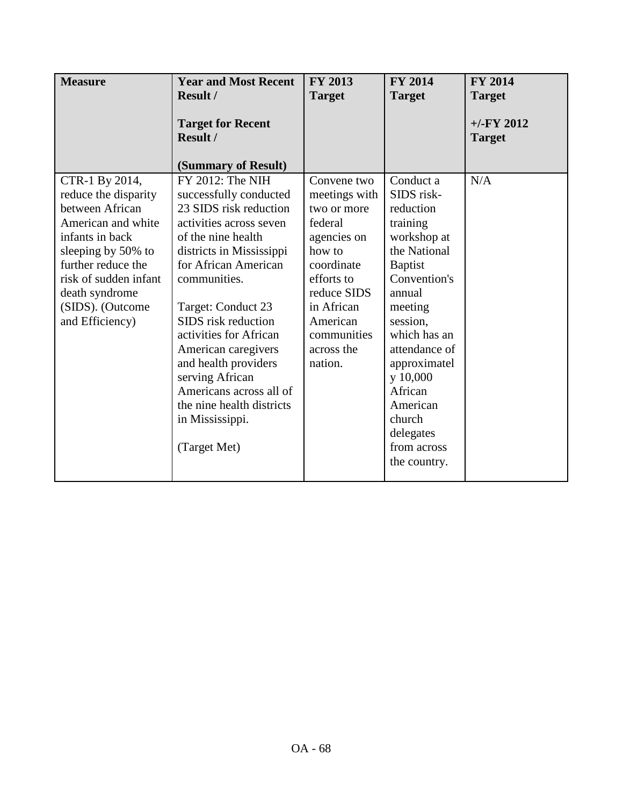| <b>Measure</b>                                                                                                                                                                                                                   | <b>Year and Most Recent</b><br><b>Result /</b>                                                                                                                                                                                                                                                                                                                                                                                | <b>FY 2013</b><br><b>Target</b>                                                                                                                                                              | <b>FY 2014</b><br><b>Target</b>                                                                                                                                                                                                                                                              | <b>FY 2014</b><br><b>Target</b> |
|----------------------------------------------------------------------------------------------------------------------------------------------------------------------------------------------------------------------------------|-------------------------------------------------------------------------------------------------------------------------------------------------------------------------------------------------------------------------------------------------------------------------------------------------------------------------------------------------------------------------------------------------------------------------------|----------------------------------------------------------------------------------------------------------------------------------------------------------------------------------------------|----------------------------------------------------------------------------------------------------------------------------------------------------------------------------------------------------------------------------------------------------------------------------------------------|---------------------------------|
|                                                                                                                                                                                                                                  | <b>Target for Recent</b><br>Result /<br>(Summary of Result)                                                                                                                                                                                                                                                                                                                                                                   |                                                                                                                                                                                              |                                                                                                                                                                                                                                                                                              | $+/-$ FY 2012<br><b>Target</b>  |
| CTR-1 By 2014,<br>reduce the disparity<br>between African<br>American and white<br>infants in back<br>sleeping by 50% to<br>further reduce the<br>risk of sudden infant<br>death syndrome<br>(SIDS). (Outcome<br>and Efficiency) | FY 2012: The NIH<br>successfully conducted<br>23 SIDS risk reduction<br>activities across seven<br>of the nine health<br>districts in Mississippi<br>for African American<br>communities.<br>Target: Conduct 23<br>SIDS risk reduction<br>activities for African<br>American caregivers<br>and health providers<br>serving African<br>Americans across all of<br>the nine health districts<br>in Mississippi.<br>(Target Met) | Convene two<br>meetings with<br>two or more<br>federal<br>agencies on<br>how to<br>coordinate<br>efforts to<br>reduce SIDS<br>in African<br>American<br>communities<br>across the<br>nation. | Conduct a<br>SIDS risk-<br>reduction<br>training<br>workshop at<br>the National<br><b>Baptist</b><br>Convention's<br>annual<br>meeting<br>session,<br>which has an<br>attendance of<br>approximatel<br>y 10,000<br>African<br>American<br>church<br>delegates<br>from across<br>the country. | N/A                             |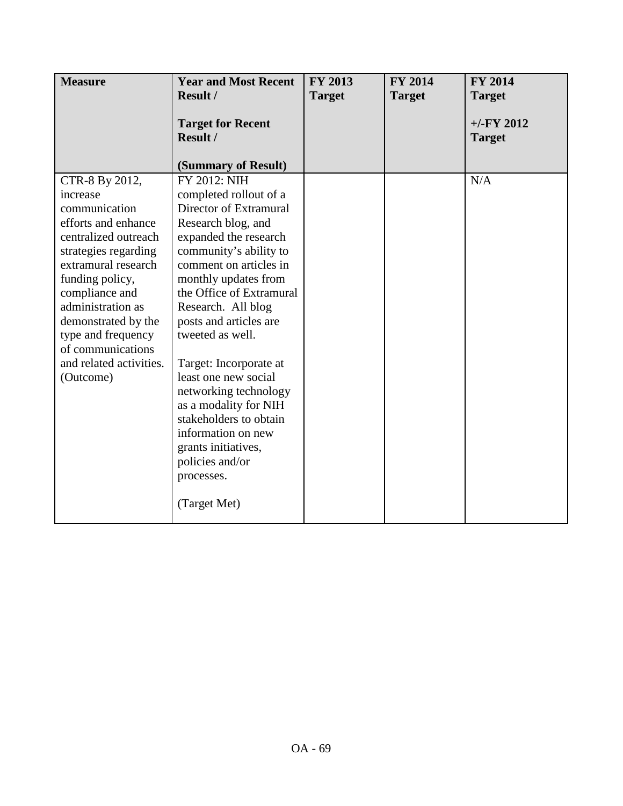| <b>Measure</b>                                                                                                                                                                                                                                                                                                | <b>Year and Most Recent</b>                                                                                                                                                                                                                                                                                                                                                                                                                                                                                             | <b>FY 2013</b> | <b>FY 2014</b> | <b>FY 2014</b>                |
|---------------------------------------------------------------------------------------------------------------------------------------------------------------------------------------------------------------------------------------------------------------------------------------------------------------|-------------------------------------------------------------------------------------------------------------------------------------------------------------------------------------------------------------------------------------------------------------------------------------------------------------------------------------------------------------------------------------------------------------------------------------------------------------------------------------------------------------------------|----------------|----------------|-------------------------------|
|                                                                                                                                                                                                                                                                                                               | Result /                                                                                                                                                                                                                                                                                                                                                                                                                                                                                                                | <b>Target</b>  | <b>Target</b>  | <b>Target</b>                 |
|                                                                                                                                                                                                                                                                                                               | <b>Target for Recent</b><br>Result /                                                                                                                                                                                                                                                                                                                                                                                                                                                                                    |                |                | $+/-FY$ 2012<br><b>Target</b> |
|                                                                                                                                                                                                                                                                                                               | (Summary of Result)                                                                                                                                                                                                                                                                                                                                                                                                                                                                                                     |                |                |                               |
| CTR-8 By 2012,<br>increase<br>communication<br>efforts and enhance<br>centralized outreach<br>strategies regarding<br>extramural research<br>funding policy,<br>compliance and<br>administration as<br>demonstrated by the<br>type and frequency<br>of communications<br>and related activities.<br>(Outcome) | FY 2012: NIH<br>completed rollout of a<br>Director of Extramural<br>Research blog, and<br>expanded the research<br>community's ability to<br>comment on articles in<br>monthly updates from<br>the Office of Extramural<br>Research. All blog<br>posts and articles are<br>tweeted as well.<br>Target: Incorporate at<br>least one new social<br>networking technology<br>as a modality for NIH<br>stakeholders to obtain<br>information on new<br>grants initiatives,<br>policies and/or<br>processes.<br>(Target Met) |                |                | N/A                           |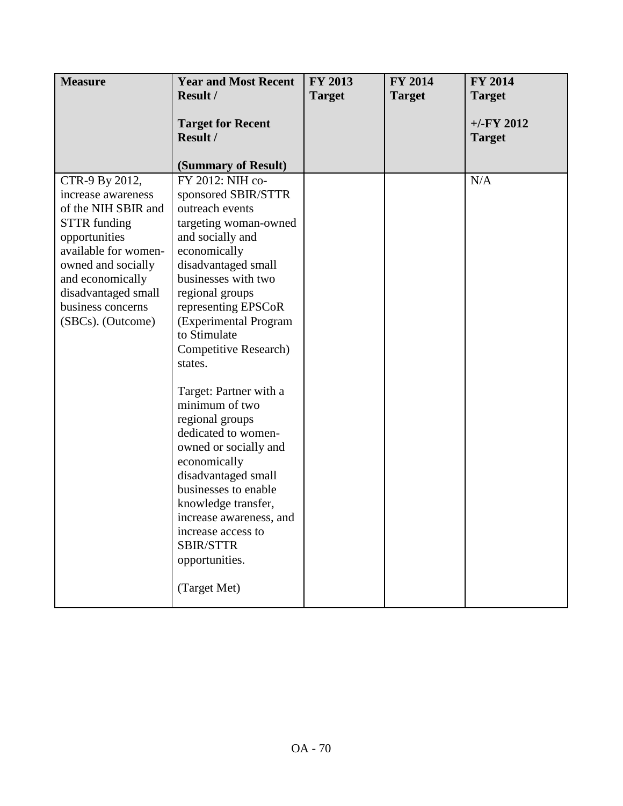| <b>Measure</b>                                                                                                                                                                                                                         | <b>Year and Most Recent</b>                                                                                                                                                                                                                                                                                                                                                                                                                                                                                                                                                                              | FY 2013       | <b>FY 2014</b> | <b>FY 2014</b>                |
|----------------------------------------------------------------------------------------------------------------------------------------------------------------------------------------------------------------------------------------|----------------------------------------------------------------------------------------------------------------------------------------------------------------------------------------------------------------------------------------------------------------------------------------------------------------------------------------------------------------------------------------------------------------------------------------------------------------------------------------------------------------------------------------------------------------------------------------------------------|---------------|----------------|-------------------------------|
|                                                                                                                                                                                                                                        | Result /                                                                                                                                                                                                                                                                                                                                                                                                                                                                                                                                                                                                 | <b>Target</b> | <b>Target</b>  | <b>Target</b>                 |
|                                                                                                                                                                                                                                        | <b>Target for Recent</b><br><b>Result /</b>                                                                                                                                                                                                                                                                                                                                                                                                                                                                                                                                                              |               |                | $+/-FY$ 2012<br><b>Target</b> |
|                                                                                                                                                                                                                                        | (Summary of Result)                                                                                                                                                                                                                                                                                                                                                                                                                                                                                                                                                                                      |               |                |                               |
| CTR-9 By 2012,<br>increase awareness<br>of the NIH SBIR and<br><b>STTR</b> funding<br>opportunities<br>available for women-<br>owned and socially<br>and economically<br>disadvantaged small<br>business concerns<br>(SBCs). (Outcome) | FY 2012: NIH co-<br>sponsored SBIR/STTR<br>outreach events<br>targeting woman-owned<br>and socially and<br>economically<br>disadvantaged small<br>businesses with two<br>regional groups<br>representing EPSCoR<br>(Experimental Program<br>to Stimulate<br>Competitive Research)<br>states.<br>Target: Partner with a<br>minimum of two<br>regional groups<br>dedicated to women-<br>owned or socially and<br>economically<br>disadvantaged small<br>businesses to enable<br>knowledge transfer,<br>increase awareness, and<br>increase access to<br><b>SBIR/STTR</b><br>opportunities.<br>(Target Met) |               |                | N/A                           |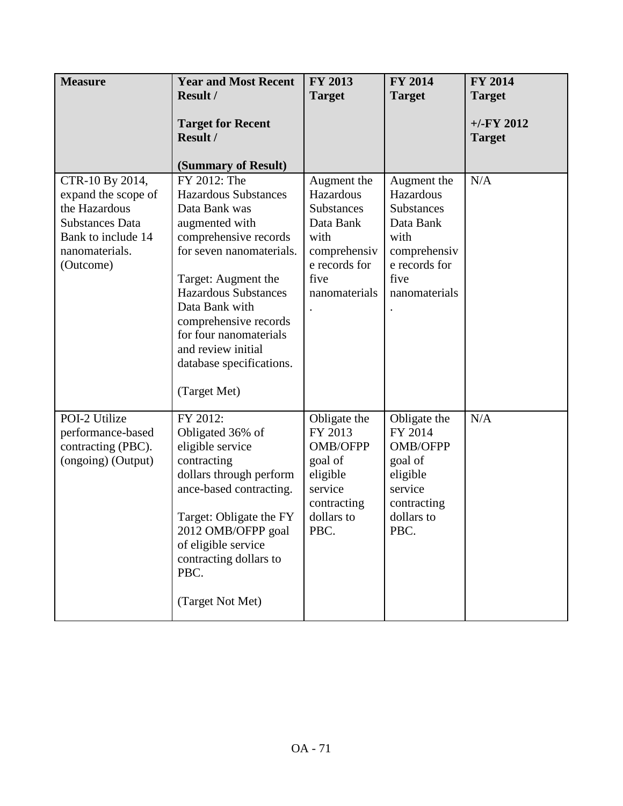| <b>Measure</b>                                                                                                                         | <b>Year and Most Recent</b><br><b>Result /</b>                                                                                                                                                                                                                                                                                   | FY 2013<br><b>Target</b>                                                                                                     | <b>FY 2014</b><br><b>Target</b>                                                                                              | <b>FY 2014</b><br><b>Target</b> |
|----------------------------------------------------------------------------------------------------------------------------------------|----------------------------------------------------------------------------------------------------------------------------------------------------------------------------------------------------------------------------------------------------------------------------------------------------------------------------------|------------------------------------------------------------------------------------------------------------------------------|------------------------------------------------------------------------------------------------------------------------------|---------------------------------|
|                                                                                                                                        | <b>Target for Recent</b><br><b>Result /</b><br>(Summary of Result)                                                                                                                                                                                                                                                               |                                                                                                                              |                                                                                                                              | $+/-FY$ 2012<br><b>Target</b>   |
| CTR-10 By 2014,<br>expand the scope of<br>the Hazardous<br><b>Substances Data</b><br>Bank to include 14<br>nanomaterials.<br>(Outcome) | FY 2012: The<br><b>Hazardous Substances</b><br>Data Bank was<br>augmented with<br>comprehensive records<br>for seven nanomaterials.<br>Target: Augment the<br><b>Hazardous Substances</b><br>Data Bank with<br>comprehensive records<br>for four nanomaterials<br>and review initial<br>database specifications.<br>(Target Met) | Augment the<br>Hazardous<br><b>Substances</b><br>Data Bank<br>with<br>comprehensiv<br>e records for<br>five<br>nanomaterials | Augment the<br>Hazardous<br><b>Substances</b><br>Data Bank<br>with<br>comprehensiv<br>e records for<br>five<br>nanomaterials | N/A                             |
| POI-2 Utilize<br>performance-based<br>contracting (PBC).<br>(ongoing) (Output)                                                         | FY 2012:<br>Obligated 36% of<br>eligible service<br>contracting<br>dollars through perform<br>ance-based contracting.<br>Target: Obligate the FY<br>2012 OMB/OFPP goal<br>of eligible service<br>contracting dollars to<br>PBC.<br>(Target Not Met)                                                                              | Obligate the<br>FY 2013<br><b>OMB/OFPP</b><br>goal of<br>eligible<br>service<br>contracting<br>dollars to<br>PBC.            | Obligate the<br>FY 2014<br>OMB/OFPP<br>goal of<br>eligible<br>service<br>contracting<br>dollars to<br>PBC.                   | N/A                             |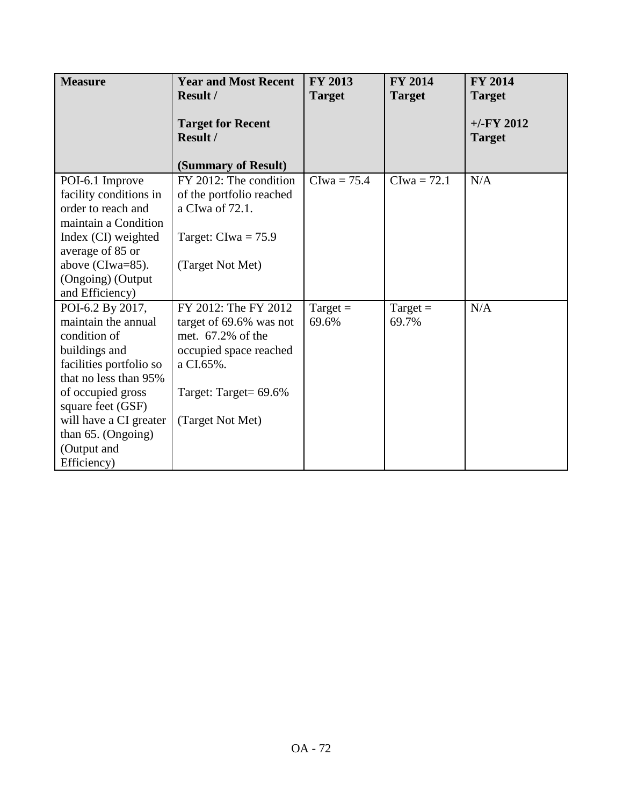| <b>Measure</b>                                                                                                                                                         | <b>Year and Most Recent</b><br>Result /                                                                                              | <b>FY 2013</b><br><b>Target</b> | <b>FY 2014</b><br><b>Target</b> | <b>FY 2014</b><br><b>Target</b> |
|------------------------------------------------------------------------------------------------------------------------------------------------------------------------|--------------------------------------------------------------------------------------------------------------------------------------|---------------------------------|---------------------------------|---------------------------------|
|                                                                                                                                                                        | <b>Target for Recent</b><br>Result /<br>(Summary of Result)                                                                          |                                 |                                 | $+/-FY$ 2012<br><b>Target</b>   |
| POI-6.1 Improve<br>facility conditions in<br>order to reach and<br>maintain a Condition<br>Index (CI) weighted<br>average of 85 or<br>above (CIwa=85).                 | FY 2012: The condition<br>of the portfolio reached<br>a CIwa of 72.1.<br>Target: $Clwa = 75.9$<br>(Target Not Met)                   | $Clwa = 75.4$                   | $Clwa = 72.1$                   | N/A                             |
| (Ongoing) (Output<br>and Efficiency)                                                                                                                                   |                                                                                                                                      |                                 |                                 |                                 |
| POI-6.2 By 2017,<br>maintain the annual<br>condition of<br>buildings and<br>facilities portfolio so<br>that no less than 95%<br>of occupied gross<br>square feet (GSF) | FY 2012: The FY 2012<br>target of 69.6% was not<br>met. 67.2% of the<br>occupied space reached<br>a CI.65%.<br>Target: Target= 69.6% | Target $=$<br>69.6%             | Target $=$<br>69.7%             | N/A                             |
| will have a CI greater<br>than 65. (Ongoing)                                                                                                                           | (Target Not Met)                                                                                                                     |                                 |                                 |                                 |
| (Output and<br>Efficiency)                                                                                                                                             |                                                                                                                                      |                                 |                                 |                                 |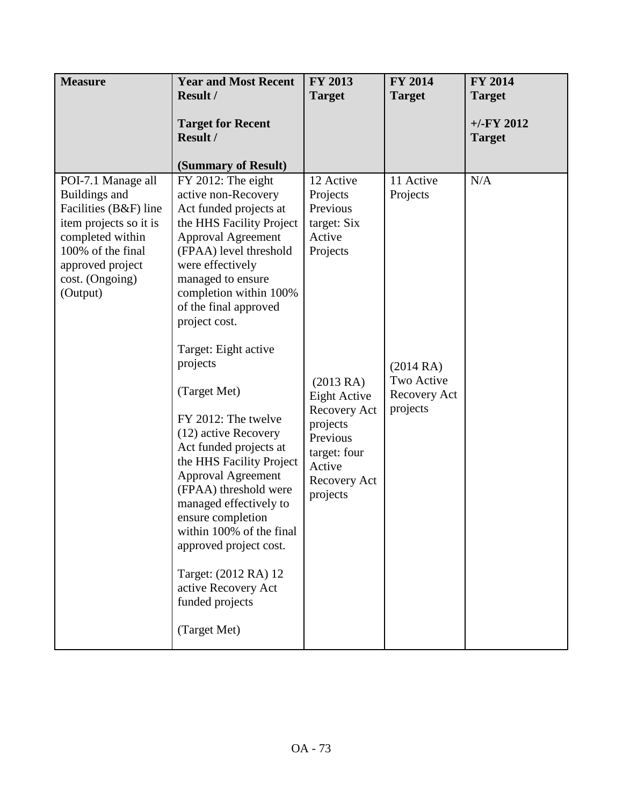| <b>Measure</b>                                                                                                                                                                     | <b>Year and Most Recent</b><br>Result /                                                                                                                                                                                                                                                                                                                                                                                                                                                                                                                                                                                                                                          | FY 2013<br><b>Target</b>                                                                                                                                                                         | <b>FY 2014</b><br><b>Target</b>                                             | <b>FY 2014</b><br><b>Target</b> |
|------------------------------------------------------------------------------------------------------------------------------------------------------------------------------------|----------------------------------------------------------------------------------------------------------------------------------------------------------------------------------------------------------------------------------------------------------------------------------------------------------------------------------------------------------------------------------------------------------------------------------------------------------------------------------------------------------------------------------------------------------------------------------------------------------------------------------------------------------------------------------|--------------------------------------------------------------------------------------------------------------------------------------------------------------------------------------------------|-----------------------------------------------------------------------------|---------------------------------|
|                                                                                                                                                                                    | <b>Target for Recent</b><br>Result /                                                                                                                                                                                                                                                                                                                                                                                                                                                                                                                                                                                                                                             |                                                                                                                                                                                                  |                                                                             | $+/-$ FY 2012<br><b>Target</b>  |
| POI-7.1 Manage all<br>Buildings and<br>Facilities (B&F) line<br>item projects so it is<br>completed within<br>100% of the final<br>approved project<br>cost. (Ongoing)<br>(Output) | (Summary of Result)<br>FY 2012: The eight<br>active non-Recovery<br>Act funded projects at<br>the HHS Facility Project<br><b>Approval Agreement</b><br>(FPAA) level threshold<br>were effectively<br>managed to ensure<br>completion within 100%<br>of the final approved<br>project cost.<br>Target: Eight active<br>projects<br>(Target Met)<br>FY 2012: The twelve<br>(12) active Recovery<br>Act funded projects at<br>the HHS Facility Project<br><b>Approval Agreement</b><br>(FPAA) threshold were<br>managed effectively to<br>ensure completion<br>within 100% of the final<br>approved project cost.<br>Target: (2012 RA) 12<br>active Recovery Act<br>funded projects | 12 Active<br>Projects<br>Previous<br>target: Six<br>Active<br>Projects<br>(2013RA)<br>Eight Active<br>Recovery Act<br>projects<br>Previous<br>target: four<br>Active<br>Recovery Act<br>projects | 11 Active<br>Projects<br>(2014RA)<br>Two Active<br>Recovery Act<br>projects | N/A                             |
|                                                                                                                                                                                    | (Target Met)                                                                                                                                                                                                                                                                                                                                                                                                                                                                                                                                                                                                                                                                     |                                                                                                                                                                                                  |                                                                             |                                 |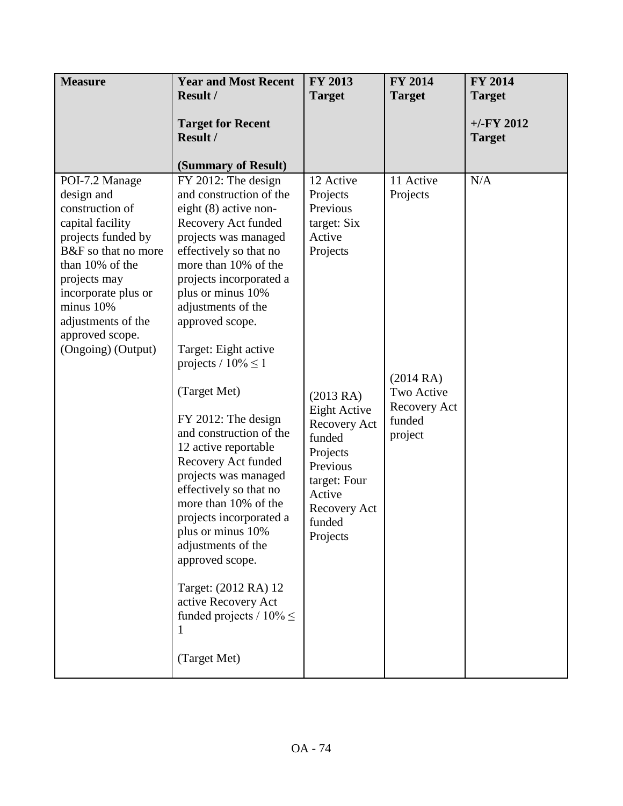| <b>Measure</b>                                                                                                                                                                                                                                         | <b>Year and Most Recent</b><br><b>Result /</b>                                                                                                                                                                                                                                                                                                                                                                                                                                                                                                                                                                                                                                                                                   | FY 2013<br><b>Target</b>                                                                                                                                                                                                    | <b>FY 2014</b><br><b>Target</b>                                                      | <b>FY 2014</b><br><b>Target</b> |
|--------------------------------------------------------------------------------------------------------------------------------------------------------------------------------------------------------------------------------------------------------|----------------------------------------------------------------------------------------------------------------------------------------------------------------------------------------------------------------------------------------------------------------------------------------------------------------------------------------------------------------------------------------------------------------------------------------------------------------------------------------------------------------------------------------------------------------------------------------------------------------------------------------------------------------------------------------------------------------------------------|-----------------------------------------------------------------------------------------------------------------------------------------------------------------------------------------------------------------------------|--------------------------------------------------------------------------------------|---------------------------------|
|                                                                                                                                                                                                                                                        | <b>Target for Recent</b><br>Result /                                                                                                                                                                                                                                                                                                                                                                                                                                                                                                                                                                                                                                                                                             |                                                                                                                                                                                                                             |                                                                                      | $+/-$ FY 2012<br><b>Target</b>  |
| POI-7.2 Manage<br>design and<br>construction of<br>capital facility<br>projects funded by<br>B&F so that no more<br>than 10% of the<br>projects may<br>incorporate plus or<br>minus 10%<br>adjustments of the<br>approved scope.<br>(Ongoing) (Output) | (Summary of Result)<br>FY 2012: The design<br>and construction of the<br>eight (8) active non-<br>Recovery Act funded<br>projects was managed<br>effectively so that no<br>more than 10% of the<br>projects incorporated a<br>plus or minus 10%<br>adjustments of the<br>approved scope.<br>Target: Eight active<br>projects / $10\% \leq 1$<br>(Target Met)<br>FY 2012: The design<br>and construction of the<br>12 active reportable<br>Recovery Act funded<br>projects was managed<br>effectively so that no<br>more than 10% of the<br>projects incorporated a<br>plus or minus 10%<br>adjustments of the<br>approved scope.<br>Target: (2012 RA) 12<br>active Recovery Act<br>funded projects / $10\% \leq$<br>(Target Met) | 12 Active<br>Projects<br>Previous<br>target: Six<br>Active<br>Projects<br>(2013RA)<br><b>Eight Active</b><br>Recovery Act<br>funded<br>Projects<br>Previous<br>target: Four<br>Active<br>Recovery Act<br>funded<br>Projects | 11 Active<br>Projects<br>(2014RA)<br>Two Active<br>Recovery Act<br>funded<br>project | N/A                             |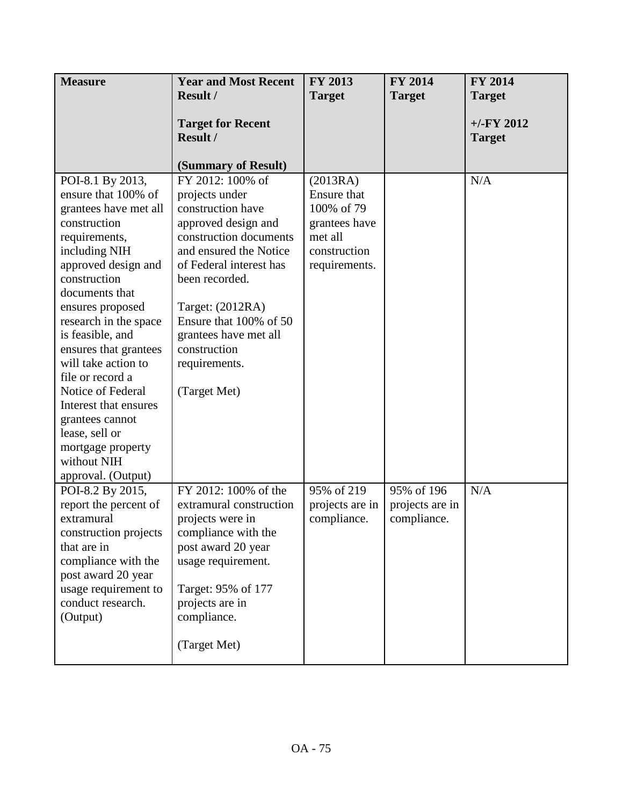| <b>Measure</b>        | <b>Year and Most Recent</b> | <b>FY 2013</b>  | <b>FY 2014</b>  | <b>FY 2014</b> |
|-----------------------|-----------------------------|-----------------|-----------------|----------------|
|                       | <b>Result /</b>             | <b>Target</b>   | <b>Target</b>   | <b>Target</b>  |
|                       |                             |                 |                 |                |
|                       | <b>Target for Recent</b>    |                 |                 | $+/-FY$ 2012   |
|                       | Result /                    |                 |                 | <b>Target</b>  |
|                       | (Summary of Result)         |                 |                 |                |
| POI-8.1 By 2013,      | FY 2012: 100% of            | (2013RA)        |                 | N/A            |
| ensure that 100% of   | projects under              | Ensure that     |                 |                |
| grantees have met all | construction have           | 100% of 79      |                 |                |
| construction          | approved design and         | grantees have   |                 |                |
| requirements,         | construction documents      | met all         |                 |                |
| including NIH         | and ensured the Notice      | construction    |                 |                |
| approved design and   | of Federal interest has     | requirements.   |                 |                |
| construction          | been recorded.              |                 |                 |                |
| documents that        |                             |                 |                 |                |
| ensures proposed      | Target: (2012RA)            |                 |                 |                |
| research in the space | Ensure that 100% of 50      |                 |                 |                |
| is feasible, and      | grantees have met all       |                 |                 |                |
| ensures that grantees | construction                |                 |                 |                |
| will take action to   | requirements.               |                 |                 |                |
| file or record a      |                             |                 |                 |                |
| Notice of Federal     | (Target Met)                |                 |                 |                |
| Interest that ensures |                             |                 |                 |                |
| grantees cannot       |                             |                 |                 |                |
| lease, sell or        |                             |                 |                 |                |
| mortgage property     |                             |                 |                 |                |
| without NIH           |                             |                 |                 |                |
| approval. (Output)    |                             |                 |                 |                |
| POI-8.2 By 2015,      | FY 2012: 100% of the        | 95% of 219      | 95% of 196      | N/A            |
| report the percent of | extramural construction     | projects are in | projects are in |                |
| extramural            | projects were in            | compliance.     | compliance.     |                |
| construction projects | compliance with the         |                 |                 |                |
| that are in           | post award 20 year          |                 |                 |                |
| compliance with the   | usage requirement.          |                 |                 |                |
| post award 20 year    |                             |                 |                 |                |
| usage requirement to  | Target: 95% of 177          |                 |                 |                |
| conduct research.     | projects are in             |                 |                 |                |
| (Output)              | compliance.                 |                 |                 |                |
|                       |                             |                 |                 |                |
|                       | (Target Met)                |                 |                 |                |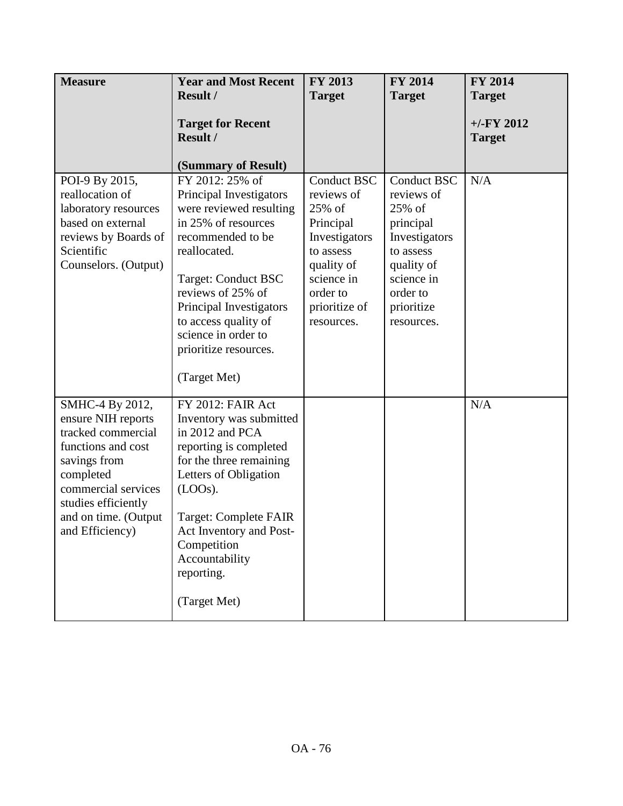| <b>Measure</b>                                                                                                                                                                                          | <b>Year and Most Recent</b>                                                                                                                                                                                                                                                                                             | FY 2013                                                                                                                                                      | FY 2014                                                                                                                                                   | FY 2014                                        |
|---------------------------------------------------------------------------------------------------------------------------------------------------------------------------------------------------------|-------------------------------------------------------------------------------------------------------------------------------------------------------------------------------------------------------------------------------------------------------------------------------------------------------------------------|--------------------------------------------------------------------------------------------------------------------------------------------------------------|-----------------------------------------------------------------------------------------------------------------------------------------------------------|------------------------------------------------|
|                                                                                                                                                                                                         | <b>Result /</b><br><b>Target for Recent</b><br>Result /                                                                                                                                                                                                                                                                 | <b>Target</b>                                                                                                                                                | <b>Target</b>                                                                                                                                             | <b>Target</b><br>$+/-FY$ 2012<br><b>Target</b> |
| POI-9 By 2015,<br>reallocation of<br>laboratory resources<br>based on external<br>reviews by Boards of<br>Scientific<br>Counselors. (Output)                                                            | (Summary of Result)<br>FY 2012: 25% of<br>Principal Investigators<br>were reviewed resulting<br>in 25% of resources<br>recommended to be<br>reallocated.<br>Target: Conduct BSC<br>reviews of 25% of<br>Principal Investigators<br>to access quality of<br>science in order to<br>prioritize resources.<br>(Target Met) | <b>Conduct BSC</b><br>reviews of<br>25% of<br>Principal<br>Investigators<br>to assess<br>quality of<br>science in<br>order to<br>prioritize of<br>resources. | <b>Conduct BSC</b><br>reviews of<br>25% of<br>principal<br>Investigators<br>to assess<br>quality of<br>science in<br>order to<br>prioritize<br>resources. | N/A                                            |
| SMHC-4 By 2012,<br>ensure NIH reports<br>tracked commercial<br>functions and cost<br>savings from<br>completed<br>commercial services<br>studies efficiently<br>and on time. (Output<br>and Efficiency) | FY 2012: FAIR Act<br>Inventory was submitted<br>in 2012 and PCA<br>reporting is completed<br>for the three remaining<br>Letters of Obligation<br>$(LOOs)$ .<br><b>Target: Complete FAIR</b><br>Act Inventory and Post-<br>Competition<br>Accountability<br>reporting.<br>(Target Met)                                   |                                                                                                                                                              |                                                                                                                                                           | N/A                                            |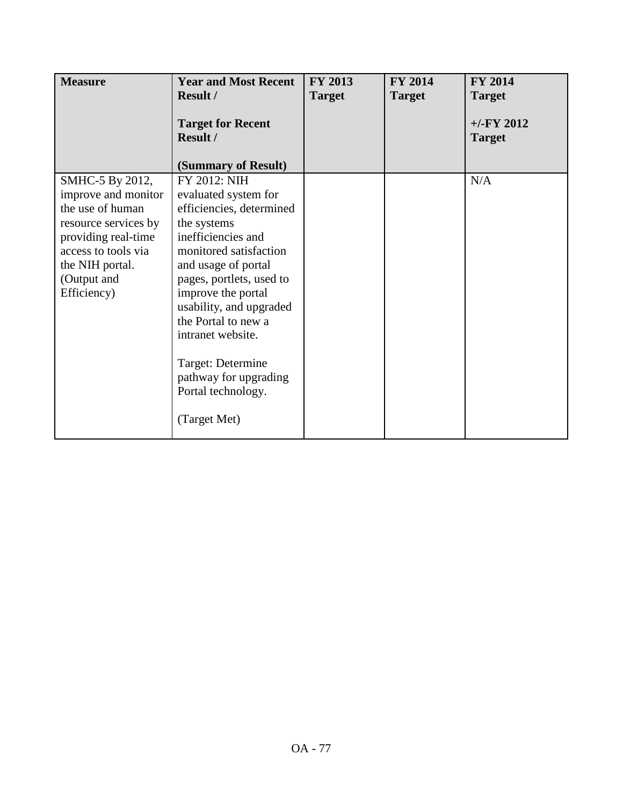| <b>Measure</b>                          | <b>Year and Most Recent</b>                      | <b>FY 2013</b> | <b>FY 2014</b> | <b>FY 2014</b>                 |
|-----------------------------------------|--------------------------------------------------|----------------|----------------|--------------------------------|
|                                         | Result /                                         | <b>Target</b>  | <b>Target</b>  | <b>Target</b>                  |
|                                         | <b>Target for Recent</b><br>Result /             |                |                | $+/-$ FY 2012<br><b>Target</b> |
|                                         | (Summary of Result)                              |                |                |                                |
| SMHC-5 By 2012,                         | FY 2012: NIH                                     |                |                | N/A                            |
| improve and monitor<br>the use of human | evaluated system for<br>efficiencies, determined |                |                |                                |
| resource services by                    | the systems                                      |                |                |                                |
| providing real-time                     | inefficiencies and                               |                |                |                                |
| access to tools via                     | monitored satisfaction                           |                |                |                                |
| the NIH portal.                         | and usage of portal                              |                |                |                                |
| (Output and                             | pages, portlets, used to                         |                |                |                                |
| Efficiency)                             | improve the portal<br>usability, and upgraded    |                |                |                                |
|                                         | the Portal to new a                              |                |                |                                |
|                                         | intranet website.                                |                |                |                                |
|                                         |                                                  |                |                |                                |
|                                         | Target: Determine                                |                |                |                                |
|                                         | pathway for upgrading<br>Portal technology.      |                |                |                                |
|                                         |                                                  |                |                |                                |
|                                         | (Target Met)                                     |                |                |                                |
|                                         |                                                  |                |                |                                |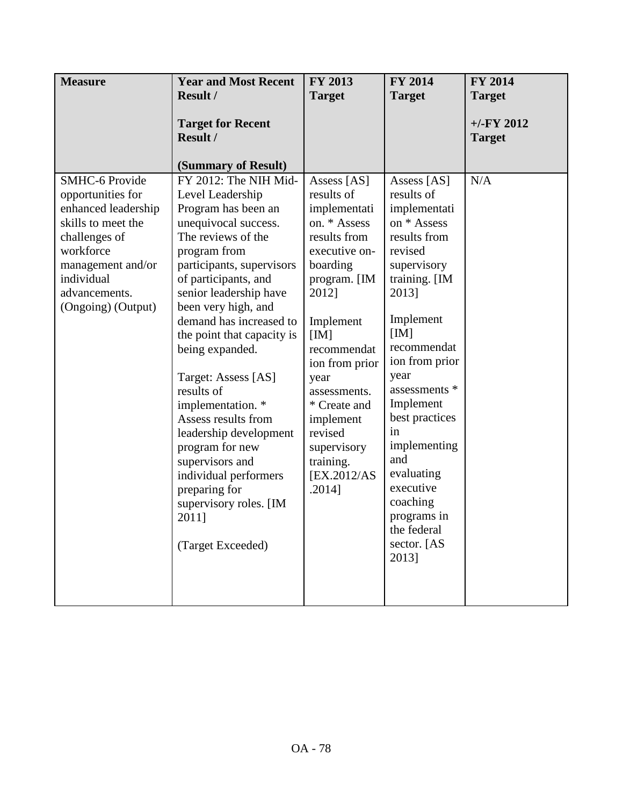| <b>Measure</b>                                                                                                                                                                                  | <b>Year and Most Recent</b>                                                                                                                                                                                                                                                                                                                                                                                                                                                                                                                                         | <b>FY 2013</b>                                                                                                                                                                                                                                                                                             | <b>FY 2014</b>                                                                                                                                                                                                                                                                                                                                                       | <b>FY 2014</b>                |
|-------------------------------------------------------------------------------------------------------------------------------------------------------------------------------------------------|---------------------------------------------------------------------------------------------------------------------------------------------------------------------------------------------------------------------------------------------------------------------------------------------------------------------------------------------------------------------------------------------------------------------------------------------------------------------------------------------------------------------------------------------------------------------|------------------------------------------------------------------------------------------------------------------------------------------------------------------------------------------------------------------------------------------------------------------------------------------------------------|----------------------------------------------------------------------------------------------------------------------------------------------------------------------------------------------------------------------------------------------------------------------------------------------------------------------------------------------------------------------|-------------------------------|
|                                                                                                                                                                                                 | <b>Result /</b>                                                                                                                                                                                                                                                                                                                                                                                                                                                                                                                                                     | <b>Target</b>                                                                                                                                                                                                                                                                                              | <b>Target</b>                                                                                                                                                                                                                                                                                                                                                        | <b>Target</b>                 |
|                                                                                                                                                                                                 | <b>Target for Recent</b><br>Result /<br>(Summary of Result)                                                                                                                                                                                                                                                                                                                                                                                                                                                                                                         |                                                                                                                                                                                                                                                                                                            |                                                                                                                                                                                                                                                                                                                                                                      | $+/-FY$ 2012<br><b>Target</b> |
| <b>SMHC-6 Provide</b><br>opportunities for<br>enhanced leadership<br>skills to meet the<br>challenges of<br>workforce<br>management and/or<br>individual<br>advancements.<br>(Ongoing) (Output) | FY 2012: The NIH Mid-<br>Level Leadership<br>Program has been an<br>unequivocal success.<br>The reviews of the<br>program from<br>participants, supervisors<br>of participants, and<br>senior leadership have<br>been very high, and<br>demand has increased to<br>the point that capacity is<br>being expanded.<br>Target: Assess [AS]<br>results of<br>implementation. *<br>Assess results from<br>leadership development<br>program for new<br>supervisors and<br>individual performers<br>preparing for<br>supervisory roles. [IM<br>2011]<br>(Target Exceeded) | Assess [AS]<br>results of<br>implementati<br>on. * Assess<br>results from<br>executive on-<br>boarding<br>program. [IM<br>2012]<br>Implement<br>[IM]<br>recommendat<br>ion from prior<br>year<br>assessments.<br>* Create and<br>implement<br>revised<br>supervisory<br>training.<br>[EX.2012/AS<br>.2014] | Assess [AS]<br>results of<br>implementati<br>on * Assess<br>results from<br>revised<br>supervisory<br>training. [IM<br>2013]<br>Implement<br>[IM]<br>recommendat<br>ion from prior<br>year<br>assessments *<br>Implement<br>best practices<br>in<br>implementing<br>and<br>evaluating<br>executive<br>coaching<br>programs in<br>the federal<br>sector. [AS<br>2013] | N/A                           |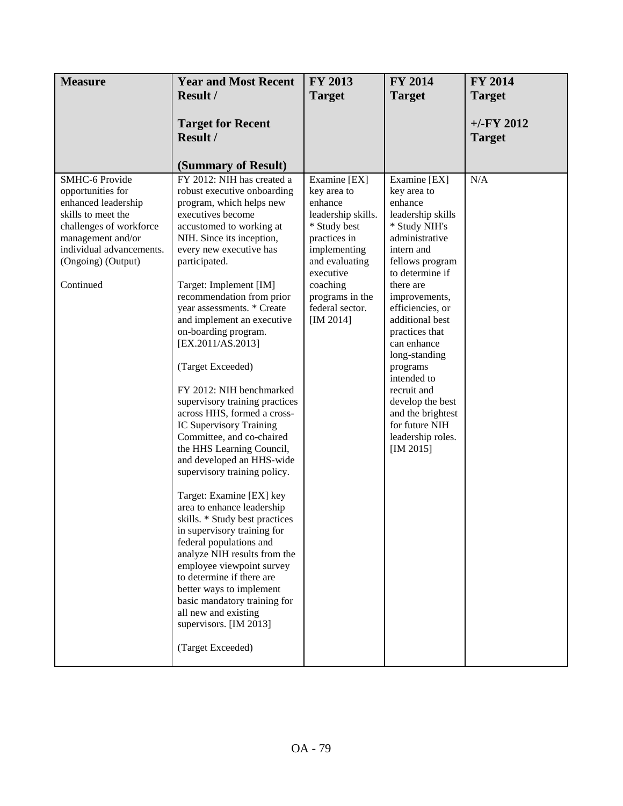| <b>Measure</b>                                                                                                                                                                                  | <b>Year and Most Recent</b>                                                                                                                                                                                                                                                                                                                                                                                                                                                                                                                                                                                                                                                                                                                                                                                                                                                                                                                                                                                                            | FY 2013                                                                                                                                                                                                    | <b>FY 2014</b>                                                                                                                                                                                                                                                                                                                                                                                                   | <b>FY 2014</b>                 |
|-------------------------------------------------------------------------------------------------------------------------------------------------------------------------------------------------|----------------------------------------------------------------------------------------------------------------------------------------------------------------------------------------------------------------------------------------------------------------------------------------------------------------------------------------------------------------------------------------------------------------------------------------------------------------------------------------------------------------------------------------------------------------------------------------------------------------------------------------------------------------------------------------------------------------------------------------------------------------------------------------------------------------------------------------------------------------------------------------------------------------------------------------------------------------------------------------------------------------------------------------|------------------------------------------------------------------------------------------------------------------------------------------------------------------------------------------------------------|------------------------------------------------------------------------------------------------------------------------------------------------------------------------------------------------------------------------------------------------------------------------------------------------------------------------------------------------------------------------------------------------------------------|--------------------------------|
|                                                                                                                                                                                                 | <b>Result /</b>                                                                                                                                                                                                                                                                                                                                                                                                                                                                                                                                                                                                                                                                                                                                                                                                                                                                                                                                                                                                                        | <b>Target</b>                                                                                                                                                                                              | <b>Target</b>                                                                                                                                                                                                                                                                                                                                                                                                    | <b>Target</b>                  |
|                                                                                                                                                                                                 | <b>Target for Recent</b><br>Result /<br>(Summary of Result)                                                                                                                                                                                                                                                                                                                                                                                                                                                                                                                                                                                                                                                                                                                                                                                                                                                                                                                                                                            |                                                                                                                                                                                                            |                                                                                                                                                                                                                                                                                                                                                                                                                  | $+/-$ FY 2012<br><b>Target</b> |
| SMHC-6 Provide<br>opportunities for<br>enhanced leadership<br>skills to meet the<br>challenges of workforce<br>management and/or<br>individual advancements.<br>(Ongoing) (Output)<br>Continued | FY 2012: NIH has created a<br>robust executive onboarding<br>program, which helps new<br>executives become<br>accustomed to working at<br>NIH. Since its inception,<br>every new executive has<br>participated.<br>Target: Implement [IM]<br>recommendation from prior<br>year assessments. * Create<br>and implement an executive<br>on-boarding program.<br>[EX.2011/AS.2013]<br>(Target Exceeded)<br>FY 2012: NIH benchmarked<br>supervisory training practices<br>across HHS, formed a cross-<br>IC Supervisory Training<br>Committee, and co-chaired<br>the HHS Learning Council,<br>and developed an HHS-wide<br>supervisory training policy.<br>Target: Examine [EX] key<br>area to enhance leadership<br>skills. * Study best practices<br>in supervisory training for<br>federal populations and<br>analyze NIH results from the<br>employee viewpoint survey<br>to determine if there are<br>better ways to implement<br>basic mandatory training for<br>all new and existing<br>supervisors. [IM 2013]<br>(Target Exceeded) | Examine [EX]<br>key area to<br>enhance<br>leadership skills.<br>* Study best<br>practices in<br>implementing<br>and evaluating<br>executive<br>coaching<br>programs in the<br>federal sector.<br>[IM 2014] | Examine [EX]<br>key area to<br>enhance<br>leadership skills<br>* Study NIH's<br>administrative<br>intern and<br>fellows program<br>to determine if<br>there are<br>improvements,<br>efficiencies, or<br>additional best<br>practices that<br>can enhance<br>long-standing<br>programs<br>intended to<br>recruit and<br>develop the best<br>and the brightest<br>for future NIH<br>leadership roles.<br>[IM 2015] | N/A                            |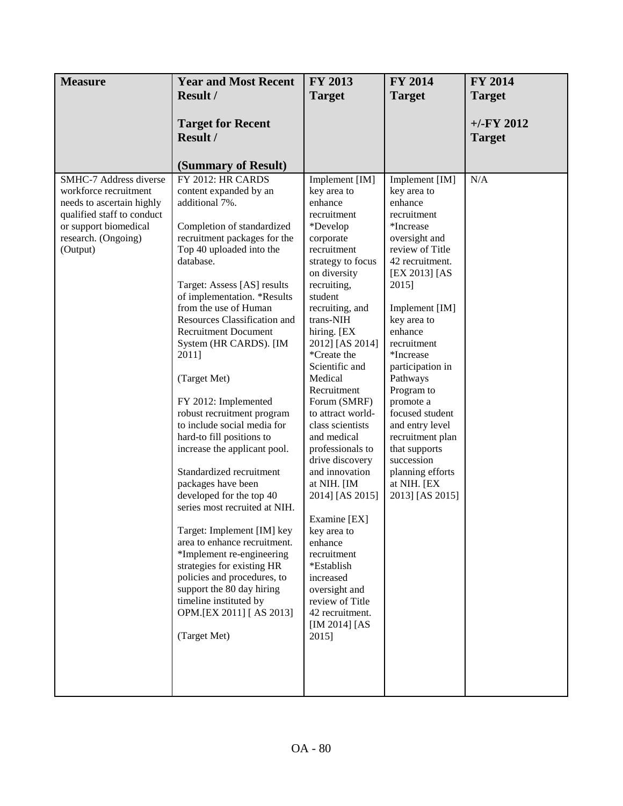| <b>Measure</b>                                                                                                                                                         | <b>Year and Most Recent</b>                                                                                                                                                                                                                                                                                                                                                                                                                                                                                                                                                                                                                                                                                                                                                                                                                                                                              | FY 2013                                                                                                                                                                                                                                                                                                                                                                                                                                                                                                                                                                                                                             | FY 2014                                                                                                                                                                                                                                                                                                                                                                                                                                 | <b>FY 2014</b>                 |
|------------------------------------------------------------------------------------------------------------------------------------------------------------------------|----------------------------------------------------------------------------------------------------------------------------------------------------------------------------------------------------------------------------------------------------------------------------------------------------------------------------------------------------------------------------------------------------------------------------------------------------------------------------------------------------------------------------------------------------------------------------------------------------------------------------------------------------------------------------------------------------------------------------------------------------------------------------------------------------------------------------------------------------------------------------------------------------------|-------------------------------------------------------------------------------------------------------------------------------------------------------------------------------------------------------------------------------------------------------------------------------------------------------------------------------------------------------------------------------------------------------------------------------------------------------------------------------------------------------------------------------------------------------------------------------------------------------------------------------------|-----------------------------------------------------------------------------------------------------------------------------------------------------------------------------------------------------------------------------------------------------------------------------------------------------------------------------------------------------------------------------------------------------------------------------------------|--------------------------------|
|                                                                                                                                                                        | <b>Result /</b>                                                                                                                                                                                                                                                                                                                                                                                                                                                                                                                                                                                                                                                                                                                                                                                                                                                                                          | <b>Target</b>                                                                                                                                                                                                                                                                                                                                                                                                                                                                                                                                                                                                                       | <b>Target</b>                                                                                                                                                                                                                                                                                                                                                                                                                           | <b>Target</b>                  |
|                                                                                                                                                                        | <b>Target for Recent</b><br>Result /<br>(Summary of Result)                                                                                                                                                                                                                                                                                                                                                                                                                                                                                                                                                                                                                                                                                                                                                                                                                                              |                                                                                                                                                                                                                                                                                                                                                                                                                                                                                                                                                                                                                                     |                                                                                                                                                                                                                                                                                                                                                                                                                                         | $+/-$ FY 2012<br><b>Target</b> |
| SMHC-7 Address diverse<br>workforce recruitment<br>needs to ascertain highly<br>qualified staff to conduct<br>or support biomedical<br>research. (Ongoing)<br>(Output) | FY 2012: HR CARDS<br>content expanded by an<br>additional 7%.<br>Completion of standardized<br>recruitment packages for the<br>Top 40 uploaded into the<br>database.<br>Target: Assess [AS] results<br>of implementation. *Results<br>from the use of Human<br>Resources Classification and<br><b>Recruitment Document</b><br>System (HR CARDS). [IM<br>2011]<br>(Target Met)<br>FY 2012: Implemented<br>robust recruitment program<br>to include social media for<br>hard-to fill positions to<br>increase the applicant pool.<br>Standardized recruitment<br>packages have been<br>developed for the top 40<br>series most recruited at NIH.<br>Target: Implement [IM] key<br>area to enhance recruitment.<br>*Implement re-engineering<br>strategies for existing HR<br>policies and procedures, to<br>support the 80 day hiring<br>timeline instituted by<br>OPM.[EX 2011] [AS 2013]<br>(Target Met) | Implement [IM]<br>key area to<br>enhance<br>recruitment<br>*Develop<br>corporate<br>recruitment<br>strategy to focus<br>on diversity<br>recruiting,<br>student<br>recruiting, and<br>trans-NIH<br>hiring. [EX<br>2012] [AS 2014]<br>*Create the<br>Scientific and<br>Medical<br>Recruitment<br>Forum (SMRF)<br>to attract world-<br>class scientists<br>and medical<br>professionals to<br>drive discovery<br>and innovation<br>at NIH. [IM<br>2014] [AS 2015]<br>Examine [EX]<br>key area to<br>enhance<br>recruitment<br>*Establish<br>increased<br>oversight and<br>review of Title<br>42 recruitment.<br>[IM 2014] [AS<br>2015] | Implement [IM]<br>key area to<br>enhance<br>recruitment<br>*Increase<br>oversight and<br>review of Title<br>42 recruitment.<br>[EX 2013] [AS<br>2015]<br>Implement [IM]<br>key area to<br>enhance<br>recruitment<br>*Increase<br>participation in<br>Pathways<br>Program to<br>promote a<br>focused student<br>and entry level<br>recruitment plan<br>that supports<br>succession<br>planning efforts<br>at NIH. [EX<br>2013] [AS 2015] | N/A                            |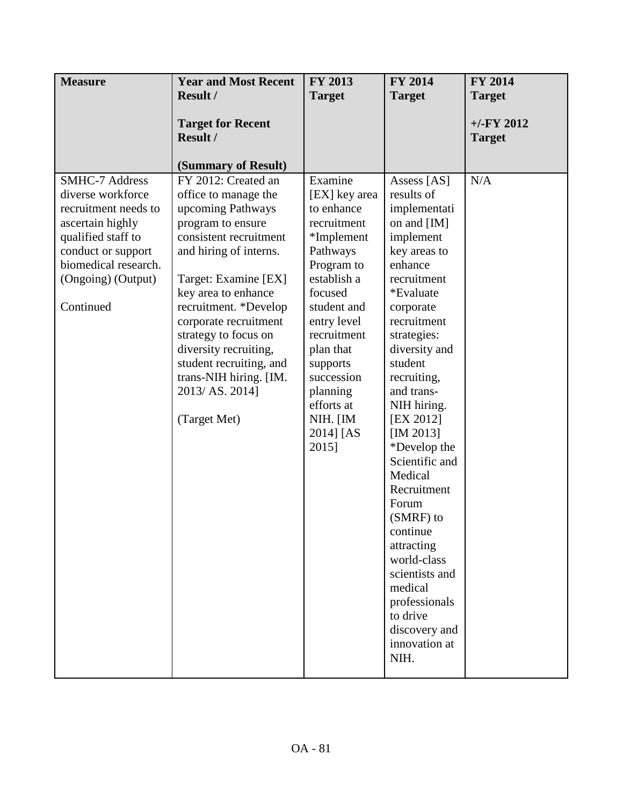| <b>Measure</b>                                                                                                                                                                                | <b>Year and Most Recent</b>                                                                                                                                                                                                                                                                                                                                                         | FY 2013                                                                                                                                                                                                                                                                 | <b>FY 2014</b>                                                                                                                                                                                                                                                                                                                                                                                                                                                                                             | <b>FY 2014</b>                 |
|-----------------------------------------------------------------------------------------------------------------------------------------------------------------------------------------------|-------------------------------------------------------------------------------------------------------------------------------------------------------------------------------------------------------------------------------------------------------------------------------------------------------------------------------------------------------------------------------------|-------------------------------------------------------------------------------------------------------------------------------------------------------------------------------------------------------------------------------------------------------------------------|------------------------------------------------------------------------------------------------------------------------------------------------------------------------------------------------------------------------------------------------------------------------------------------------------------------------------------------------------------------------------------------------------------------------------------------------------------------------------------------------------------|--------------------------------|
|                                                                                                                                                                                               | <b>Result /</b>                                                                                                                                                                                                                                                                                                                                                                     | <b>Target</b>                                                                                                                                                                                                                                                           | <b>Target</b>                                                                                                                                                                                                                                                                                                                                                                                                                                                                                              | <b>Target</b>                  |
|                                                                                                                                                                                               | <b>Target for Recent</b><br>Result /                                                                                                                                                                                                                                                                                                                                                |                                                                                                                                                                                                                                                                         |                                                                                                                                                                                                                                                                                                                                                                                                                                                                                                            | $+/-$ FY 2012<br><b>Target</b> |
|                                                                                                                                                                                               | (Summary of Result)                                                                                                                                                                                                                                                                                                                                                                 |                                                                                                                                                                                                                                                                         |                                                                                                                                                                                                                                                                                                                                                                                                                                                                                                            |                                |
| <b>SMHC-7 Address</b><br>diverse workforce<br>recruitment needs to<br>ascertain highly<br>qualified staff to<br>conduct or support<br>biomedical research.<br>(Ongoing) (Output)<br>Continued | FY 2012: Created an<br>office to manage the<br>upcoming Pathways<br>program to ensure<br>consistent recruitment<br>and hiring of interns.<br>Target: Examine [EX]<br>key area to enhance<br>recruitment. *Develop<br>corporate recruitment<br>strategy to focus on<br>diversity recruiting,<br>student recruiting, and<br>trans-NIH hiring. [IM.<br>2013/ AS. 2014]<br>(Target Met) | Examine<br>[EX] key area<br>to enhance<br>recruitment<br>*Implement<br>Pathways<br>Program to<br>establish a<br>focused<br>student and<br>entry level<br>recruitment<br>plan that<br>supports<br>succession<br>planning<br>efforts at<br>NIH. [IM<br>2014] [AS<br>2015] | Assess [AS]<br>results of<br>implementati<br>on and $[IM]$<br>implement<br>key areas to<br>enhance<br>recruitment<br>*Evaluate<br>corporate<br>recruitment<br>strategies:<br>diversity and<br>student<br>recruiting,<br>and trans-<br>NIH hiring.<br>[EX 2012]<br>[IM 2013]<br>*Develop the<br>Scientific and<br>Medical<br>Recruitment<br>Forum<br>(SMRF) to<br>continue<br>attracting<br>world-class<br>scientists and<br>medical<br>professionals<br>to drive<br>discovery and<br>innovation at<br>NIH. | N/A                            |